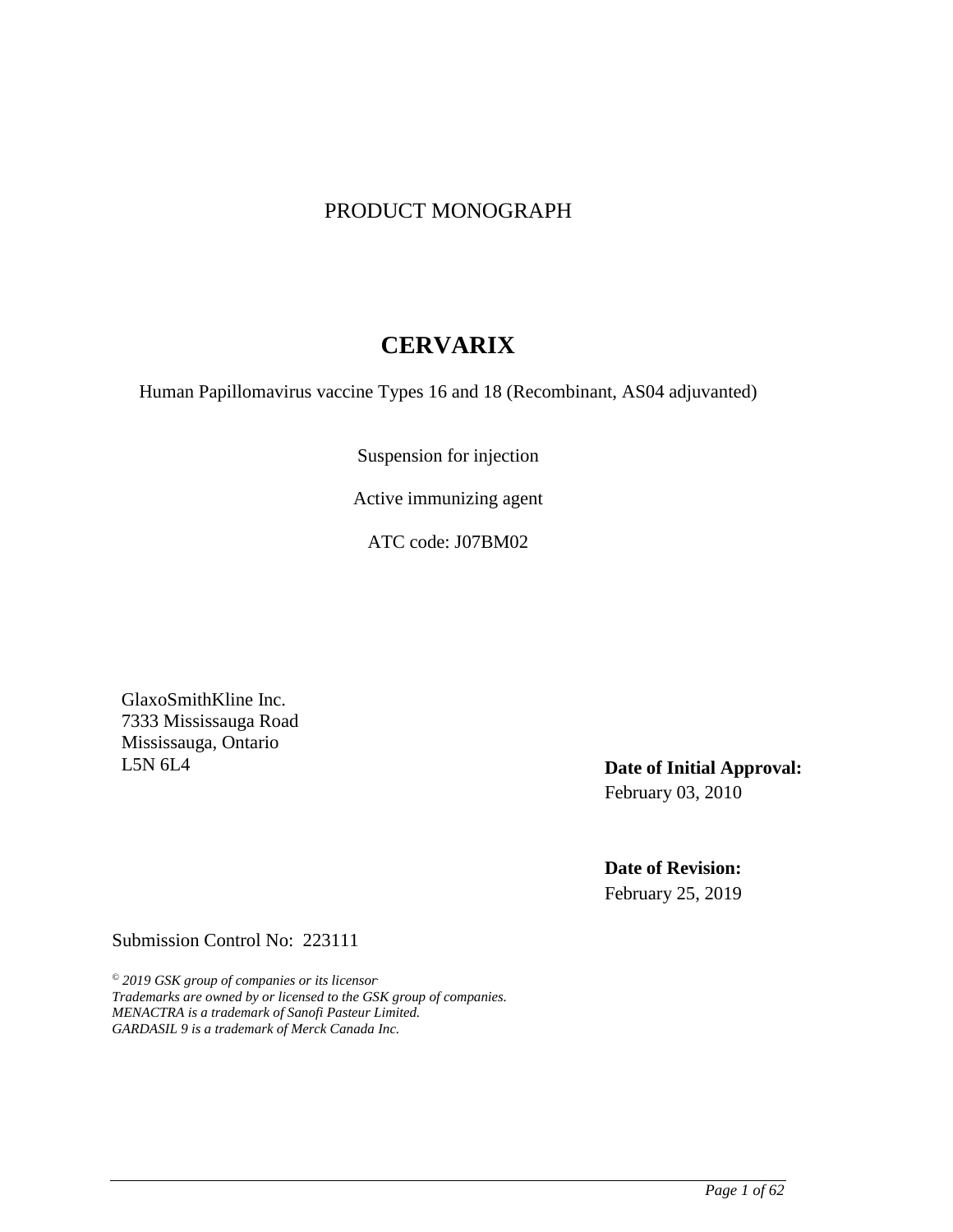## PRODUCT MONOGRAPH

# **CERVARIX**

Human Papillomavirus vaccine Types 16 and 18 (Recombinant, AS04 adjuvanted)

Suspension for injection

Active immunizing agent

ATC code: J07BM02

GlaxoSmithKline Inc. 7333 Mississauga Road Mississauga, Ontario<br>L5N 6L4

Date of Initial Approval: February 03, 2010

**Date of Revision:**  February 25, 2019

Submission Control No: 223111

*© 2019 GSK group of companies or its licensor. Trademarks are owned by or licensed to the GSK group of companies. MENACTRA is a trademark of Sanofi Pasteur Limited. GARDASIL 9 is a trademark of Merck Canada Inc.*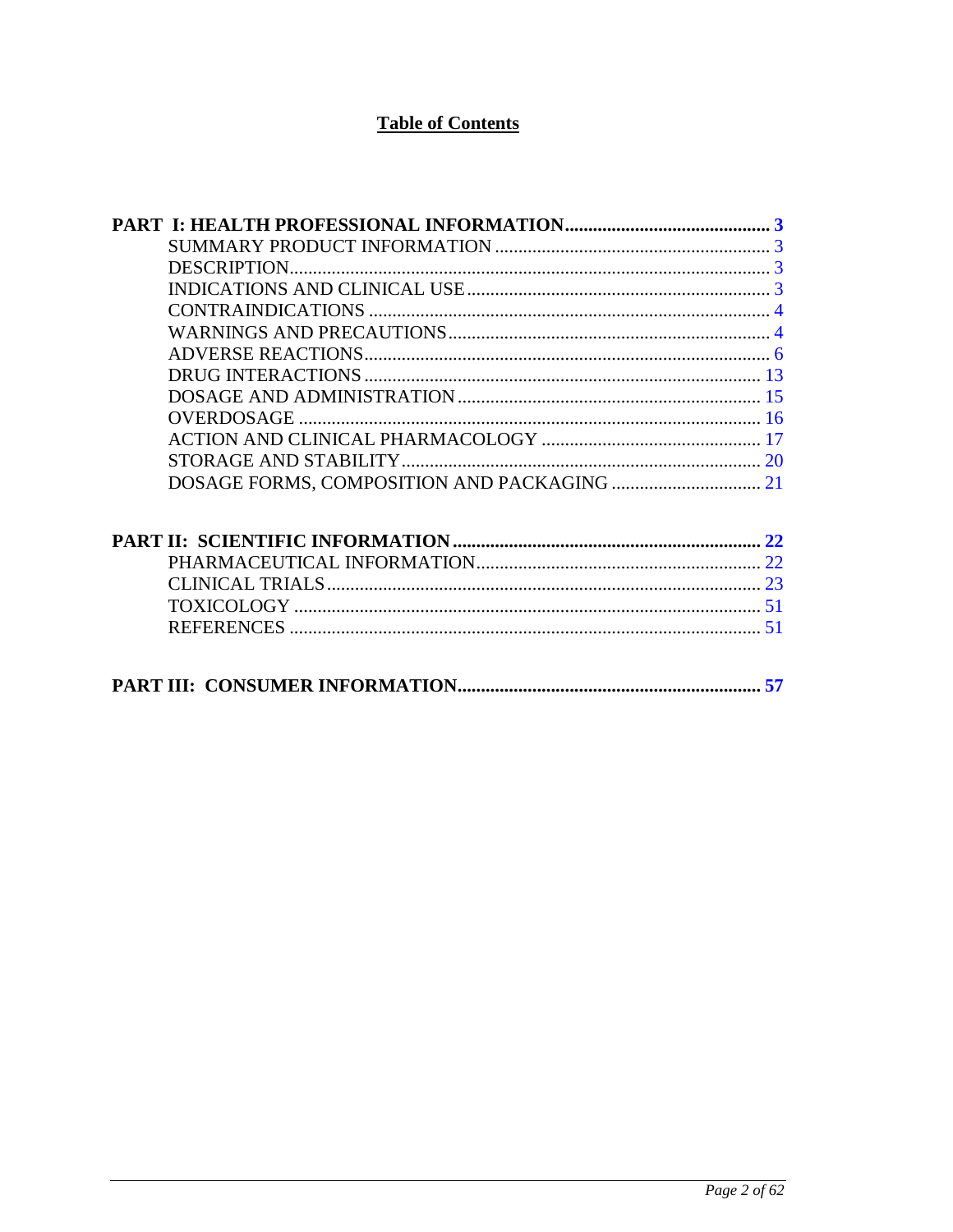# **Table of Contents**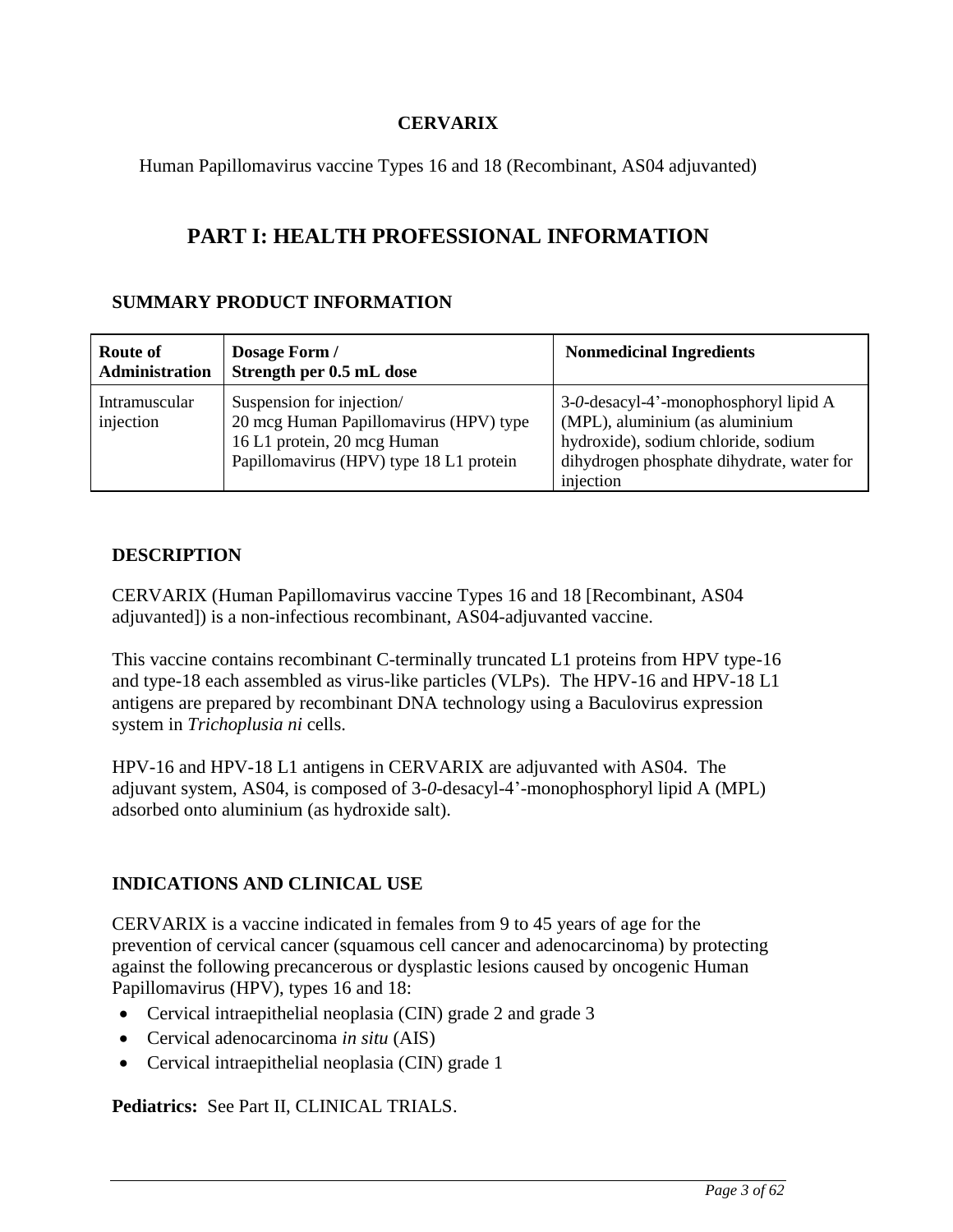## **CERVARIX**

<span id="page-2-0"></span>Human Papillomavirus vaccine Types 16 and 18 (Recombinant, AS04 adjuvanted)

# **PART I: HEALTH PROFESSIONAL INFORMATION**

## **SUMMARY PRODUCT INFORMATION**

| Route of<br><b>Administration</b> | Dosage Form /<br>Strength per 0.5 mL dose                                                                                                     | <b>Nonmedicinal Ingredients</b>                                                                                                                                          |
|-----------------------------------|-----------------------------------------------------------------------------------------------------------------------------------------------|--------------------------------------------------------------------------------------------------------------------------------------------------------------------------|
| Intramuscular<br>injection        | Suspension for injection/<br>20 mcg Human Papillomavirus (HPV) type<br>16 L1 protein, 20 mcg Human<br>Papillomavirus (HPV) type 18 L1 protein | 3-0-desacyl-4'-monophosphoryl lipid A<br>(MPL), aluminium (as aluminium<br>hydroxide), sodium chloride, sodium<br>dihydrogen phosphate dihydrate, water for<br>injection |

## **DESCRIPTION**

CERVARIX (Human Papillomavirus vaccine Types 16 and 18 [Recombinant, AS04 adjuvanted]) is a non-infectious recombinant, AS04-adjuvanted vaccine.

This vaccine contains recombinant C-terminally truncated L1 proteins from HPV type-16 and type-18 each assembled as virus-like particles (VLPs). The HPV-16 and HPV-18 L1 antigens are prepared by recombinant DNA technology using a Baculovirus expression system in *Trichoplusia ni* cells.

HPV-16 and HPV-18 L1 antigens in CERVARIX are adjuvanted with AS04. The adjuvant system, AS04, is composed of 3-*0*-desacyl-4'-monophosphoryl lipid A (MPL) adsorbed onto aluminium (as hydroxide salt).

## **INDICATIONS AND CLINICAL USE**

CERVARIX is a vaccine indicated in females from 9 to 45 years of age for the prevention of cervical cancer (squamous cell cancer and adenocarcinoma) by protecting against the following precancerous or dysplastic lesions caused by oncogenic Human Papillomavirus (HPV), types 16 and 18:

- Cervical intraepithelial neoplasia (CIN) grade 2 and grade 3
- Cervical adenocarcinoma *in situ* (AIS)
- Cervical intraepithelial neoplasia (CIN) grade 1

**Pediatrics:** See Part II, CLINICAL TRIALS.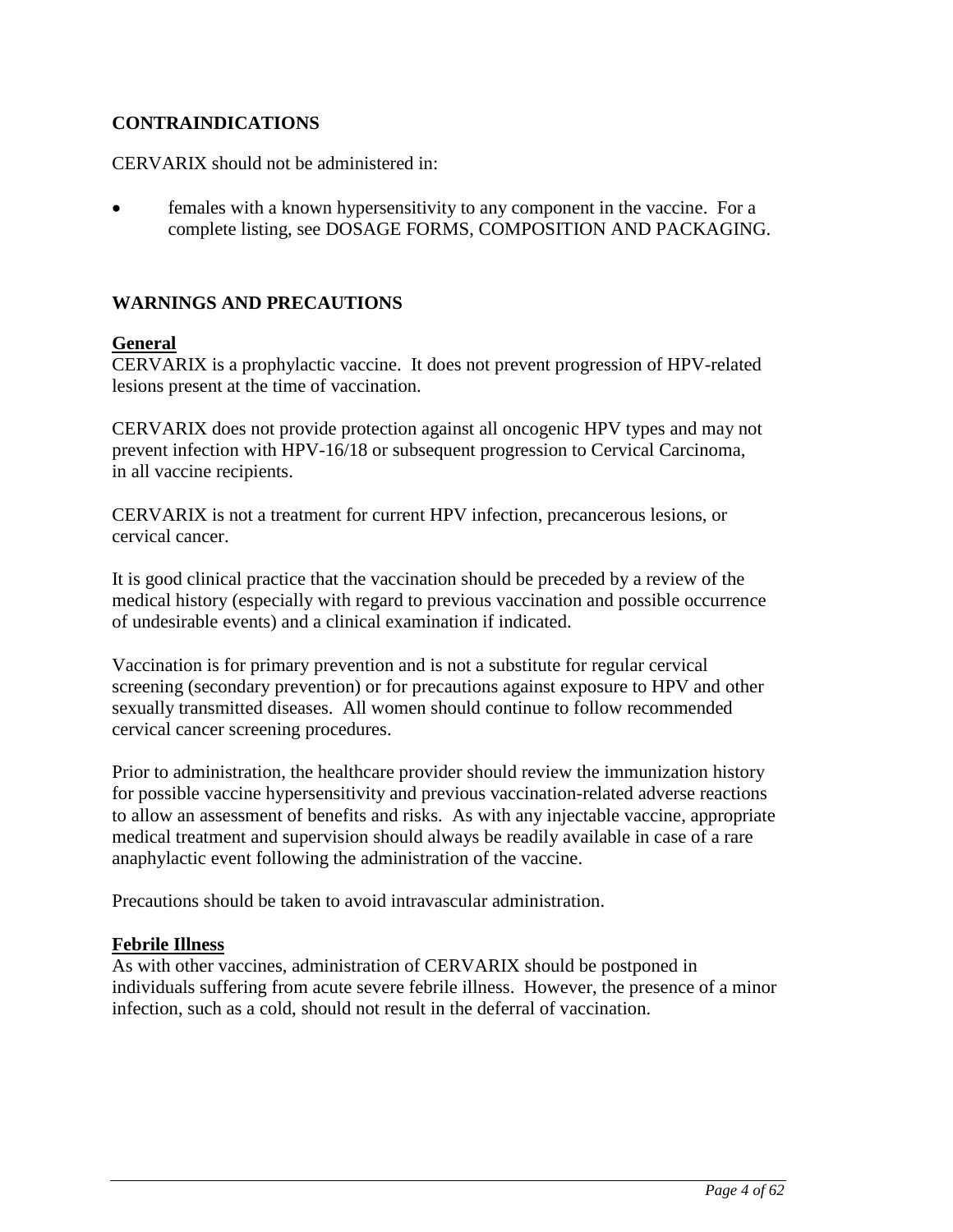## <span id="page-3-0"></span>**CONTRAINDICATIONS**

CERVARIX should not be administered in:

• females with a known hypersensitivity to any component in the vaccine. For a complete listing, see DOSAGE FORMS, COMPOSITION AND PACKAGING.

## **WARNINGS AND PRECAUTIONS**

### **General**

CERVARIX is a prophylactic vaccine. It does not prevent progression of HPV-related lesions present at the time of vaccination.

CERVARIX does not provide protection against all oncogenic HPV types and may not prevent infection with HPV-16/18 or subsequent progression to Cervical Carcinoma, in all vaccine recipients.

CERVARIX is not a treatment for current HPV infection, precancerous lesions, or cervical cancer.

It is good clinical practice that the vaccination should be preceded by a review of the medical history (especially with regard to previous vaccination and possible occurrence of undesirable events) and a clinical examination if indicated.

Vaccination is for primary prevention and is not a substitute for regular cervical screening (secondary prevention) or for precautions against exposure to HPV and other sexually transmitted diseases. All women should continue to follow recommended cervical cancer screening procedures.

Prior to administration, the healthcare provider should review the immunization history for possible vaccine hypersensitivity and previous vaccination-related adverse reactions to allow an assessment of benefits and risks. As with any injectable vaccine, appropriate medical treatment and supervision should always be readily available in case of a rare anaphylactic event following the administration of the vaccine.

Precautions should be taken to avoid intravascular administration.

## **Febrile Illness**

As with other vaccines, administration of CERVARIX should be postponed in individuals suffering from acute severe febrile illness. However, the presence of a minor infection, such as a cold, should not result in the deferral of vaccination.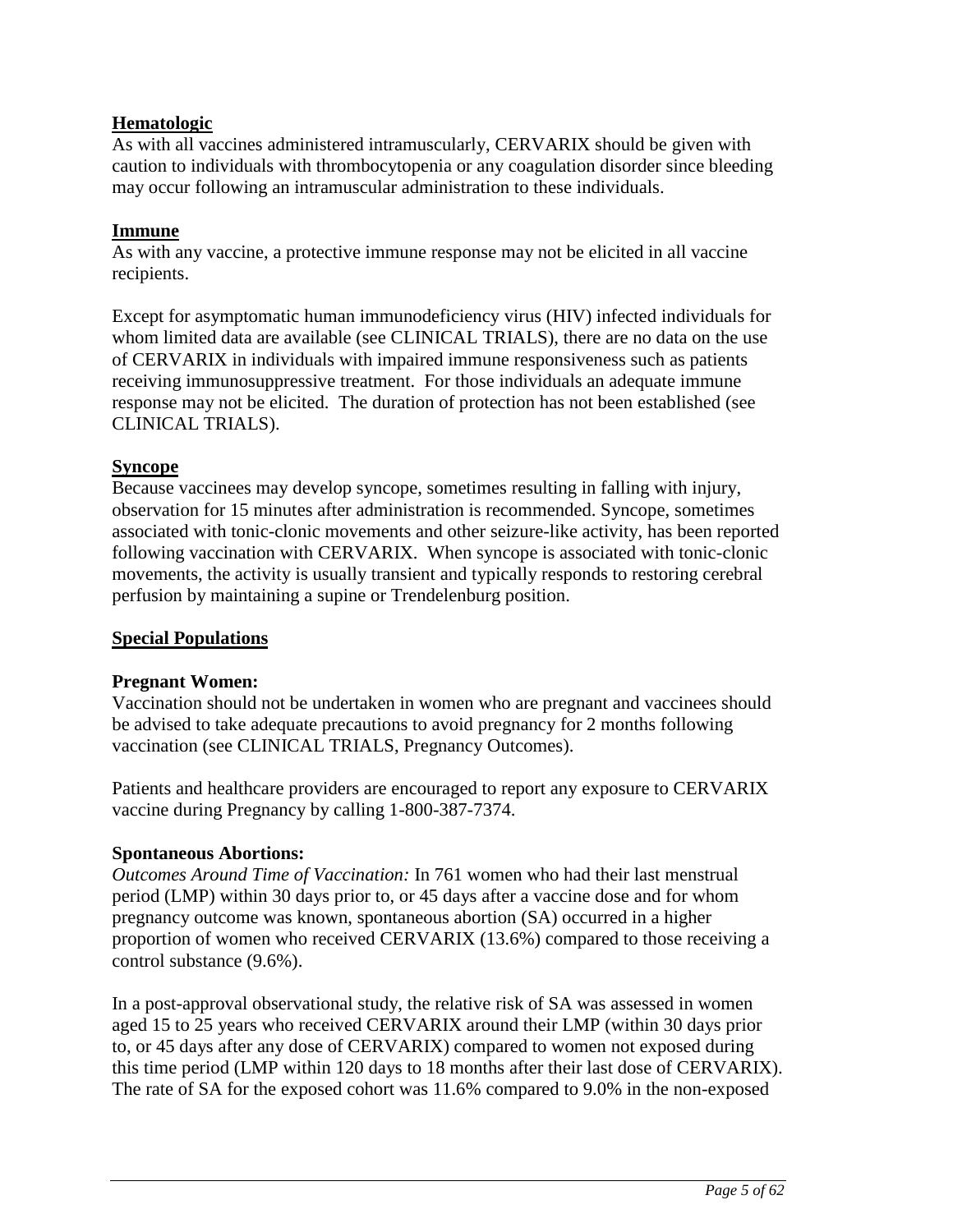## **Hematologic**

As with all vaccines administered intramuscularly, CERVARIX should be given with caution to individuals with thrombocytopenia or any coagulation disorder since bleeding may occur following an intramuscular administration to these individuals.

### **Immune**

As with any vaccine, a protective immune response may not be elicited in all vaccine recipients.

Except for asymptomatic human immunodeficiency virus (HIV) infected individuals for whom limited data are available (see CLINICAL TRIALS), there are no data on the use of CERVARIX in individuals with impaired immune responsiveness such as patients receiving immunosuppressive treatment. For those individuals an adequate immune response may not be elicited. The duration of protection has not been established (see CLINICAL TRIALS).

### **Syncope**

Because vaccinees may develop syncope, sometimes resulting in falling with injury, observation for 15 minutes after administration is recommended. Syncope, sometimes associated with tonic-clonic movements and other seizure-like activity, has been reported following vaccination with CERVARIX. When syncope is associated with tonic-clonic movements, the activity is usually transient and typically responds to restoring cerebral perfusion by maintaining a supine or Trendelenburg position.

### **Special Populations**

## **Pregnant Women:**

Vaccination should not be undertaken in women who are pregnant and vaccinees should be advised to take adequate precautions to avoid pregnancy for 2 months following vaccination (see CLINICAL TRIALS, Pregnancy Outcomes).

Patients and healthcare providers are encouraged to report any exposure to CERVARIX vaccine during Pregnancy by calling 1-800-387-7374.

## **Spontaneous Abortions:**

*Outcomes Around Time of Vaccination:* In 761 women who had their last menstrual period (LMP) within 30 days prior to, or 45 days after a vaccine dose and for whom pregnancy outcome was known, spontaneous abortion (SA) occurred in a higher proportion of women who received CERVARIX (13.6%) compared to those receiving a control substance (9.6%).

In a post-approval observational study, the relative risk of SA was assessed in women aged 15 to 25 years who received CERVARIX around their LMP (within 30 days prior to, or 45 days after any dose of CERVARIX) compared to women not exposed during this time period (LMP within 120 days to 18 months after their last dose of CERVARIX). The rate of SA for the exposed cohort was 11.6% compared to 9.0% in the non-exposed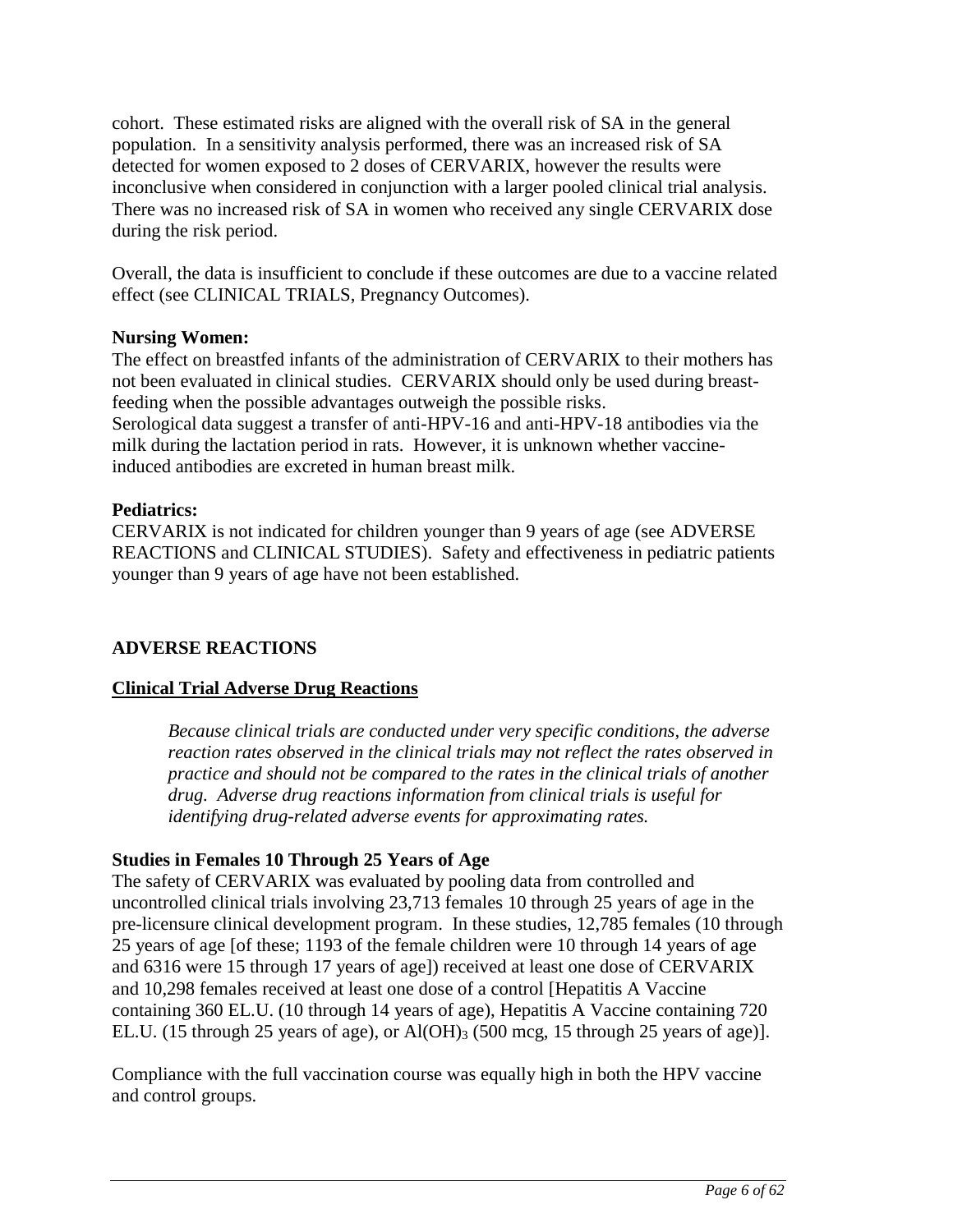<span id="page-5-0"></span>cohort. These estimated risks are aligned with the overall risk of SA in the general population. In a sensitivity analysis performed, there was an increased risk of SA detected for women exposed to 2 doses of CERVARIX, however the results were inconclusive when considered in conjunction with a larger pooled clinical trial analysis. There was no increased risk of SA in women who received any single CERVARIX dose during the risk period.

Overall, the data is insufficient to conclude if these outcomes are due to a vaccine related effect (see CLINICAL TRIALS, Pregnancy Outcomes).

### **Nursing Women:**

The effect on breastfed infants of the administration of CERVARIX to their mothers has not been evaluated in clinical studies. CERVARIX should only be used during breastfeeding when the possible advantages outweigh the possible risks. Serological data suggest a transfer of anti-HPV-16 and anti-HPV-18 antibodies via the milk during the lactation period in rats. However, it is unknown whether vaccineinduced antibodies are excreted in human breast milk.

## **Pediatrics:**

CERVARIX is not indicated for children younger than 9 years of age (see ADVERSE REACTIONS and CLINICAL STUDIES). Safety and effectiveness in pediatric patients younger than 9 years of age have not been established.

## **ADVERSE REACTIONS**

## **Clinical Trial Adverse Drug Reactions**

*Because clinical trials are conducted under very specific conditions, the adverse reaction rates observed in the clinical trials may not reflect the rates observed in practice and should not be compared to the rates in the clinical trials of another drug. Adverse drug reactions information from clinical trials is useful for identifying drug-related adverse events for approximating rates.*

### **Studies in Females 10 Through 25 Years of Age**

The safety of CERVARIX was evaluated by pooling data from controlled and uncontrolled clinical trials involving 23,713 females 10 through 25 years of age in the pre-licensure clinical development program. In these studies, 12,785 females (10 through 25 years of age [of these; 1193 of the female children were 10 through 14 years of age and 6316 were 15 through 17 years of age]) received at least one dose of CERVARIX and 10,298 females received at least one dose of a control [Hepatitis A Vaccine containing 360 EL.U. (10 through 14 years of age), Hepatitis A Vaccine containing 720 EL.U. (15 through 25 years of age), or Al(OH)<sub>3</sub> (500 mcg, 15 through 25 years of age)].

Compliance with the full vaccination course was equally high in both the HPV vaccine and control groups.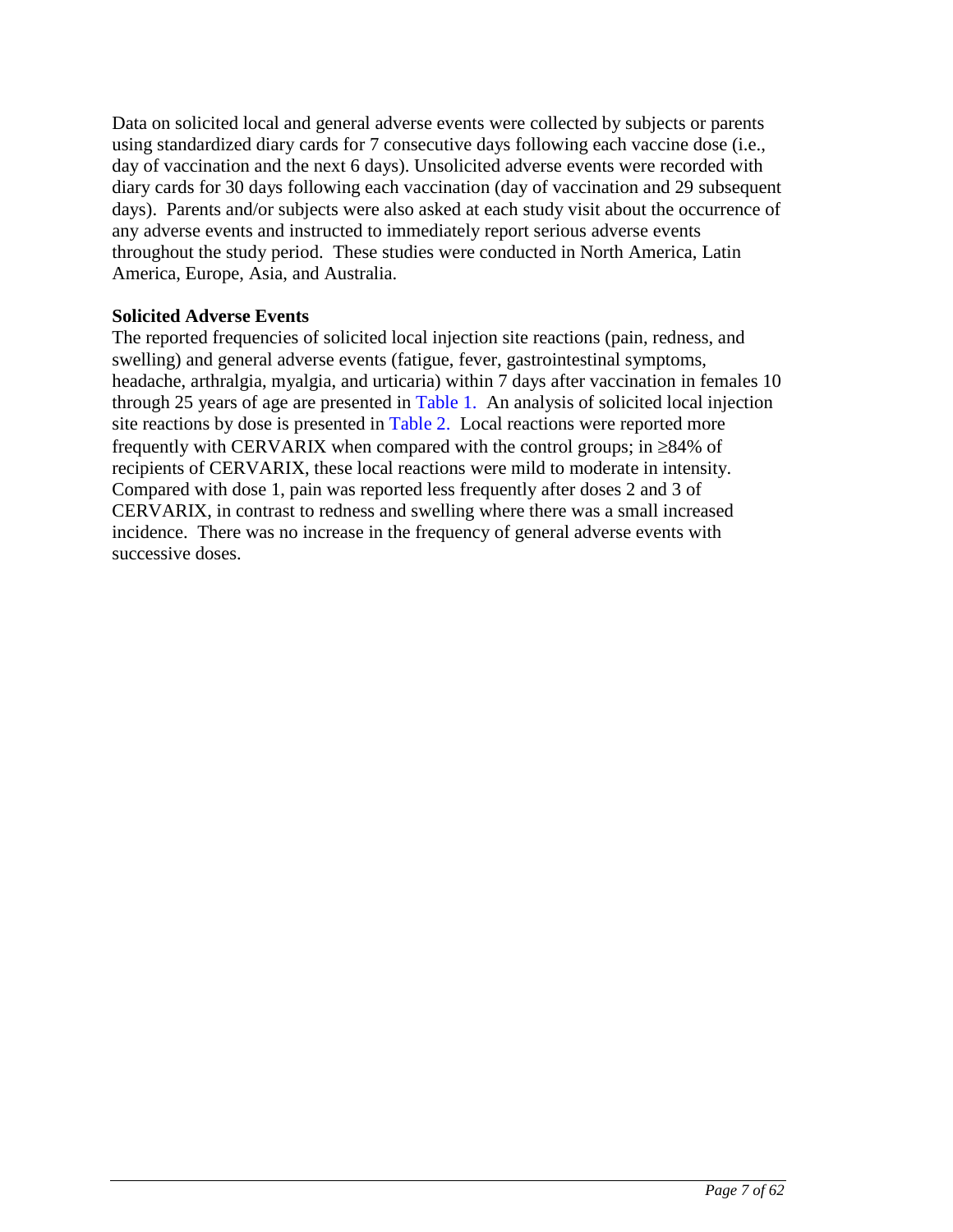Data on solicited local and general adverse events were collected by subjects or parents using standardized diary cards for 7 consecutive days following each vaccine dose (i.e., day of vaccination and the next 6 days). Unsolicited adverse events were recorded with diary cards for 30 days following each vaccination (day of vaccination and 29 subsequent days). Parents and/or subjects were also asked at each study visit about the occurrence of any adverse events and instructed to immediately report serious adverse events throughout the study period. These studies were conducted in North America, Latin America, Europe, Asia, and Australia.

### **Solicited Adverse Events**

The reported frequencies of solicited local injection site reactions (pain, redness, and swelling) and general adverse events (fatigue, fever, gastrointestinal symptoms, headache, arthralgia, myalgia, and urticaria) within 7 days after vaccination in females 10 through 25 years of age are presented in [Table 1.](#page-7-0) An analysis of solicited local injection site reactions by dose is presented in [Table 2.](#page-8-0) Local reactions were reported more frequently with CERVARIX when compared with the control groups; in  $\geq 84\%$  of recipients of CERVARIX, these local reactions were mild to moderate in intensity. Compared with dose 1, pain was reported less frequently after doses 2 and 3 of CERVARIX, in contrast to redness and swelling where there was a small increased incidence. There was no increase in the frequency of general adverse events with successive doses.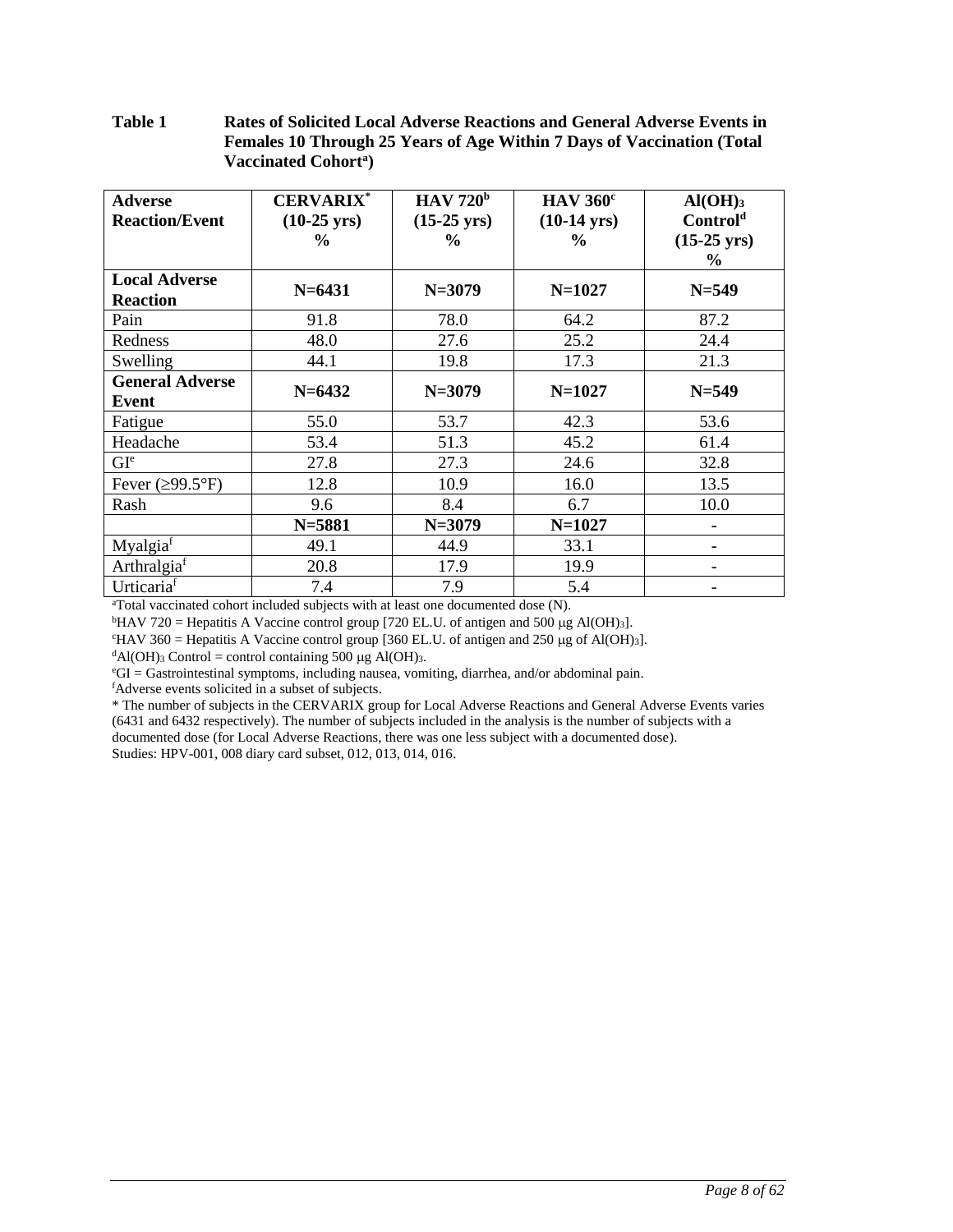#### <span id="page-7-0"></span>**Table 1 Rates of Solicited Local Adverse Reactions and General Adverse Events in Females 10 Through 25 Years of Age Within 7 Days of Vaccination (Total Vaccinated Cohort<sup>a</sup> )**

| <b>Adverse</b><br><b>Reaction/Event</b> | <b>CERVARIX*</b><br>$(10-25 \text{ yrs})$<br>$\%$ | HAV 720 <sup>b</sup><br>$(15-25 \text{ yrs})$<br>$\frac{6}{6}$ | HAV 360 <sup>c</sup><br>$(10-14 \text{ yrs})$<br>$\frac{0}{0}$ | $AI(OH)_{3}$<br>Control <sup>d</sup><br>$(15-25 \text{ yrs})$<br>$\frac{6}{9}$ |
|-----------------------------------------|---------------------------------------------------|----------------------------------------------------------------|----------------------------------------------------------------|--------------------------------------------------------------------------------|
| <b>Local Adverse</b><br><b>Reaction</b> | $N = 6431$                                        | $N = 3079$                                                     | $N=1027$                                                       | $N = 549$                                                                      |
| Pain                                    | 91.8                                              | 78.0                                                           | 64.2                                                           | 87.2                                                                           |
| Redness                                 | 48.0                                              | 27.6                                                           | 25.2                                                           | 24.4                                                                           |
| Swelling                                | 44.1                                              | 19.8                                                           | 17.3                                                           | 21.3                                                                           |
| <b>General Adverse</b><br>Event         | $N = 6432$                                        | $N = 3079$                                                     | $N = 1027$                                                     | $N = 549$                                                                      |
| Fatigue                                 | 55.0                                              | 53.7                                                           | 42.3                                                           | 53.6                                                                           |
| Headache                                | 53.4                                              | 51.3                                                           | 45.2                                                           | 61.4                                                                           |
| GI <sup>e</sup>                         | 27.8                                              | 27.3                                                           | 24.6                                                           | 32.8                                                                           |
| Fever $(\geq 99.5^{\circ}F)$            | 12.8                                              | 10.9                                                           | 16.0                                                           | 13.5                                                                           |
| Rash                                    | 9.6                                               | 8.4                                                            | 6.7                                                            | 10.0                                                                           |
|                                         | $N = 5881$                                        | $N = 3079$                                                     | $N=1027$                                                       |                                                                                |
| Myalgiaf                                | 49.1                                              | 44.9                                                           | 33.1                                                           |                                                                                |
| Arthralgia <sup>f</sup>                 | 20.8                                              | 17.9                                                           | 19.9                                                           |                                                                                |
| Urticariaf                              | 7.4                                               | 7.9                                                            | 5.4                                                            |                                                                                |

<sup>a</sup>Total vaccinated cohort included subjects with at least one documented dose (N).

<sup>b</sup>HAV 720 = Hepatitis A Vaccine control group [720 EL.U. of antigen and 500 µg Al(OH)<sub>3</sub>].

 $\text{HAV 360} = \text{Hepatitis A Vaccine control group}$  [360 EL.U. of antigen and 250 µg of Al(OH)<sub>3</sub>].

 $dA(OH)$ <sub>3</sub> Control = control containing 500 µg Al(OH)<sub>3</sub>.

 $^{\circ}GI = Gastrointestinal$  symptoms, including nausea, vomiting, diarrhea, and/or abdominal pain.

<sup>f</sup>Adverse events solicited in a subset of subjects.

\* The number of subjects in the CERVARIX group for Local Adverse Reactions and General Adverse Events varies (6431 and 6432 respectively). The number of subjects included in the analysis is the number of subjects with a documented dose (for Local Adverse Reactions, there was one less subject with a documented dose). Studies: HPV-001, 008 diary card subset, 012, 013, 014, 016.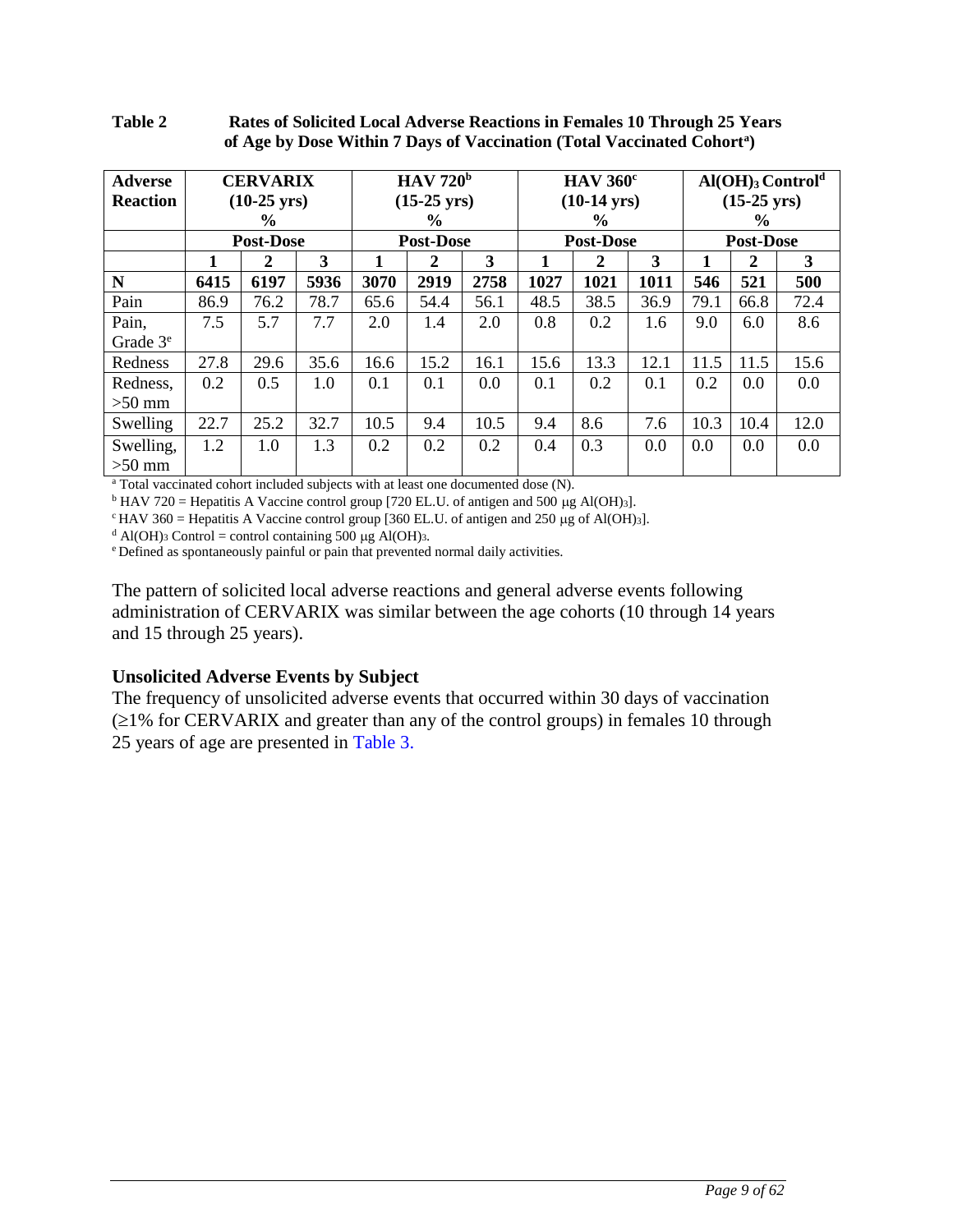<span id="page-8-0"></span>

| Table 2 | Rates of Solicited Local Adverse Reactions in Females 10 Through 25 Years           |
|---------|-------------------------------------------------------------------------------------|
|         | of Age by Dose Within 7 Days of Vaccination (Total Vaccinated Cohort <sup>a</sup> ) |

| <b>Adverse</b><br><b>Reaction</b> | <b>CERVARIX</b><br>$(10-25 \text{ yrs})$<br>$\frac{0}{0}$ |                  |      | HAV 720 <sup>b</sup><br>$(15-25 \text{ yrs})$<br>$\frac{6}{9}$ |                |                  | HAV 360 <sup>c</sup><br>$(10-14 \text{ yrs})$<br>$\frac{0}{0}$ |                  | $\text{Al}(\text{OH})_3 \text{Control}^d$<br>$(15-25 \text{ yrs})$<br>$\frac{0}{0}$ |      |                |      |
|-----------------------------------|-----------------------------------------------------------|------------------|------|----------------------------------------------------------------|----------------|------------------|----------------------------------------------------------------|------------------|-------------------------------------------------------------------------------------|------|----------------|------|
|                                   |                                                           | <b>Post-Dose</b> |      | <b>Post-Dose</b>                                               |                | <b>Post-Dose</b> |                                                                | <b>Post-Dose</b> |                                                                                     |      |                |      |
|                                   | 1                                                         | $\mathbf{2}$     | 3    |                                                                | $\overline{2}$ | 3                | 1                                                              | 2                | 3                                                                                   |      | $\overline{2}$ | 3    |
| N                                 | 6415                                                      | 6197             | 5936 | 3070                                                           | 2919           | 2758             | 1027                                                           | 1021             | 1011                                                                                | 546  | 521            | 500  |
| Pain                              | 86.9                                                      | 76.2             | 78.7 | 65.6                                                           | 54.4           | 56.1             | 48.5                                                           | 38.5             | 36.9                                                                                | 79.1 | 66.8           | 72.4 |
| Pain,<br>Grade $3e$               | 7.5                                                       | 5.7              | 7.7  | 2.0                                                            | 1.4            | 2.0              | 0.8                                                            | 0.2              | 1.6                                                                                 | 9.0  | 6.0            | 8.6  |
| Redness                           | 27.8                                                      | 29.6             | 35.6 | 16.6                                                           | 15.2           | 16.1             | 15.6                                                           | 13.3             | 12.1                                                                                | 11.5 | 11.5           | 15.6 |
| Redness,<br>$>50$ mm              | 0.2                                                       | 0.5              | 1.0  | 0.1                                                            | 0.1            | 0.0              | 0.1                                                            | 0.2              | 0.1                                                                                 | 0.2  | 0.0            | 0.0  |
| Swelling                          | 22.7                                                      | 25.2             | 32.7 | 10.5                                                           | 9.4            | 10.5             | 9.4                                                            | 8.6              | 7.6                                                                                 | 10.3 | 10.4           | 12.0 |
| Swelling,<br>$>50$ mm             | 1.2                                                       | 1.0              | 1.3  | 0.2                                                            | 0.2            | 0.2              | 0.4                                                            | 0.3              | 0.0                                                                                 | 0.0  | 0.0            | 0.0  |

<sup>a</sup> Total vaccinated cohort included subjects with at least one documented dose (N).

 $b$  HAV 720 = Hepatitis A Vaccine control group [720 EL.U. of antigen and 500 µg Al(OH)3].

 $c$ HAV 360 = Hepatitis A Vaccine control group [360 EL.U. of antigen and 250 µg of Al(OH)3].

<sup>d</sup> Al(OH)<sub>3</sub> Control = control containing 500  $\mu$ g Al(OH)<sub>3</sub>.

<sup>e</sup>Defined as spontaneously painful or pain that prevented normal daily activities.

The pattern of solicited local adverse reactions and general adverse events following administration of CERVARIX was similar between the age cohorts (10 through 14 years and 15 through 25 years).

### **Unsolicited Adverse Events by Subject**

The frequency of unsolicited adverse events that occurred within 30 days of vaccination  $\geq$ 1% for CERVARIX and greater than any of the control groups) in females 10 through 25 years of age are presented in [Table 3.](#page-9-0)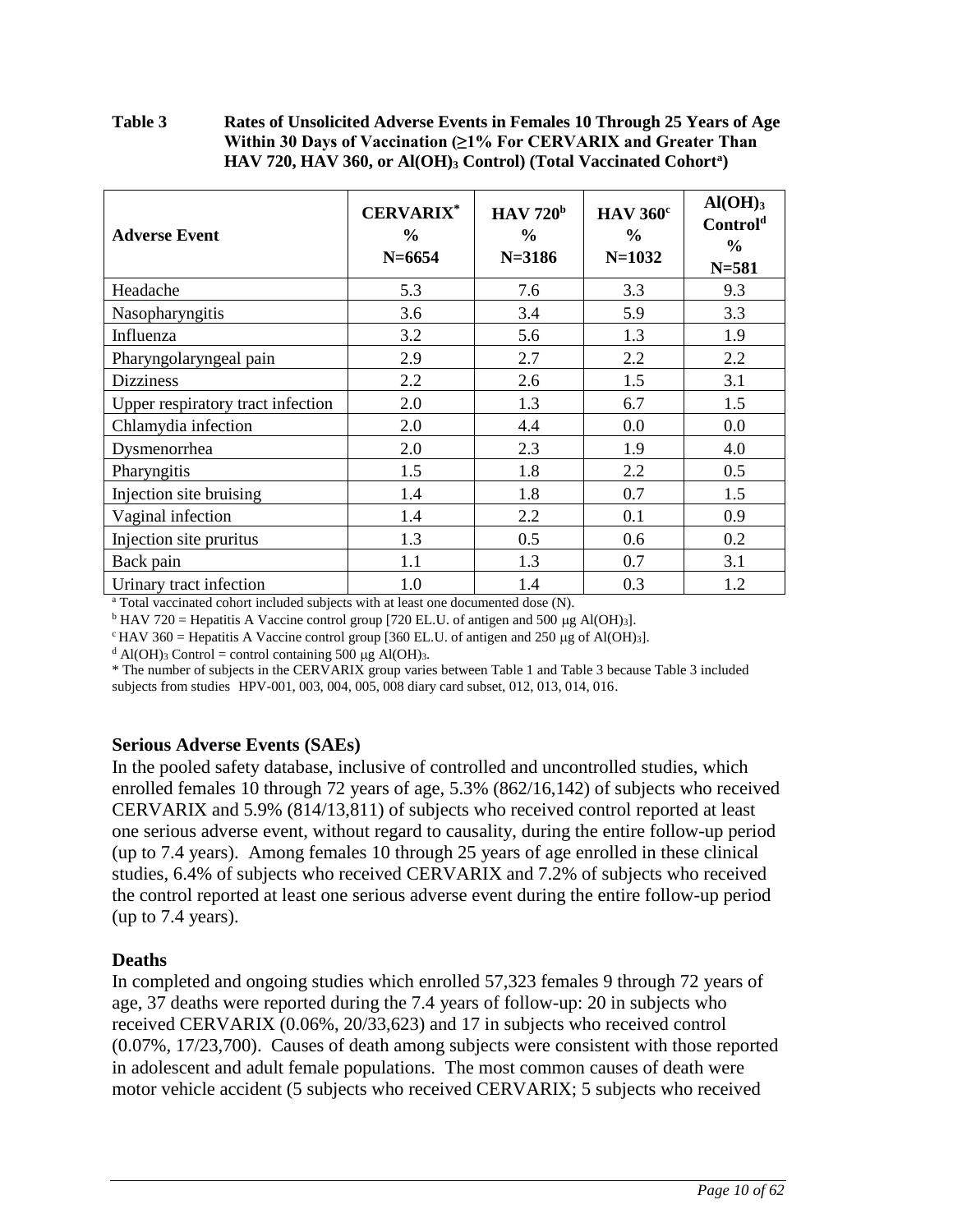### <span id="page-9-0"></span>**Table 3 Rates of Unsolicited Adverse Events in Females 10 Through 25 Years of Age Within 30 Days of Vaccination (≥1% For CERVARIX and Greater Than HAV 720, HAV 360, or Al(OH)<sup>3</sup> Control) (Total Vaccinated Cohort<sup>a</sup> )**

| <b>Adverse Event</b>              | <b>CERVARIX*</b><br>$\frac{6}{9}$<br>$N = 6654$ | HAV 720 <sup>b</sup><br>$\frac{6}{9}$<br>$N = 3186$ | <b>HAV 360°</b><br>$\frac{0}{0}$<br>$N = 1032$ | $Al(OH)_{3}$<br>Control <sup>d</sup><br>$\frac{6}{9}$<br>$N = 581$ |
|-----------------------------------|-------------------------------------------------|-----------------------------------------------------|------------------------------------------------|--------------------------------------------------------------------|
| Headache                          | 5.3                                             | 7.6                                                 | 3.3                                            | 9.3                                                                |
| Nasopharyngitis                   | 3.6                                             | 3.4                                                 | 5.9                                            | 3.3                                                                |
| Influenza                         | 3.2                                             | 5.6                                                 | 1.3                                            | 1.9                                                                |
| Pharyngolaryngeal pain            | 2.9                                             | 2.7                                                 | 2.2                                            | 2.2                                                                |
| <b>Dizziness</b>                  | 2.2                                             | 2.6                                                 | 1.5                                            | 3.1                                                                |
| Upper respiratory tract infection | 2.0                                             | 1.3                                                 | 6.7                                            | 1.5                                                                |
| Chlamydia infection               | 2.0                                             | 4.4                                                 | 0.0                                            | 0.0                                                                |
| Dysmenorrhea                      | 2.0                                             | 2.3                                                 | 1.9                                            | 4.0                                                                |
| Pharyngitis                       | 1.5                                             | 1.8                                                 | 2.2                                            | 0.5                                                                |
| Injection site bruising           | 1.4                                             | 1.8                                                 | 0.7                                            | 1.5                                                                |
| Vaginal infection                 | 1.4                                             | 2.2                                                 | 0.1                                            | 0.9                                                                |
| Injection site pruritus           | 1.3                                             | 0.5                                                 | 0.6                                            | 0.2                                                                |
| Back pain                         | 1.1                                             | 1.3                                                 | 0.7                                            | 3.1                                                                |
| Urinary tract infection           | 1.0                                             | 1.4                                                 | 0.3                                            | 1.2                                                                |

<sup>a</sup> Total vaccinated cohort included subjects with at least one documented dose (N).

<sup>b</sup> HAV 720 = Hepatitis A Vaccine control group [720 EL.U. of antigen and 500 µg Al(OH)<sub>3</sub>].

 $c$ HAV 360 = Hepatitis A Vaccine control group [360 EL.U. of antigen and 250 µg of Al(OH)3].

<sup>d</sup> Al(OH)<sub>3</sub> Control = control containing 500 µg Al(OH)<sub>3</sub>.

\* The number of subjects in the CERVARIX group varies between Table 1 and Table 3 because Table 3 included subjects from studies HPV-001, 003, 004, 005, 008 diary card subset, 012, 013, 014, 016.

### **Serious Adverse Events (SAEs)**

In the pooled safety database, inclusive of controlled and uncontrolled studies, which enrolled females 10 through 72 years of age, 5.3% (862/16,142) of subjects who received CERVARIX and 5.9% (814/13,811) of subjects who received control reported at least one serious adverse event, without regard to causality, during the entire follow-up period (up to 7.4 years). Among females 10 through 25 years of age enrolled in these clinical studies, 6.4% of subjects who received CERVARIX and 7.2% of subjects who received the control reported at least one serious adverse event during the entire follow-up period (up to 7.4 years).

## **Deaths**

In completed and ongoing studies which enrolled 57,323 females 9 through 72 years of age, 37 deaths were reported during the 7.4 years of follow-up: 20 in subjects who received CERVARIX (0.06%, 20/33,623) and 17 in subjects who received control (0.07%, 17/23,700). Causes of death among subjects were consistent with those reported in adolescent and adult female populations. The most common causes of death were motor vehicle accident (5 subjects who received CERVARIX; 5 subjects who received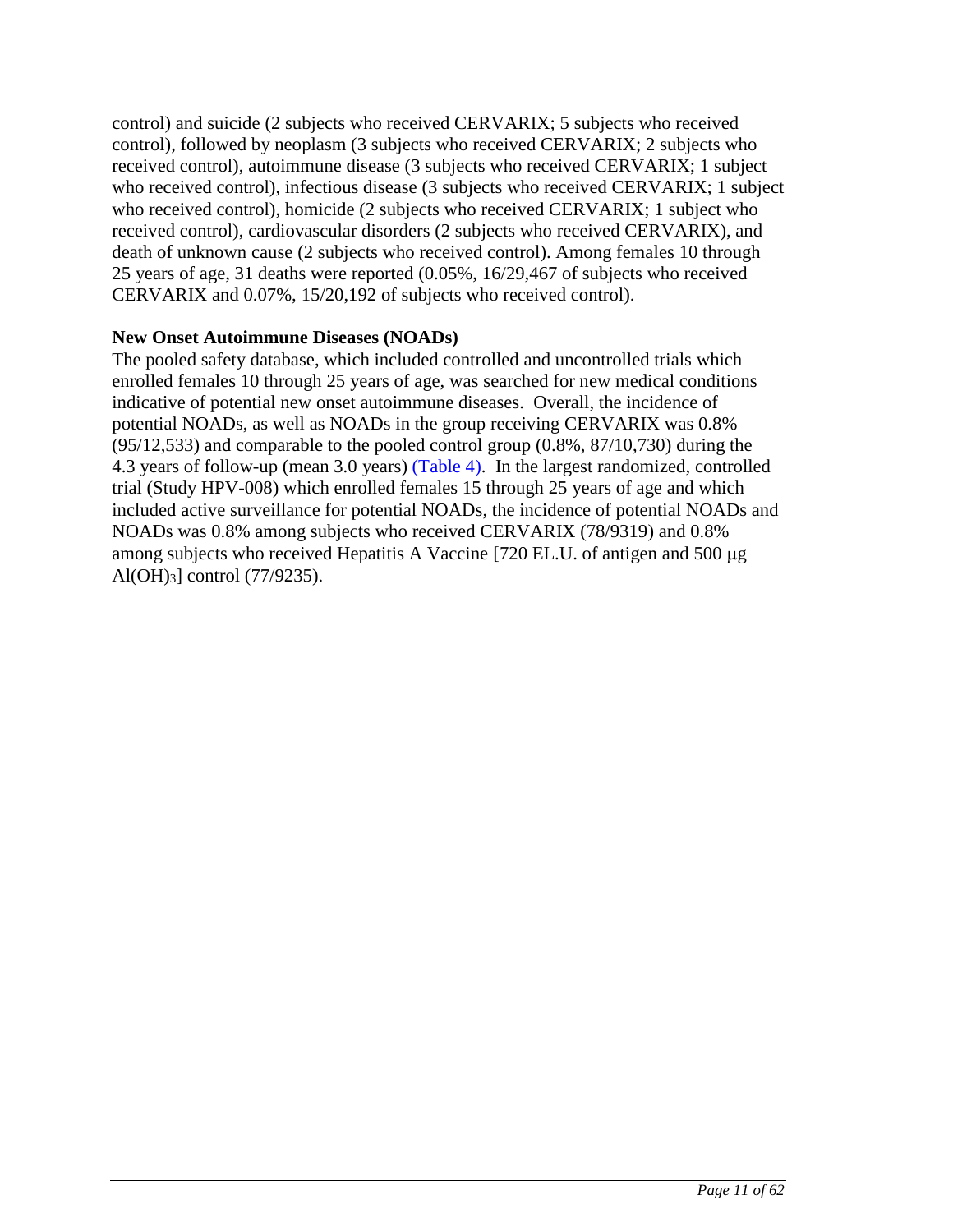control) and suicide (2 subjects who received CERVARIX; 5 subjects who received control), followed by neoplasm (3 subjects who received CERVARIX; 2 subjects who received control), autoimmune disease (3 subjects who received CERVARIX; 1 subject who received control), infectious disease (3 subjects who received CERVARIX; 1 subject who received control), homicide (2 subjects who received CERVARIX; 1 subject who received control), cardiovascular disorders (2 subjects who received CERVARIX), and death of unknown cause (2 subjects who received control). Among females 10 through 25 years of age, 31 deaths were reported (0.05%, 16/29,467 of subjects who received CERVARIX and 0.07%, 15/20,192 of subjects who received control).

### **New Onset Autoimmune Diseases (NOADs)**

The pooled safety database, which included controlled and uncontrolled trials which enrolled females 10 through 25 years of age, was searched for new medical conditions indicative of potential new onset autoimmune diseases. Overall, the incidence of potential NOADs, as well as NOADs in the group receiving CERVARIX was 0.8% (95/12,533) and comparable to the pooled control group (0.8%, 87/10,730) during the 4.3 years of follow-up (mean 3.0 years) [\(Table 4\)](#page-11-0). In the largest randomized, controlled trial (Study HPV-008) which enrolled females 15 through 25 years of age and which included active surveillance for potential NOADs, the incidence of potential NOADs and NOADs was 0.8% among subjects who received CERVARIX (78/9319) and 0.8% among subjects who received Hepatitis A Vaccine  $[720$  EL.U. of antigen and 500  $\mu$ g Al(OH)3] control (77/9235).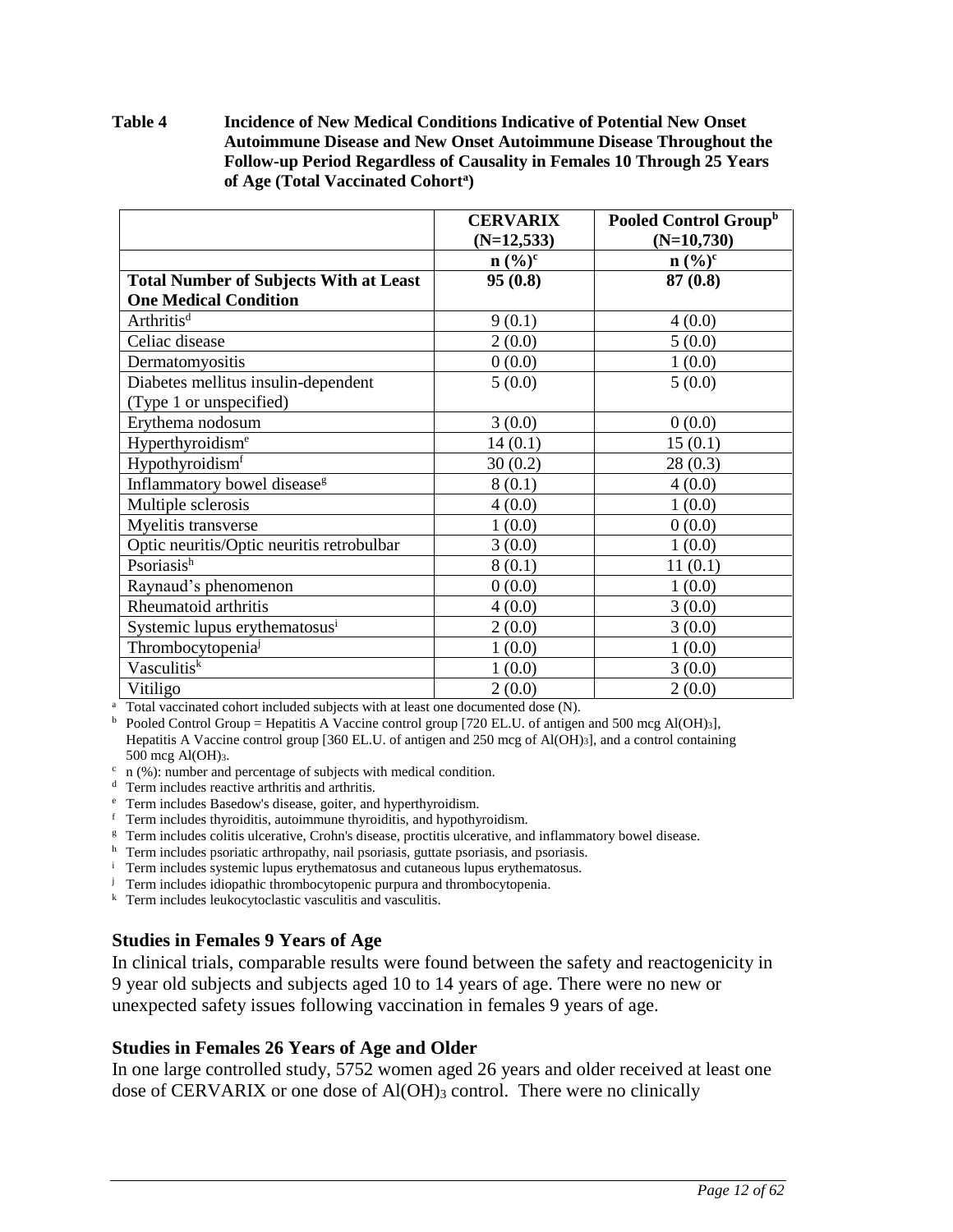<span id="page-11-0"></span>**Table 4 Incidence of New Medical Conditions Indicative of Potential New Onset Autoimmune Disease and New Onset Autoimmune Disease Throughout the Follow-up Period Regardless of Causality in Females 10 Through 25 Years of Age (Total Vaccinated Cohort<sup>a</sup> )**

|                                               | <b>CERVARIX</b> | Pooled Control Group <sup>b</sup> |
|-----------------------------------------------|-----------------|-----------------------------------|
|                                               | $(N=12,533)$    | $(N=10,730)$                      |
|                                               | $n (%)^c$       | $n (%)^c$                         |
| <b>Total Number of Subjects With at Least</b> | 95(0.8)         | 87(0.8)                           |
| <b>One Medical Condition</b>                  |                 |                                   |
| Arthritis <sup>d</sup>                        | 9(0.1)          | 4(0.0)                            |
| Celiac disease                                | 2(0.0)          | 5(0.0)                            |
| Dermatomyositis                               | 0(0.0)          | 1(0.0)                            |
| Diabetes mellitus insulin-dependent           | 5(0.0)          | 5(0.0)                            |
| (Type 1 or unspecified)                       |                 |                                   |
| Erythema nodosum                              | 3(0.0)          | 0(0.0)                            |
| Hyperthyroidism <sup>e</sup>                  | 14(0.1)         | 15(0.1)                           |
| Hypothyroidism <sup>f</sup>                   | 30(0.2)         | 28(0.3)                           |
| Inflammatory bowel disease <sup>g</sup>       | 8(0.1)          | 4(0.0)                            |
| Multiple sclerosis                            | 4(0.0)          | 1(0.0)                            |
| Myelitis transverse                           | 1(0.0)          | 0(0.0)                            |
| Optic neuritis/Optic neuritis retrobulbar     | 3(0.0)          | 1(0.0)                            |
| Psoriasis <sup>h</sup>                        | 8(0.1)          | 11(0.1)                           |
| Raynaud's phenomenon                          | 0(0.0)          | 1(0.0)                            |
| Rheumatoid arthritis                          | 4(0.0)          | 3(0.0)                            |
| Systemic lupus erythematosus <sup>i</sup>     | 2(0.0)          | 3(0.0)                            |
| Thrombocytopenia <sup>j</sup>                 | 1(0.0)          | 1(0.0)                            |
| Vasculitisk                                   | 1(0.0)          | 3(0.0)                            |
| Vitiligo                                      | 2(0.0)          | 2(0.0)                            |

<sup>a</sup> Total vaccinated cohort included subjects with at least one documented dose (N).

<sup>b</sup> Pooled Control Group = Hepatitis A Vaccine control group [720 EL.U. of antigen and 500 mcg Al(OH)<sub>3</sub>], Hepatitis A Vaccine control group [360 EL.U. of antigen and 250 mcg of Al(OH)3], and a control containing 500 mcg Al(OH)3.

- $\cdot$  n (%): number and percentage of subjects with medical condition.
- <sup>d</sup> Term includes reactive arthritis and arthritis.
- <sup>e</sup> Term includes Basedow's disease, goiter, and hyperthyroidism.
- <sup>f</sup> Term includes thyroiditis, autoimmune thyroiditis, and hypothyroidism.
- <sup>g</sup> Term includes colitis ulcerative, Crohn's disease, proctitis ulcerative, and inflammatory bowel disease.
- h Term includes psoriatic arthropathy, nail psoriasis, guttate psoriasis, and psoriasis.
- <sup>i</sup> Term includes systemic lupus erythematosus and cutaneous lupus erythematosus.
- <sup>j</sup> Term includes idiopathic thrombocytopenic purpura and thrombocytopenia.
- k Term includes leukocytoclastic vasculitis and vasculitis.

### **Studies in Females 9 Years of Age**

In clinical trials, comparable results were found between the safety and reactogenicity in 9 year old subjects and subjects aged 10 to 14 years of age. There were no new or unexpected safety issues following vaccination in females 9 years of age.

### **Studies in Females 26 Years of Age and Older**

In one large controlled study, 5752 women aged 26 years and older received at least one dose of CERVARIX or one dose of Al(OH)3 control. There were no clinically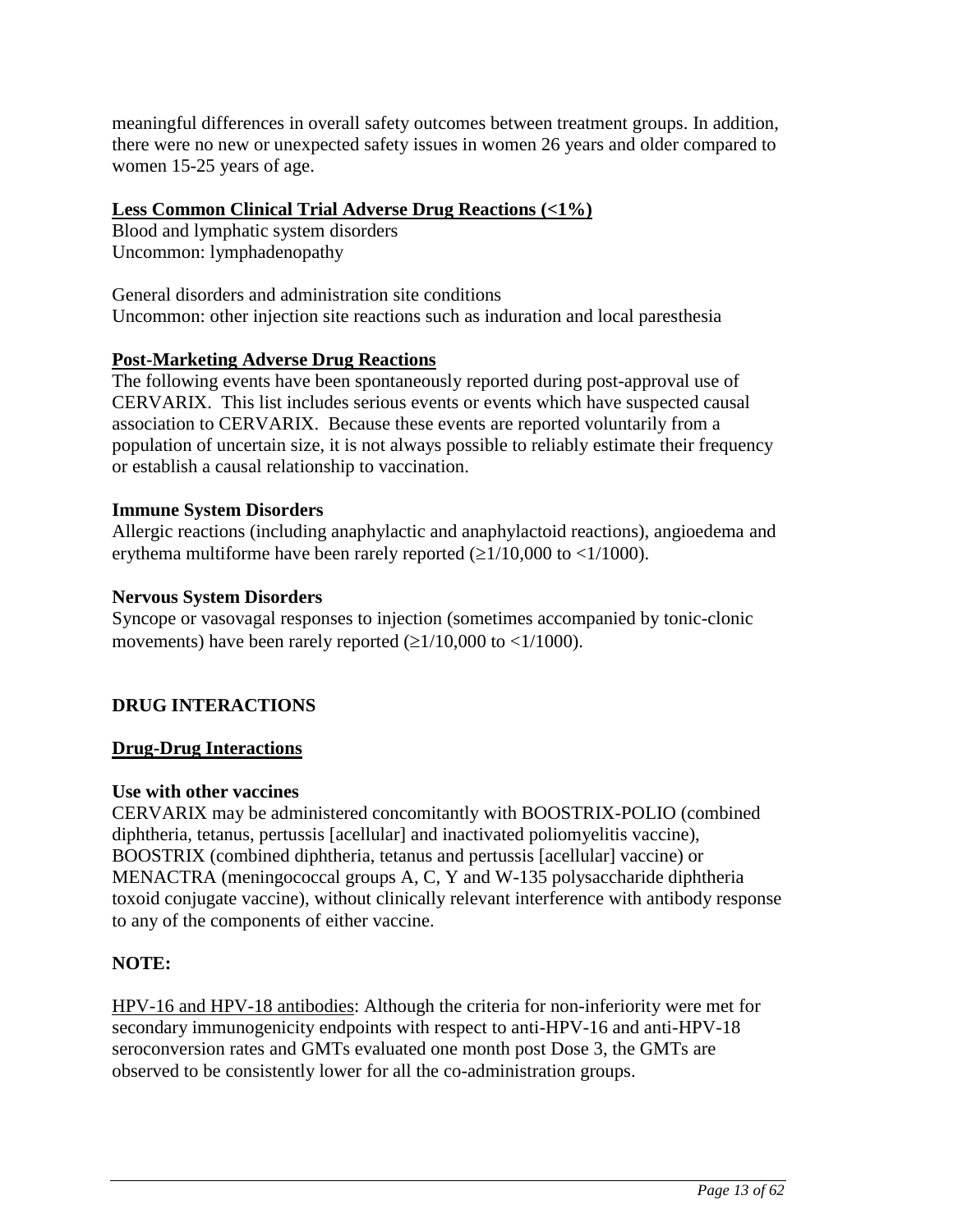<span id="page-12-0"></span>meaningful differences in overall safety outcomes between treatment groups. In addition, there were no new or unexpected safety issues in women 26 years and older compared to women 15-25 years of age.

## **Less Common Clinical Trial Adverse Drug Reactions (<1%)**

Blood and lymphatic system disorders Uncommon: lymphadenopathy

General disorders and administration site conditions Uncommon: other injection site reactions such as induration and local paresthesia

## **Post-Marketing Adverse Drug Reactions**

The following events have been spontaneously reported during post-approval use of CERVARIX. This list includes serious events or events which have suspected causal association to CERVARIX. Because these events are reported voluntarily from a population of uncertain size, it is not always possible to reliably estimate their frequency or establish a causal relationship to vaccination.

## **Immune System Disorders**

Allergic reactions (including anaphylactic and anaphylactoid reactions), angioedema and erythema multiforme have been rarely reported  $(\geq 1/10,000$  to  $\lt 1/1000)$ .

### **Nervous System Disorders**

Syncope or vasovagal responses to injection (sometimes accompanied by tonic-clonic movements) have been rarely reported  $(\geq 1/10,000$  to  $\lt 1/1000)$ .

## **DRUG INTERACTIONS**

## **Drug-Drug Interactions**

## **Use with other vaccines**

CERVARIX may be administered concomitantly with BOOSTRIX-POLIO (combined diphtheria, tetanus, pertussis [acellular] and inactivated poliomyelitis vaccine), BOOSTRIX (combined diphtheria, tetanus and pertussis [acellular] vaccine) or MENACTRA (meningococcal groups A, C, Y and W-135 polysaccharide diphtheria toxoid conjugate vaccine), without clinically relevant interference with antibody response to any of the components of either vaccine.

## **NOTE:**

HPV-16 and HPV-18 antibodies: Although the criteria for non-inferiority were met for secondary immunogenicity endpoints with respect to anti-HPV-16 and anti-HPV-18 seroconversion rates and GMTs evaluated one month post Dose 3, the GMTs are observed to be consistently lower for all the co-administration groups.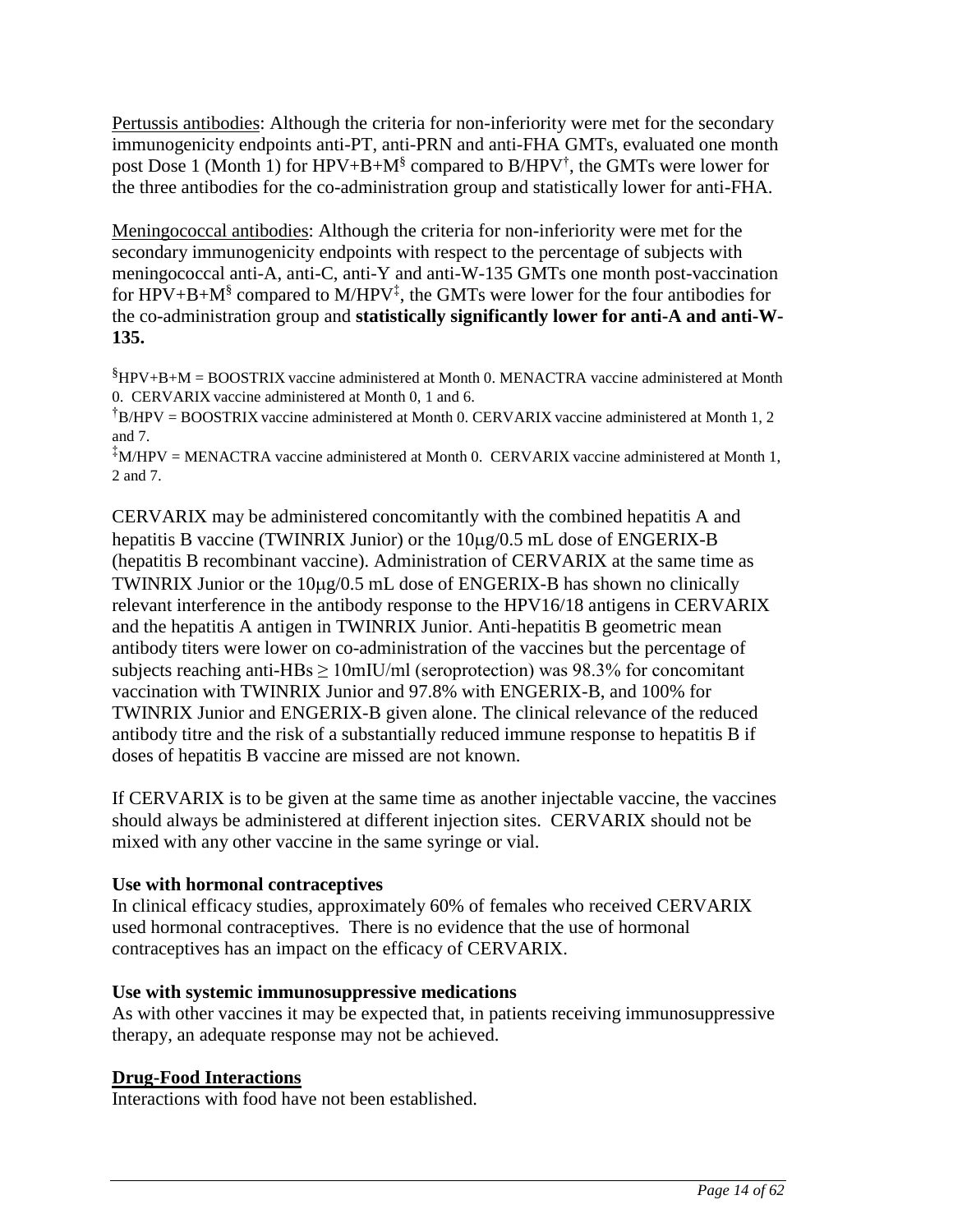Pertussis antibodies: Although the criteria for non-inferiority were met for the secondary immunogenicity endpoints anti-PT, anti-PRN and anti-FHA GMTs, evaluated one month post Dose 1 (Month 1) for  $HPV + B + M^{\$}$  compared to  $B/HPV^{\dagger}$ , the GMTs were lower for the three antibodies for the co-administration group and statistically lower for anti-FHA.

Meningococcal antibodies: Although the criteria for non-inferiority were met for the secondary immunogenicity endpoints with respect to the percentage of subjects with meningococcal anti-A, anti-C, anti-Y and anti-W-135 GMTs one month post-vaccination for HPV+B+M<sup>§</sup> compared to M/HPV<sup>‡</sup>, the GMTs were lower for the four antibodies for the co-administration group and **statistically significantly lower for anti-A and anti-W-135.**

 $§$ HPV+B+M = BOOSTRIX vaccine administered at Month 0. MENACTRA vaccine administered at Month 0. CERVARIX vaccine administered at Month 0, 1 and 6.

†B/HPV = BOOSTRIX vaccine administered at Month 0. CERVARIX vaccine administered at Month 1, 2 and 7.

 $*$ M/HPV = MENACTRA vaccine administered at Month 0. CERVARIX vaccine administered at Month 1, 2 and 7.

CERVARIX may be administered concomitantly with the combined hepatitis A and hepatitis B vaccine (TWINRIX Junior) or the  $10\mu g/0.5$  mL dose of ENGERIX-B (hepatitis B recombinant vaccine). Administration of CERVARIX at the same time as TWINRIX Junior or the  $10\mu$ g/0.5 mL dose of ENGERIX-B has shown no clinically relevant interference in the antibody response to the HPV16/18 antigens in CERVARIX and the hepatitis A antigen in TWINRIX Junior. Anti-hepatitis B geometric mean antibody titers were lower on co-administration of the vaccines but the percentage of subjects reaching anti-HBs  $\geq 10$ mIU/ml (seroprotection) was 98.3% for concomitant vaccination with TWINRIX Junior and 97.8% with ENGERIX-B, and 100% for TWINRIX Junior and ENGERIX-B given alone. The clinical relevance of the reduced antibody titre and the risk of a substantially reduced immune response to hepatitis B if doses of hepatitis B vaccine are missed are not known.

If CERVARIX is to be given at the same time as another injectable vaccine, the vaccines should always be administered at different injection sites. CERVARIX should not be mixed with any other vaccine in the same syringe or vial.

## **Use with hormonal contraceptives**

In clinical efficacy studies, approximately 60% of females who received CERVARIX used hormonal contraceptives. There is no evidence that the use of hormonal contraceptives has an impact on the efficacy of CERVARIX.

### **Use with systemic immunosuppressive medications**

As with other vaccines it may be expected that, in patients receiving immunosuppressive therapy, an adequate response may not be achieved.

## **Drug-Food Interactions**

Interactions with food have not been established.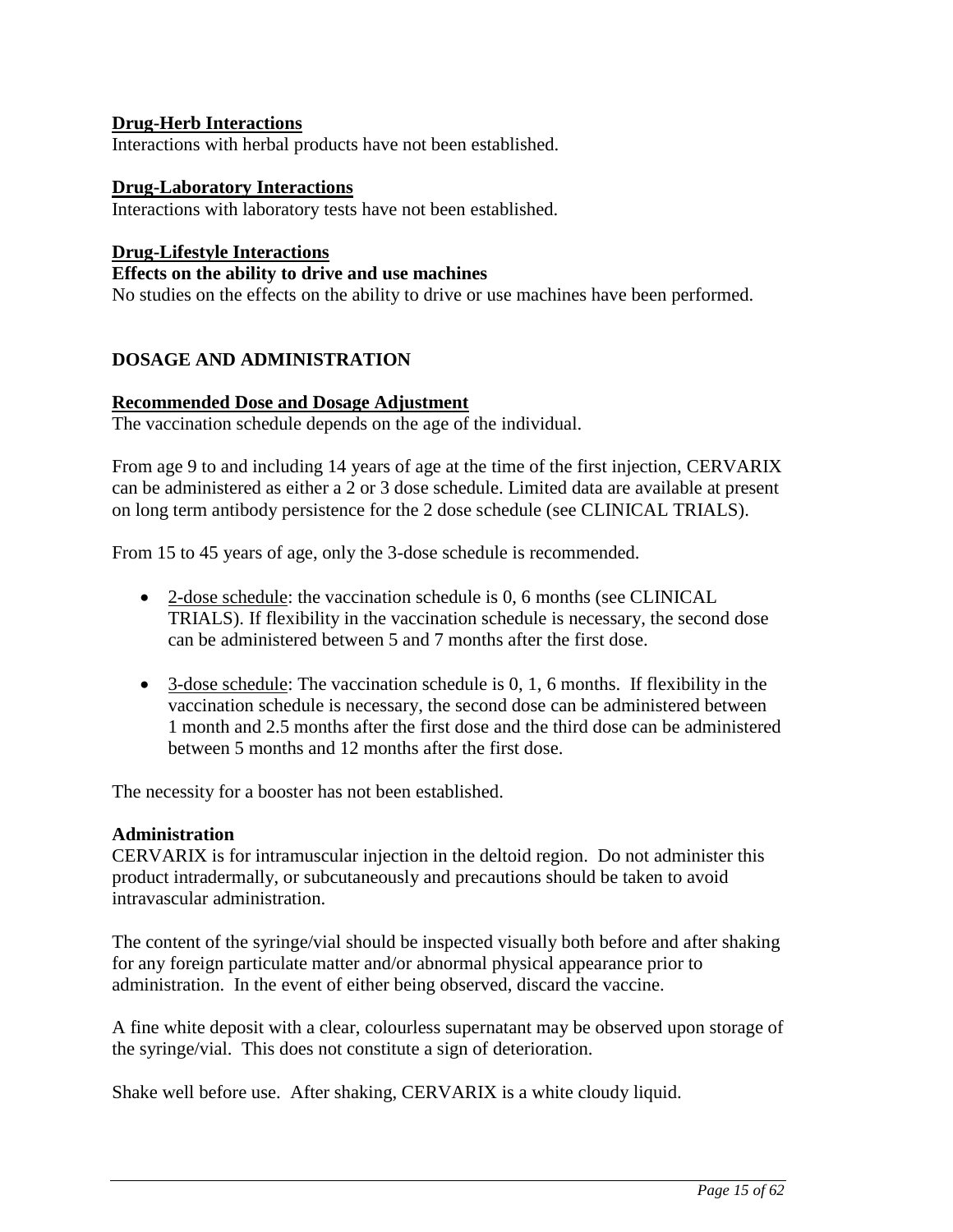### <span id="page-14-0"></span>**Drug-Herb Interactions**

Interactions with herbal products have not been established.

### **Drug-Laboratory Interactions**

Interactions with laboratory tests have not been established.

### **Drug-Lifestyle Interactions**

### **Effects on the ability to drive and use machines**

No studies on the effects on the ability to drive or use machines have been performed.

### **DOSAGE AND ADMINISTRATION**

### **Recommended Dose and Dosage Adjustment**

The vaccination schedule depends on the age of the individual.

From age 9 to and including 14 years of age at the time of the first injection, CERVARIX can be administered as either a 2 or 3 dose schedule. Limited data are available at present on long term antibody persistence for the 2 dose schedule (see CLINICAL TRIALS).

From 15 to 45 years of age, only the 3-dose schedule is recommended.

- 2-dose schedule: the vaccination schedule is 0, 6 months (see CLINICAL TRIALS). If flexibility in the vaccination schedule is necessary, the second dose can be administered between 5 and 7 months after the first dose.
- 3-dose schedule: The vaccination schedule is 0, 1, 6 months. If flexibility in the vaccination schedule is necessary, the second dose can be administered between 1 month and 2.5 months after the first dose and the third dose can be administered between 5 months and 12 months after the first dose.

The necessity for a booster has not been established.

#### **Administration**

CERVARIX is for intramuscular injection in the deltoid region. Do not administer this product intradermally, or subcutaneously and precautions should be taken to avoid intravascular administration.

The content of the syringe/vial should be inspected visually both before and after shaking for any foreign particulate matter and/or abnormal physical appearance prior to administration. In the event of either being observed, discard the vaccine.

A fine white deposit with a clear, colourless supernatant may be observed upon storage of the syringe/vial. This does not constitute a sign of deterioration.

Shake well before use. After shaking, CERVARIX is a white cloudy liquid.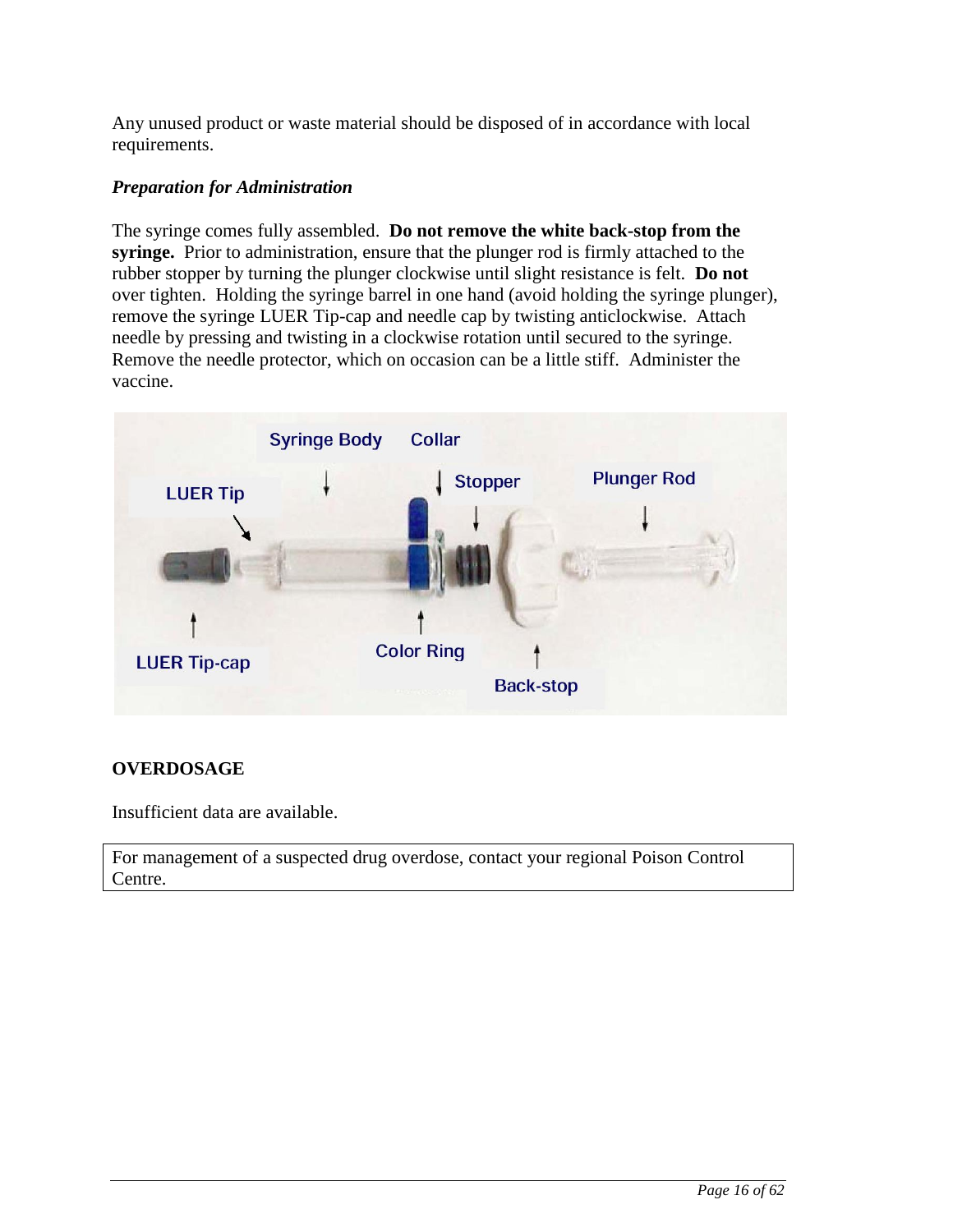<span id="page-15-0"></span>Any unused product or waste material should be disposed of in accordance with local requirements.

## *Preparation for Administration*

The syringe comes fully assembled. **Do not remove the white back-stop from the syringe.** Prior to administration, ensure that the plunger rod is firmly attached to the rubber stopper by turning the plunger clockwise until slight resistance is felt. **Do not** over tighten. Holding the syringe barrel in one hand (avoid holding the syringe plunger), remove the syringe LUER Tip-cap and needle cap by twisting anticlockwise. Attach needle by pressing and twisting in a clockwise rotation until secured to the syringe. Remove the needle protector, which on occasion can be a little stiff. Administer the vaccine.



## **OVERDOSAGE**

Insufficient data are available.

For management of a suspected drug overdose, contact your regional Poison Control Centre.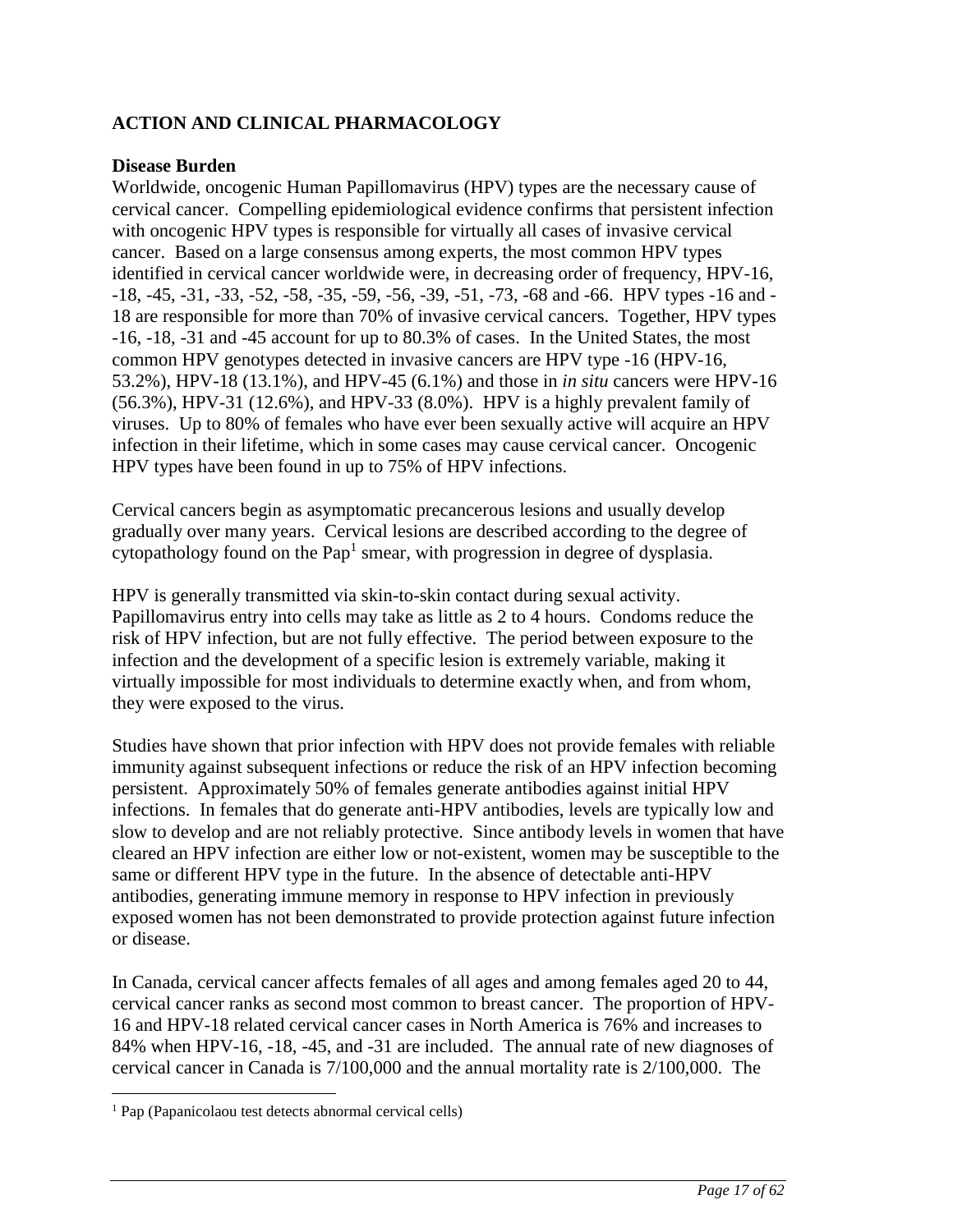## <span id="page-16-0"></span>**ACTION AND CLINICAL PHARMACOLOGY**

### **Disease Burden**

Worldwide, oncogenic Human Papillomavirus (HPV) types are the necessary cause of cervical cancer. Compelling epidemiological evidence confirms that persistent infection with oncogenic HPV types is responsible for virtually all cases of invasive cervical cancer. Based on a large consensus among experts, the most common HPV types identified in cervical cancer worldwide were, in decreasing order of frequency, HPV-16, -18, -45, -31, -33, -52, -58, -35, -59, -56, -39, -51, -73, -68 and -66. HPV types -16 and - 18 are responsible for more than 70% of invasive cervical cancers. Together, HPV types -16, -18, -31 and -45 account for up to 80.3% of cases. In the United States, the most common HPV genotypes detected in invasive cancers are HPV type -16 (HPV-16, 53.2%), HPV-18 (13.1%), and HPV-45 (6.1%) and those in *in situ* cancers were HPV-16 (56.3%), HPV-31 (12.6%), and HPV-33 (8.0%). HPV is a highly prevalent family of viruses. Up to 80% of females who have ever been sexually active will acquire an HPV infection in their lifetime, which in some cases may cause cervical cancer. Oncogenic HPV types have been found in up to 75% of HPV infections.

Cervical cancers begin as asymptomatic precancerous lesions and usually develop gradually over many years. Cervical lesions are described according to the degree of cytopathology found on the Pap<sup>1</sup> smear, with progression in degree of dysplasia.

HPV is generally transmitted via skin-to-skin contact during sexual activity. Papillomavirus entry into cells may take as little as 2 to 4 hours. Condoms reduce the risk of HPV infection, but are not fully effective. The period between exposure to the infection and the development of a specific lesion is extremely variable, making it virtually impossible for most individuals to determine exactly when, and from whom, they were exposed to the virus.

Studies have shown that prior infection with HPV does not provide females with reliable immunity against subsequent infections or reduce the risk of an HPV infection becoming persistent. Approximately 50% of females generate antibodies against initial HPV infections. In females that do generate anti-HPV antibodies, levels are typically low and slow to develop and are not reliably protective. Since antibody levels in women that have cleared an HPV infection are either low or not-existent, women may be susceptible to the same or different HPV type in the future. In the absence of detectable anti-HPV antibodies, generating immune memory in response to HPV infection in previously exposed women has not been demonstrated to provide protection against future infection or disease.

In Canada, cervical cancer affects females of all ages and among females aged 20 to 44, cervical cancer ranks as second most common to breast cancer. The proportion of HPV-16 and HPV-18 related cervical cancer cases in North America is 76% and increases to 84% when HPV-16, -18, -45, and -31 are included. The annual rate of new diagnoses of cervical cancer in Canada is 7/100,000 and the annual mortality rate is 2/100,000. The

 $\overline{a}$ 

<sup>1</sup> Pap (Papanicolaou test detects abnormal cervical cells)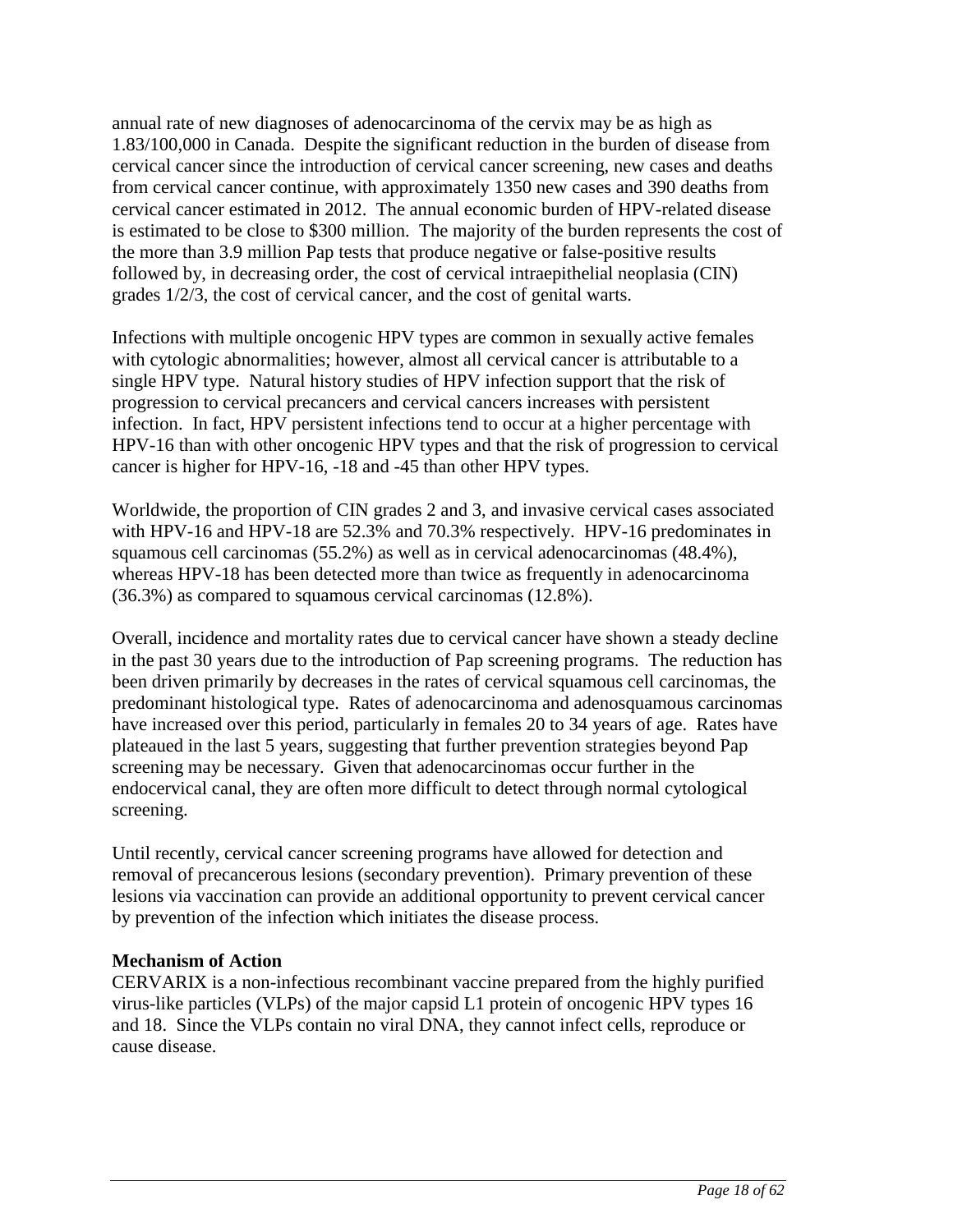annual rate of new diagnoses of adenocarcinoma of the cervix may be as high as 1.83/100,000 in Canada. Despite the significant reduction in the burden of disease from cervical cancer since the introduction of cervical cancer screening, new cases and deaths from cervical cancer continue, with approximately 1350 new cases and 390 deaths from cervical cancer estimated in 2012. The annual economic burden of HPV-related disease is estimated to be close to \$300 million. The majority of the burden represents the cost of the more than 3.9 million Pap tests that produce negative or false-positive results followed by, in decreasing order, the cost of cervical intraepithelial neoplasia (CIN) grades 1/2/3, the cost of cervical cancer, and the cost of genital warts.

Infections with multiple oncogenic HPV types are common in sexually active females with cytologic abnormalities; however, almost all cervical cancer is attributable to a single HPV type. Natural history studies of HPV infection support that the risk of progression to cervical precancers and cervical cancers increases with persistent infection. In fact, HPV persistent infections tend to occur at a higher percentage with HPV-16 than with other oncogenic HPV types and that the risk of progression to cervical cancer is higher for HPV-16, -18 and -45 than other HPV types.

Worldwide, the proportion of CIN grades 2 and 3, and invasive cervical cases associated with HPV-16 and HPV-18 are 52.3% and 70.3% respectively. HPV-16 predominates in squamous cell carcinomas (55.2%) as well as in cervical adenocarcinomas (48.4%), whereas HPV-18 has been detected more than twice as frequently in adenocarcinoma (36.3%) as compared to squamous cervical carcinomas (12.8%).

Overall, incidence and mortality rates due to cervical cancer have shown a steady decline in the past 30 years due to the introduction of Pap screening programs. The reduction has been driven primarily by decreases in the rates of cervical squamous cell carcinomas, the predominant histological type. Rates of adenocarcinoma and adenosquamous carcinomas have increased over this period, particularly in females 20 to 34 years of age. Rates have plateaued in the last 5 years, suggesting that further prevention strategies beyond Pap screening may be necessary. Given that adenocarcinomas occur further in the endocervical canal, they are often more difficult to detect through normal cytological screening.

Until recently, cervical cancer screening programs have allowed for detection and removal of precancerous lesions (secondary prevention). Primary prevention of these lesions via vaccination can provide an additional opportunity to prevent cervical cancer by prevention of the infection which initiates the disease process.

### **Mechanism of Action**

CERVARIX is a non-infectious recombinant vaccine prepared from the highly purified virus-like particles (VLPs) of the major capsid L1 protein of oncogenic HPV types 16 and 18. Since the VLPs contain no viral DNA, they cannot infect cells, reproduce or cause disease.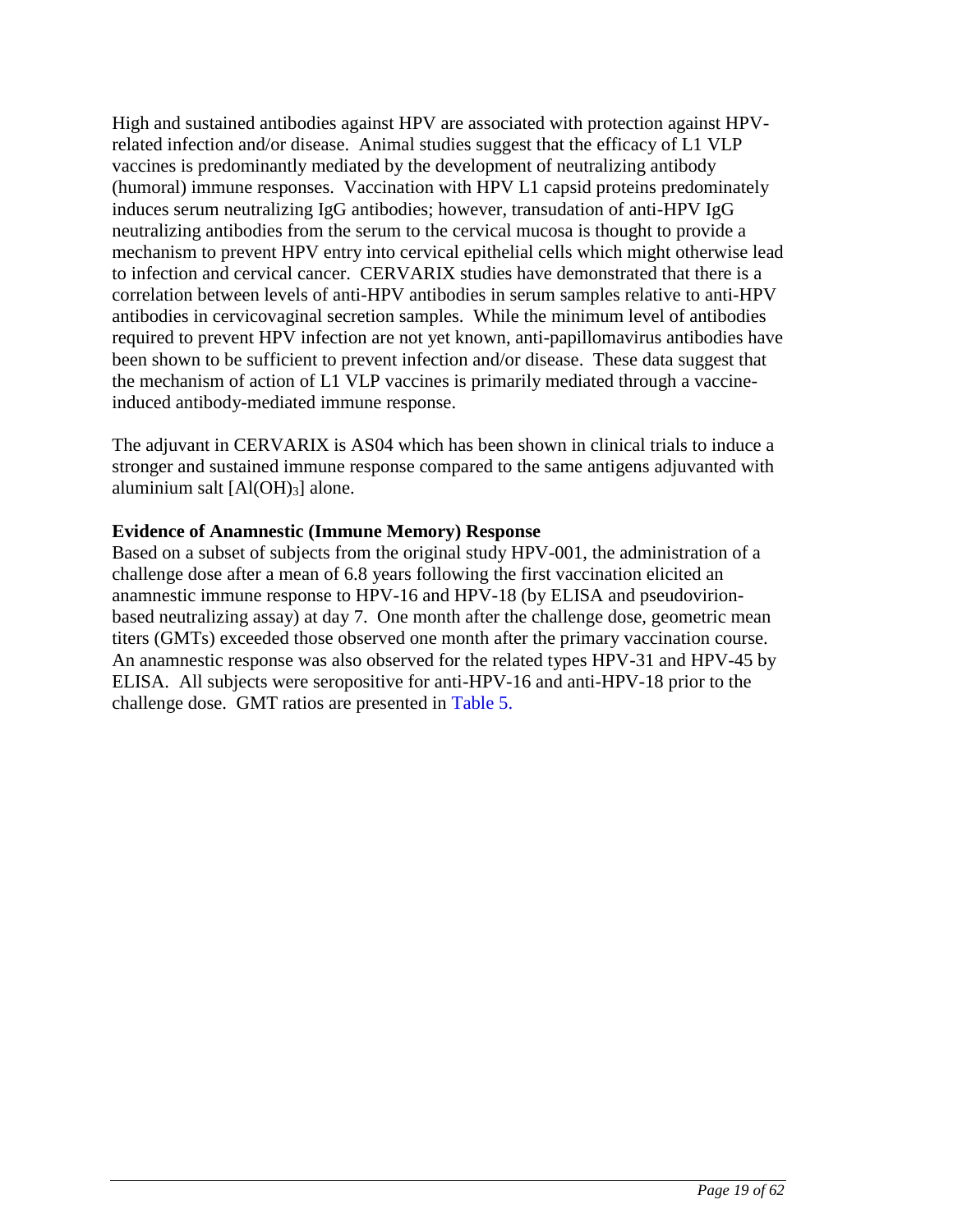High and sustained antibodies against HPV are associated with protection against HPVrelated infection and/or disease. Animal studies suggest that the efficacy of L1 VLP vaccines is predominantly mediated by the development of neutralizing antibody (humoral) immune responses. Vaccination with HPV L1 capsid proteins predominately induces serum neutralizing IgG antibodies; however, transudation of anti-HPV IgG neutralizing antibodies from the serum to the cervical mucosa is thought to provide a mechanism to prevent HPV entry into cervical epithelial cells which might otherwise lead to infection and cervical cancer. CERVARIX studies have demonstrated that there is a correlation between levels of anti-HPV antibodies in serum samples relative to anti-HPV antibodies in cervicovaginal secretion samples. While the minimum level of antibodies required to prevent HPV infection are not yet known, anti-papillomavirus antibodies have been shown to be sufficient to prevent infection and/or disease. These data suggest that the mechanism of action of L1 VLP vaccines is primarily mediated through a vaccineinduced antibody-mediated immune response.

The adjuvant in CERVARIX is AS04 which has been shown in clinical trials to induce a stronger and sustained immune response compared to the same antigens adjuvanted with aluminium salt  $[A(OH)_3]$  alone.

### **Evidence of Anamnestic (Immune Memory) Response**

Based on a subset of subjects from the original study HPV-001, the administration of a challenge dose after a mean of 6.8 years following the first vaccination elicited an anamnestic immune response to HPV-16 and HPV-18 (by ELISA and pseudovirionbased neutralizing assay) at day 7. One month after the challenge dose, geometric mean titers (GMTs) exceeded those observed one month after the primary vaccination course. An anamnestic response was also observed for the related types HPV-31 and HPV-45 by ELISA. All subjects were seropositive for anti-HPV-16 and anti-HPV-18 prior to the challenge dose. GMT ratios are presented in [Table 5.](#page-19-1)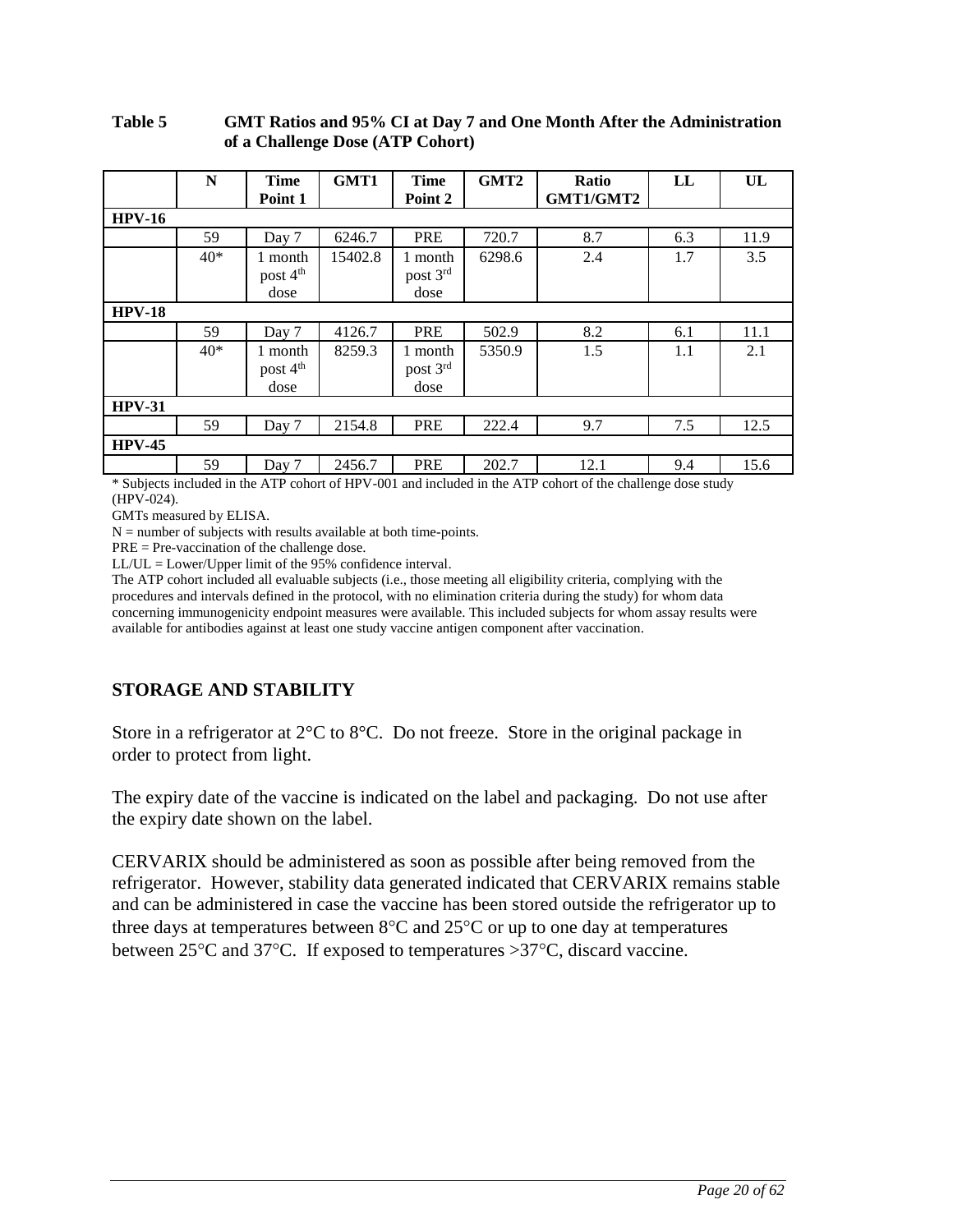#### <span id="page-19-1"></span><span id="page-19-0"></span>**Table 5 GMT Ratios and 95% CI at Day 7 and One Month After the Administration of a Challenge Dose (ATP Cohort)**

|               | N     | <b>Time</b>          | GMT1    | <b>Time</b> | GMT <sub>2</sub> | Ratio     | LL  | UL   |
|---------------|-------|----------------------|---------|-------------|------------------|-----------|-----|------|
|               |       | Point 1              |         | Point 2     |                  | GMT1/GMT2 |     |      |
| $HPV-16$      |       |                      |         |             |                  |           |     |      |
|               | 59    | Day 7                | 6246.7  | <b>PRE</b>  | 720.7            | 8.7       | 6.3 | 11.9 |
|               | $40*$ | 1 month              | 15402.8 | 1 month     | 6298.6           | 2.4       | 1.7 | 3.5  |
|               |       | post 4 <sup>th</sup> |         | post 3rd    |                  |           |     |      |
|               |       | dose                 |         | dose        |                  |           |     |      |
| <b>HPV-18</b> |       |                      |         |             |                  |           |     |      |
|               | 59    | Day 7                | 4126.7  | <b>PRE</b>  | 502.9            | 8.2       | 6.1 | 11.1 |
|               | $40*$ | 1 month              | 8259.3  | 1 month     | 5350.9           | 1.5       | 1.1 | 2.1  |
|               |       | post 4 <sup>th</sup> |         | post 3rd    |                  |           |     |      |
|               |       | dose                 |         | dose        |                  |           |     |      |
| $HPV-31$      |       |                      |         |             |                  |           |     |      |
|               | 59    | Day 7                | 2154.8  | <b>PRE</b>  | 222.4            | 9.7       | 7.5 | 12.5 |
| $HPV-45$      |       |                      |         |             |                  |           |     |      |
|               | 59    | Day 7                | 2456.7  | <b>PRE</b>  | 202.7            | 12.1      | 9.4 | 15.6 |

\* Subjects included in the ATP cohort of HPV-001 and included in the ATP cohort of the challenge dose study (HPV-024).

GMTs measured by ELISA.

 $N =$  number of subjects with results available at both time-points.

PRE = Pre-vaccination of the challenge dose.

LL/UL = Lower/Upper limit of the 95% confidence interval.

The ATP cohort included all evaluable subjects (i.e., those meeting all eligibility criteria, complying with the procedures and intervals defined in the protocol, with no elimination criteria during the study) for whom data concerning immunogenicity endpoint measures were available. This included subjects for whom assay results were available for antibodies against at least one study vaccine antigen component after vaccination.

## **STORAGE AND STABILITY**

Store in a refrigerator at 2°C to 8°C. Do not freeze. Store in the original package in order to protect from light.

The expiry date of the vaccine is indicated on the label and packaging. Do not use after the expiry date shown on the label.

CERVARIX should be administered as soon as possible after being removed from the refrigerator. However, stability data generated indicated that CERVARIX remains stable and can be administered in case the vaccine has been stored outside the refrigerator up to three days at temperatures between  $8^{\circ}$ C and  $25^{\circ}$ C or up to one day at temperatures between  $25^{\circ}$ C and  $37^{\circ}$ C. If exposed to temperatures  $>37^{\circ}$ C, discard vaccine.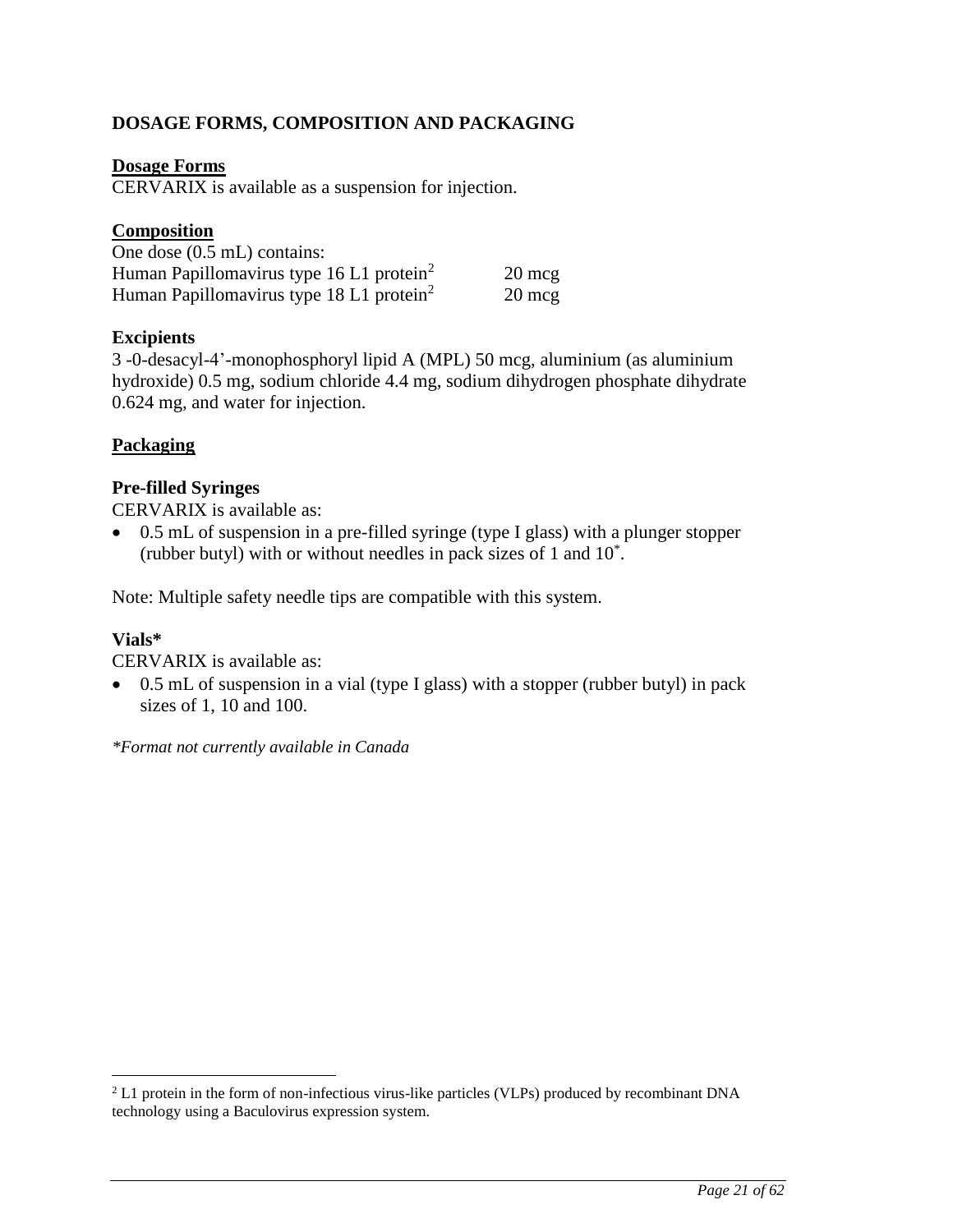## <span id="page-20-0"></span>**DOSAGE FORMS, COMPOSITION AND PACKAGING**

### **Dosage Forms**

CERVARIX is available as a suspension for injection.

### **Composition**

| One dose $(0.5 \text{ mL})$ contains:                |                  |
|------------------------------------------------------|------------------|
| Human Papillomavirus type 16 L1 protein <sup>2</sup> | $20 \text{ mcg}$ |
| Human Papillomavirus type 18 L1 protein <sup>2</sup> | $20 \text{ mcg}$ |

### **Excipients**

3 -0-desacyl-4'-monophosphoryl lipid A (MPL) 50 mcg, aluminium (as aluminium hydroxide) 0.5 mg, sodium chloride 4.4 mg, sodium dihydrogen phosphate dihydrate 0.624 mg, and water for injection.

### **Packaging**

### **Pre-filled Syringes**

CERVARIX is available as:

• 0.5 mL of suspension in a pre-filled syringe (type I glass) with a plunger stopper (rubber butyl) with or without needles in pack sizes of 1 and 10\* .

Note: Multiple safety needle tips are compatible with this system.

### **Vials\***

 $\overline{a}$ 

CERVARIX is available as:

• 0.5 mL of suspension in a vial (type I glass) with a stopper (rubber butyl) in pack sizes of 1, 10 and 100.

*\*Format not currently available in Canada*

<sup>&</sup>lt;sup>2</sup> L1 protein in the form of non-infectious virus-like particles (VLPs) produced by recombinant DNA technology using a Baculovirus expression system.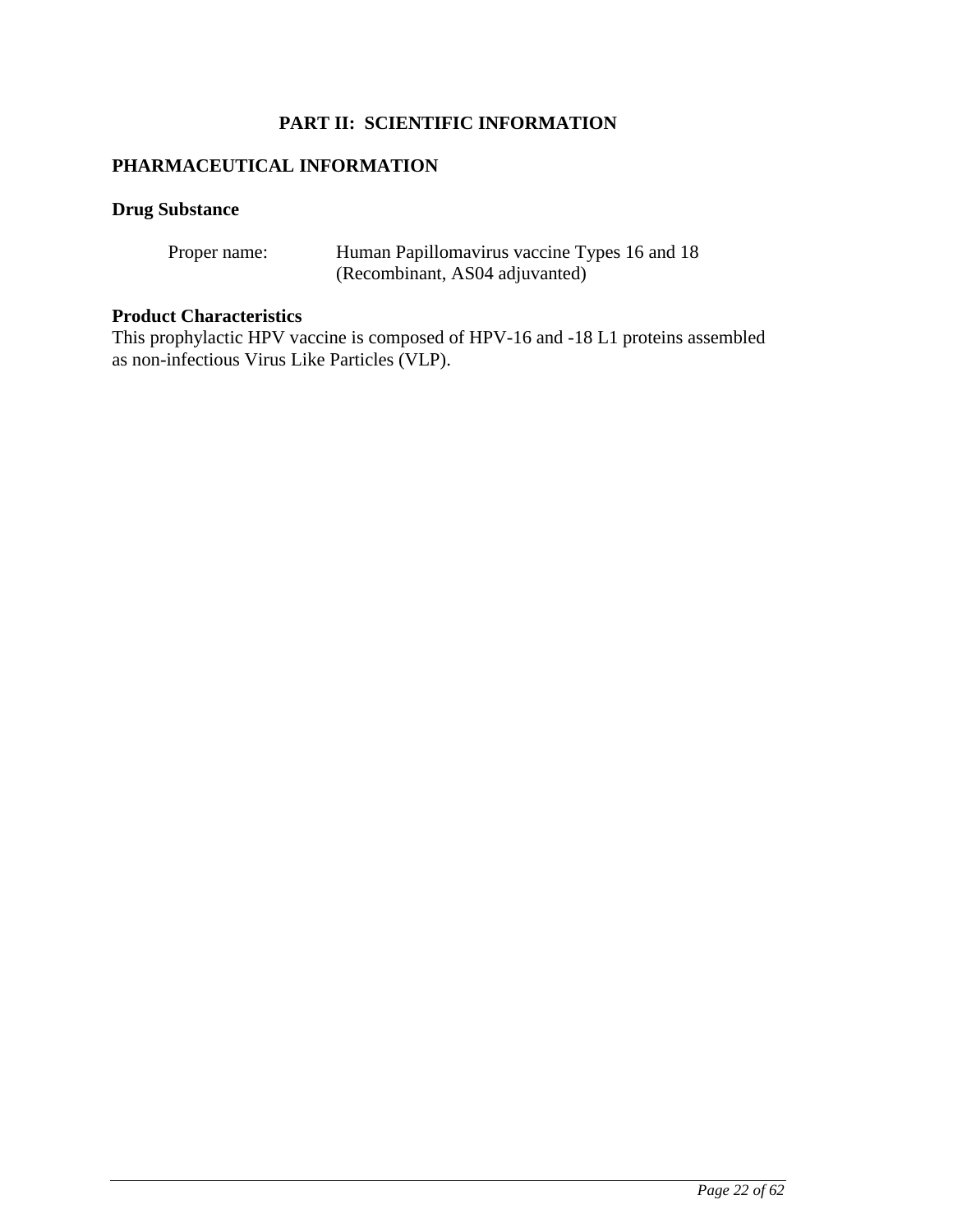## **PART II: SCIENTIFIC INFORMATION**

## <span id="page-21-0"></span>**PHARMACEUTICAL INFORMATION**

## **Drug Substance**

| Proper name: | Human Papillomavirus vaccine Types 16 and 18 |
|--------------|----------------------------------------------|
|              | (Recombinant, AS04 adjuvanted)               |

### **Product Characteristics**

This prophylactic HPV vaccine is composed of HPV-16 and -18 L1 proteins assembled as non-infectious Virus Like Particles (VLP).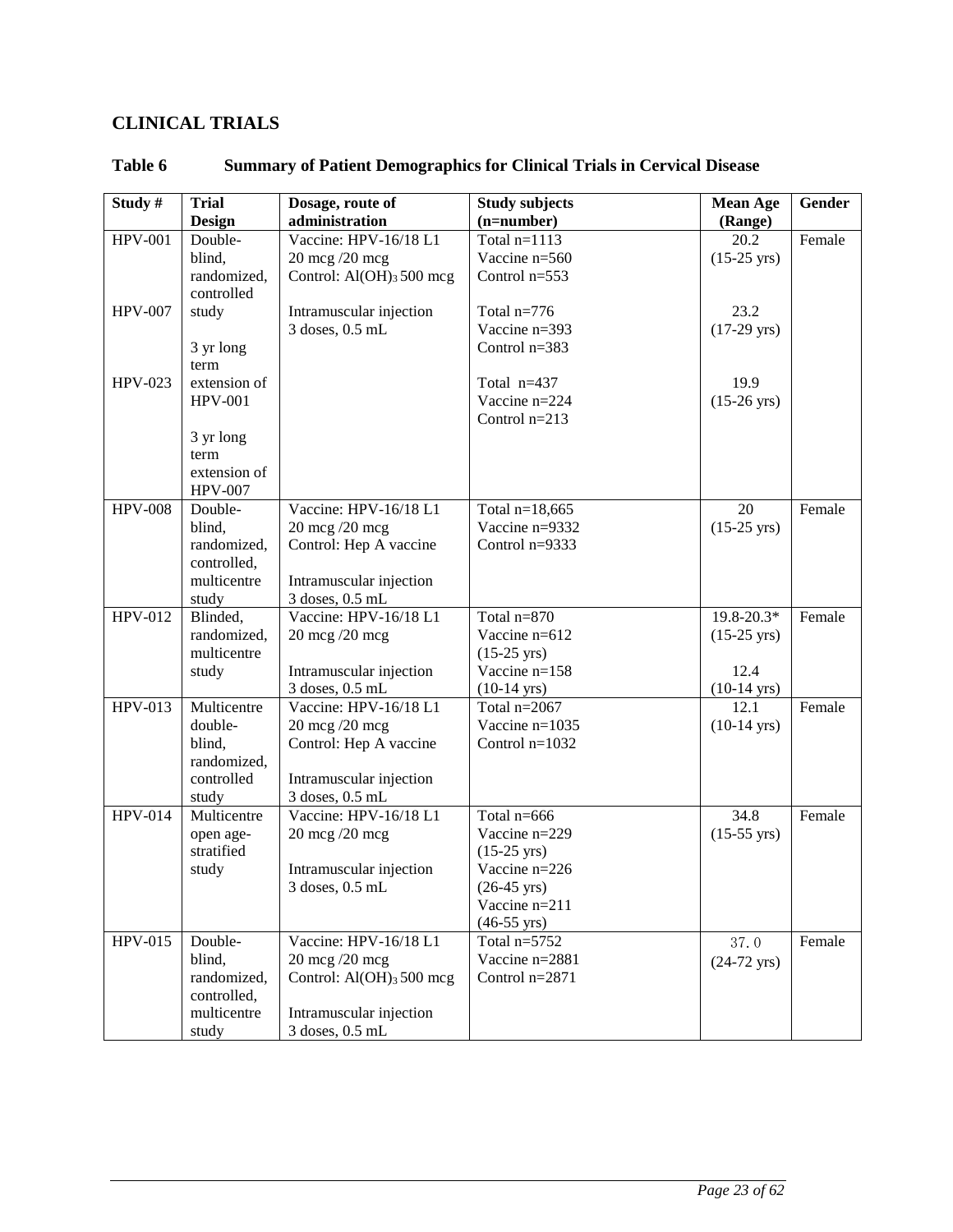# <span id="page-22-0"></span>**CLINICAL TRIALS**

| Study #        | <b>Trial</b>         | Dosage, route of                           | <b>Study subjects</b> | <b>Mean Age</b>       | Gender |
|----------------|----------------------|--------------------------------------------|-----------------------|-----------------------|--------|
|                | <b>Design</b>        | administration                             | $(n=number)$          | (Range)               |        |
| <b>HPV-001</b> | Double-              | Vaccine: HPV-16/18 L1                      | Total $n=1113$        | 20.2                  | Female |
|                | blind,               | 20 mcg /20 mcg                             | Vaccine n=560         | $(15-25 \text{ yrs})$ |        |
|                | randomized,          | Control: $Al(OH)$ <sub>3</sub> 500 mcg     | Control $n=553$       |                       |        |
|                | controlled           |                                            |                       |                       |        |
| <b>HPV-007</b> | study                | Intramuscular injection                    | Total $n=776$         | 23.2                  |        |
|                |                      | 3 doses, 0.5 mL                            | Vaccine n=393         | $(17-29 \text{ yrs})$ |        |
|                | 3 yr long            |                                            | Control $n=383$       |                       |        |
|                | term                 |                                            |                       |                       |        |
| HPV-023        | extension of         |                                            | Total n=437           | 19.9                  |        |
|                | <b>HPV-001</b>       |                                            | Vaccine n=224         | $(15-26 \text{ yrs})$ |        |
|                |                      |                                            | Control $n=213$       |                       |        |
|                | 3 yr long<br>term    |                                            |                       |                       |        |
|                | extension of         |                                            |                       |                       |        |
|                | <b>HPV-007</b>       |                                            |                       |                       |        |
| <b>HPV-008</b> | Double-              | Vaccine: HPV-16/18 L1                      | Total $n=18,665$      | 20                    | Female |
|                | blind,               | 20 mcg /20 mcg                             | Vaccine n=9332        | $(15-25 \text{ yrs})$ |        |
|                | randomized,          | Control: Hep A vaccine                     | Control $n=9333$      |                       |        |
|                | controlled,          |                                            |                       |                       |        |
|                | multicentre          | Intramuscular injection                    |                       |                       |        |
|                | study                | 3 doses, 0.5 mL                            |                       |                       |        |
| HPV-012        | Blinded,             | Vaccine: HPV-16/18 L1                      | Total $n=870$         | 19.8-20.3*            | Female |
|                | randomized,          | $20 \text{ mcg}$ /20 mcg                   | Vaccine n=612         | $(15-25 \text{ yrs})$ |        |
|                | multicentre          |                                            | $(15-25 \text{ yrs})$ |                       |        |
|                | study                | Intramuscular injection                    | Vaccine n=158         | 12.4                  |        |
|                |                      | 3 doses, 0.5 mL                            | $(10-14 \text{ yrs})$ | $(10-14 \text{ yrs})$ |        |
| HPV-013        | Multicentre          | Vaccine: HPV-16/18 L1                      | Total $n=2067$        | 12.1                  | Female |
|                | double-              | $20 \text{ mcg}$ /20 mcg                   | Vaccine $n=1035$      | $(10-14 \text{ yrs})$ |        |
|                | blind,               | Control: Hep A vaccine                     | Control $n=1032$      |                       |        |
|                | randomized,          |                                            |                       |                       |        |
|                | controlled           | Intramuscular injection<br>3 doses, 0.5 mL |                       |                       |        |
| <b>HPV-014</b> | study<br>Multicentre | Vaccine: HPV-16/18 L1                      | Total n=666           | 34.8                  | Female |
|                | open age-            | 20 mcg /20 mcg                             | Vaccine n=229         | $(15-55 \text{ yrs})$ |        |
|                | stratified           |                                            | $(15-25 \text{ yrs})$ |                       |        |
|                | study                | Intramuscular injection                    | Vaccine n=226         |                       |        |
|                |                      | $3$ doses, $0.5$ mL                        | $(26-45 \text{ yrs})$ |                       |        |
|                |                      |                                            | Vaccine n=211         |                       |        |
|                |                      |                                            | $(46-55 \text{ yrs})$ |                       |        |
| HPV-015        | Double-              | Vaccine: HPV-16/18 L1                      | Total $n=5752$        | 37.0                  | Female |
|                | blind,               | 20 mcg /20 mcg                             | Vaccine n=2881        | $(24-72 \text{ yrs})$ |        |
|                | randomized,          | Control: $Al(OH)_{3}$ 500 mcg              | Control $n=2871$      |                       |        |
|                | controlled,          |                                            |                       |                       |        |
|                | multicentre          | Intramuscular injection                    |                       |                       |        |
|                | study                | 3 doses, 0.5 mL                            |                       |                       |        |

## **Table 6 Summary of Patient Demographics for Clinical Trials in Cervical Disease**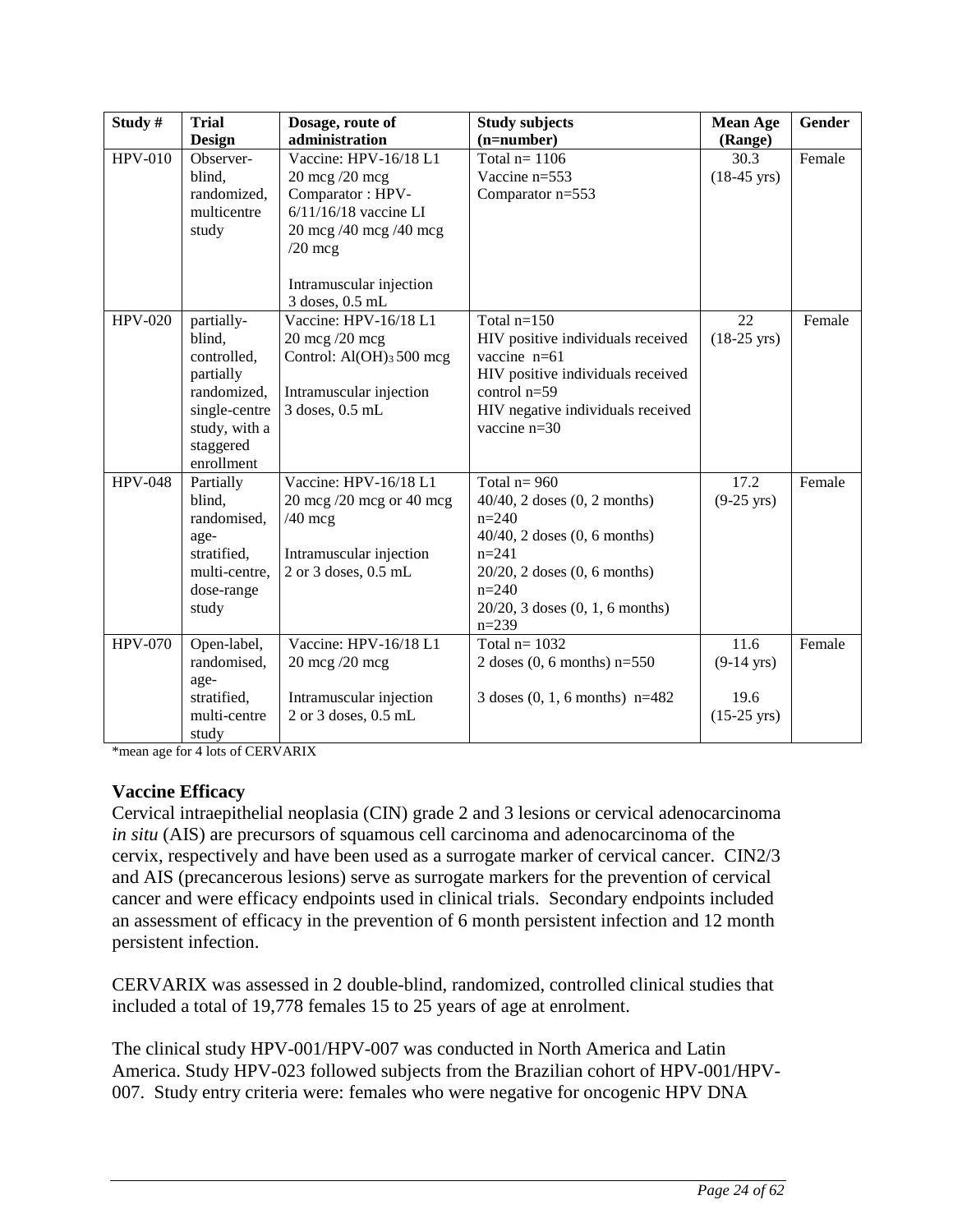| Study#         | <b>Trial</b>                                                                                                                 | Dosage, route of                                                                                                                                         | <b>Study subjects</b>                                                                                                                                                                                                | <b>Mean Age</b>                                               | Gender |
|----------------|------------------------------------------------------------------------------------------------------------------------------|----------------------------------------------------------------------------------------------------------------------------------------------------------|----------------------------------------------------------------------------------------------------------------------------------------------------------------------------------------------------------------------|---------------------------------------------------------------|--------|
|                | <b>Design</b>                                                                                                                | administration                                                                                                                                           | $(n=number)$                                                                                                                                                                                                         | (Range)                                                       |        |
| <b>HPV-010</b> | Observer-<br>blind,<br>randomized,<br>multicentre<br>study                                                                   | Vaccine: HPV-16/18 L1<br>20 mcg /20 mcg<br>Comparator: HPV-<br>$6/11/16/18$ vaccine LI<br>20 mcg /40 mcg /40 mcg<br>$/20$ mcg<br>Intramuscular injection | Total $n=1106$<br>Vaccine n=553<br>Comparator n=553                                                                                                                                                                  | 30.3<br>$(18-45 \text{ yrs})$                                 | Female |
|                |                                                                                                                              | 3 doses, 0.5 mL                                                                                                                                          |                                                                                                                                                                                                                      |                                                               |        |
| <b>HPV-020</b> | partially-<br>blind,<br>controlled,<br>partially<br>randomized,<br>single-centre<br>study, with a<br>staggered<br>enrollment | Vaccine: HPV-16/18 L1<br>$20 \text{ mcg}$ /20 mcg<br>Control: $AI(OH)$ <sub>3</sub> 500 mcg<br>Intramuscular injection<br>3 doses, 0.5 mL                | Total $n=150$<br>HIV positive individuals received<br>vaccine n=61<br>HIV positive individuals received<br>control $n=59$<br>HIV negative individuals received<br>vaccine n=30                                       | 22<br>$(18-25 \text{ yrs})$                                   | Female |
| <b>HPV-048</b> | Partially<br>blind,<br>randomised,<br>age-<br>stratified,<br>multi-centre,<br>dose-range<br>study                            | Vaccine: HPV-16/18 L1<br>$20 \text{ mcg}$ /20 mcg or 40 mcg<br>$/40$ mcg<br>Intramuscular injection<br>2 or 3 doses, 0.5 mL                              | Total $n = 960$<br>$40/40$ , 2 doses $(0, 2$ months)<br>$n=240$<br>$40/40$ , 2 doses $(0, 6$ months)<br>$n=241$<br>$20/20$ , 2 doses $(0, 6$ months)<br>$n = 240$<br>$20/20$ , 3 doses $(0, 1, 6$ months)<br>$n=239$ | 17.2<br>$(9-25 \text{ yrs})$                                  | Female |
| <b>HPV-070</b> | Open-label,<br>randomised,<br>age-<br>stratified,<br>multi-centre<br>study                                                   | Vaccine: HPV-16/18 L1<br>20 mcg /20 mcg<br>Intramuscular injection<br>2 or 3 doses, 0.5 mL                                                               | Total $n=1032$<br>2 doses $(0, 6$ months) $n=550$<br>3 doses $(0, 1, 6$ months) n=482                                                                                                                                | 11.6<br>$(9-14 \text{ yrs})$<br>19.6<br>$(15-25 \text{ yrs})$ | Female |

\*mean age for 4 lots of CERVARIX

### **Vaccine Efficacy**

Cervical intraepithelial neoplasia (CIN) grade 2 and 3 lesions or cervical adenocarcinoma *in situ* (AIS) are precursors of squamous cell carcinoma and adenocarcinoma of the cervix, respectively and have been used as a surrogate marker of cervical cancer. CIN2/3 and AIS (precancerous lesions) serve as surrogate markers for the prevention of cervical cancer and were efficacy endpoints used in clinical trials. Secondary endpoints included an assessment of efficacy in the prevention of 6 month persistent infection and 12 month persistent infection.

CERVARIX was assessed in 2 double-blind, randomized, controlled clinical studies that included a total of 19,778 females 15 to 25 years of age at enrolment.

The clinical study HPV-001/HPV-007 was conducted in North America and Latin America. Study HPV-023 followed subjects from the Brazilian cohort of HPV-001/HPV-007. Study entry criteria were: females who were negative for oncogenic HPV DNA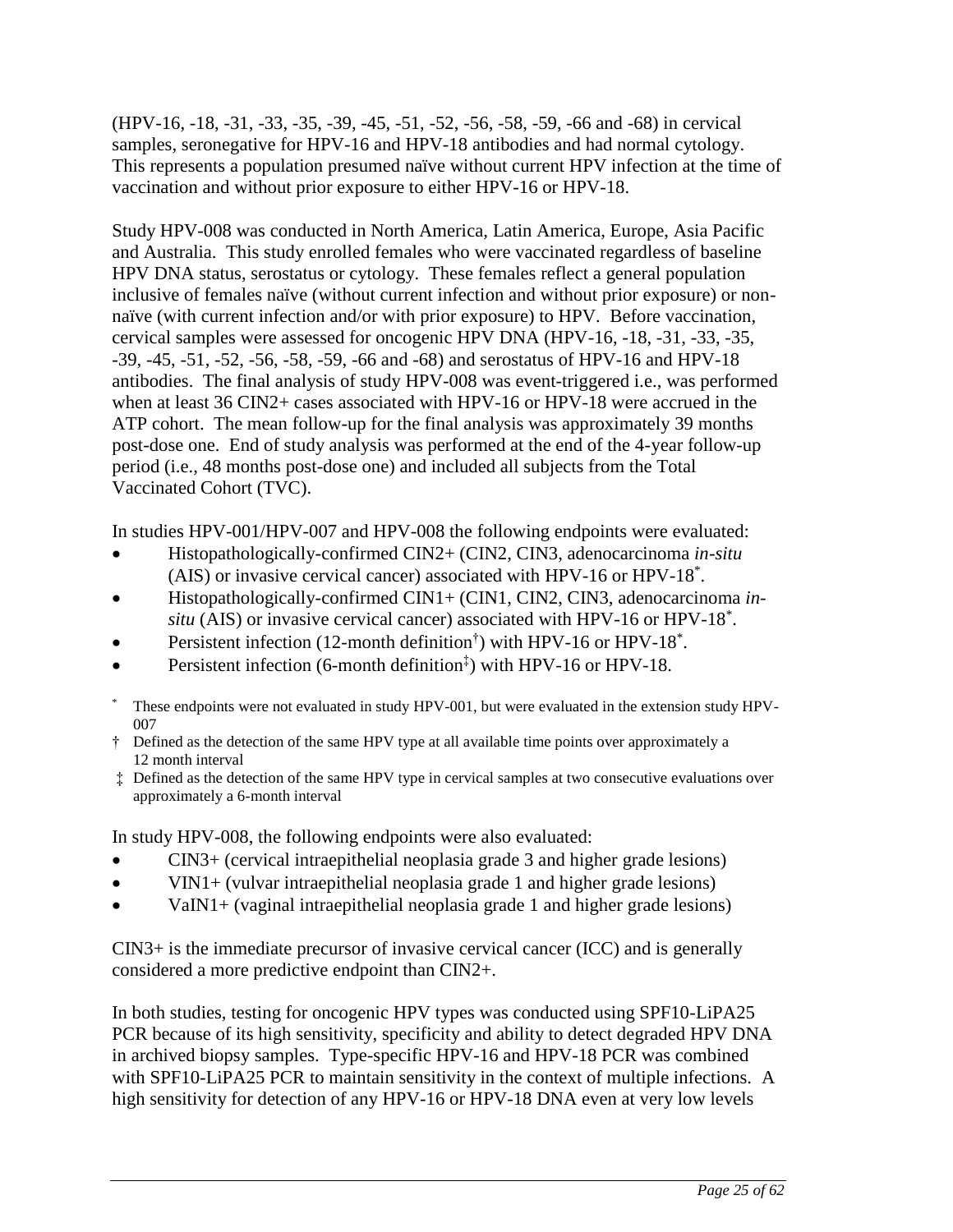(HPV-16, -18, -31, -33, -35, -39, -45, -51, -52, -56, -58, -59, -66 and -68) in cervical samples, seronegative for HPV-16 and HPV-18 antibodies and had normal cytology. This represents a population presumed naïve without current HPV infection at the time of vaccination and without prior exposure to either HPV-16 or HPV-18.

Study HPV-008 was conducted in North America, Latin America, Europe, Asia Pacific and Australia. This study enrolled females who were vaccinated regardless of baseline HPV DNA status, serostatus or cytology. These females reflect a general population inclusive of females naïve (without current infection and without prior exposure) or nonnaïve (with current infection and/or with prior exposure) to HPV. Before vaccination, cervical samples were assessed for oncogenic HPV DNA (HPV-16, -18, -31, -33, -35, -39, -45, -51, -52, -56, -58, -59, -66 and -68) and serostatus of HPV-16 and HPV-18 antibodies. The final analysis of study HPV-008 was event-triggered i.e., was performed when at least 36 CIN2+ cases associated with HPV-16 or HPV-18 were accrued in the ATP cohort. The mean follow-up for the final analysis was approximately 39 months post-dose one. End of study analysis was performed at the end of the 4-year follow-up period (i.e., 48 months post-dose one) and included all subjects from the Total Vaccinated Cohort (TVC).

In studies HPV-001/HPV-007 and HPV-008 the following endpoints were evaluated:

- Histopathologically-confirmed CIN2+ (CIN2, CIN3, adenocarcinoma *in-situ* (AIS) or invasive cervical cancer) associated with HPV-16 or HPV-18\* .
- Histopathologically-confirmed CIN1+ (CIN1, CIN2, CIN3, adenocarcinoma *in*situ (AIS) or invasive cervical cancer) associated with HPV-16 or HPV-18<sup>\*</sup>.
- Persistent infection (12-month definition<sup>†</sup>) with HPV-16 or HPV-18<sup>\*</sup>.
- Persistent infection (6-month definition<sup>‡</sup>) with HPV-16 or HPV-18.
- These endpoints were not evaluated in study HPV-001, but were evaluated in the extension study HPV-007
- † Defined as the detection of the same HPV type at all available time points over approximately a 12 month interval
- ‡ Defined as the detection of the same HPV type in cervical samples at two consecutive evaluations over approximately a 6-month interval

In study HPV-008, the following endpoints were also evaluated:

- CIN3+ (cervical intraepithelial neoplasia grade 3 and higher grade lesions)
- VIN1+ (vulvar intraepithelial neoplasia grade 1 and higher grade lesions)
- VaIN1+ (vaginal intraepithelial neoplasia grade 1 and higher grade lesions)

CIN3+ is the immediate precursor of invasive cervical cancer (ICC) and is generally considered a more predictive endpoint than CIN2+.

In both studies, testing for oncogenic HPV types was conducted using SPF10-LiPA25 PCR because of its high sensitivity, specificity and ability to detect degraded HPV DNA in archived biopsy samples. Type-specific HPV-16 and HPV-18 PCR was combined with SPF10-LiPA25 PCR to maintain sensitivity in the context of multiple infections. A high sensitivity for detection of any HPV-16 or HPV-18 DNA even at very low levels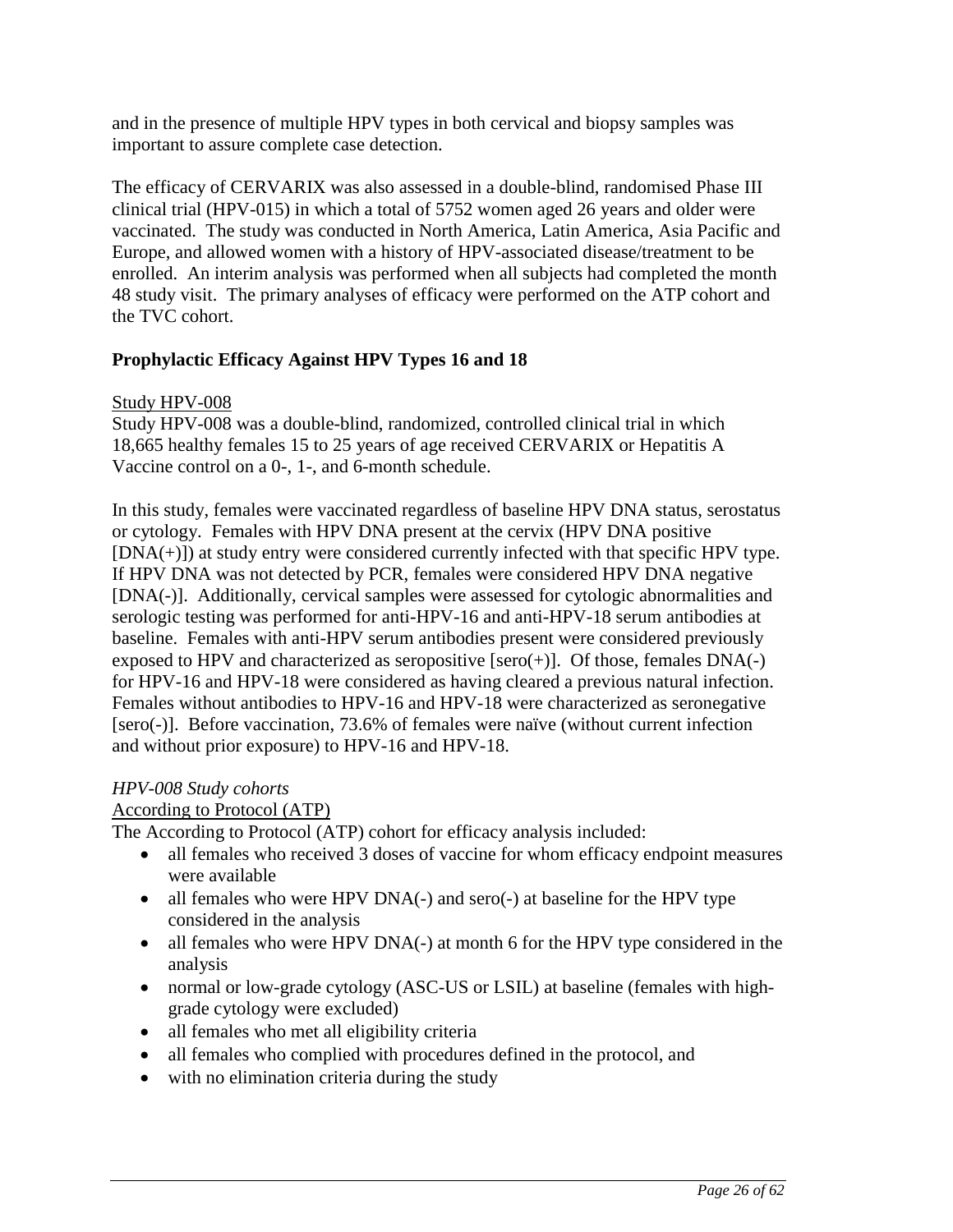and in the presence of multiple HPV types in both cervical and biopsy samples was important to assure complete case detection.

The efficacy of CERVARIX was also assessed in a double-blind, randomised Phase III clinical trial (HPV-015) in which a total of 5752 women aged 26 years and older were vaccinated. The study was conducted in North America, Latin America, Asia Pacific and Europe, and allowed women with a history of HPV-associated disease/treatment to be enrolled. An interim analysis was performed when all subjects had completed the month 48 study visit. The primary analyses of efficacy were performed on the ATP cohort and the TVC cohort.

## **Prophylactic Efficacy Against HPV Types 16 and 18**

### Study HPV-008

Study HPV-008 was a double-blind, randomized, controlled clinical trial in which 18,665 healthy females 15 to 25 years of age received CERVARIX or Hepatitis A Vaccine control on a 0-, 1-, and 6-month schedule.

In this study, females were vaccinated regardless of baseline HPV DNA status, serostatus or cytology. Females with HPV DNA present at the cervix (HPV DNA positive  $[DNA(+)]$ ) at study entry were considered currently infected with that specific HPV type. If HPV DNA was not detected by PCR, females were considered HPV DNA negative [DNA(-)]. Additionally, cervical samples were assessed for cytologic abnormalities and serologic testing was performed for anti-HPV-16 and anti-HPV-18 serum antibodies at baseline. Females with anti-HPV serum antibodies present were considered previously exposed to HPV and characterized as seropositive  $[sero(+)]$ . Of those, females  $DNA(-)$ for HPV-16 and HPV-18 were considered as having cleared a previous natural infection. Females without antibodies to HPV-16 and HPV-18 were characterized as seronegative [sero(-)]. Before vaccination, 73.6% of females were naïve (without current infection and without prior exposure) to HPV-16 and HPV-18.

## *HPV-008 Study cohorts*

## According to Protocol (ATP)

The According to Protocol (ATP) cohort for efficacy analysis included:

- all females who received 3 doses of vaccine for whom efficacy endpoint measures were available
- all females who were HPV DNA(-) and sero(-) at baseline for the HPV type considered in the analysis
- all females who were HPV DNA(-) at month 6 for the HPV type considered in the analysis
- normal or low-grade cytology (ASC-US or LSIL) at baseline (females with highgrade cytology were excluded)
- all females who met all eligibility criteria
- all females who complied with procedures defined in the protocol, and
- with no elimination criteria during the study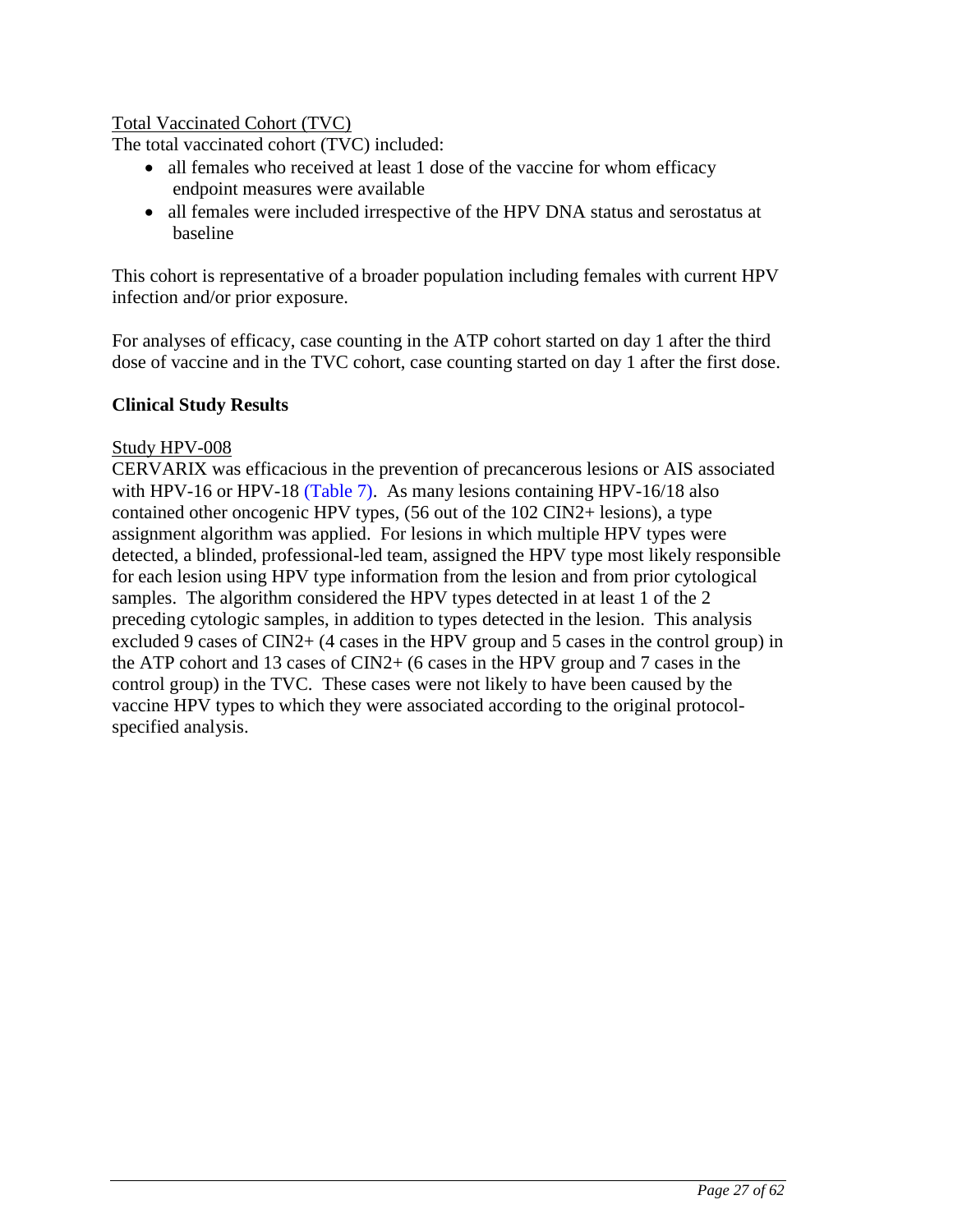## Total Vaccinated Cohort (TVC)

The total vaccinated cohort (TVC) included:

- all females who received at least 1 dose of the vaccine for whom efficacy endpoint measures were available
- all females were included irrespective of the HPV DNA status and serostatus at baseline

This cohort is representative of a broader population including females with current HPV infection and/or prior exposure.

For analyses of efficacy, case counting in the ATP cohort started on day 1 after the third dose of vaccine and in the TVC cohort, case counting started on day 1 after the first dose.

### **Clinical Study Results**

### Study HPV-008

CERVARIX was efficacious in the prevention of precancerous lesions or AIS associated with HPV-16 or HPV-18 [\(Table 7\)](#page-27-0). As many lesions containing HPV-16/18 also contained other oncogenic HPV types, (56 out of the 102 CIN2+ lesions), a type assignment algorithm was applied. For lesions in which multiple HPV types were detected, a blinded, professional-led team, assigned the HPV type most likely responsible for each lesion using HPV type information from the lesion and from prior cytological samples. The algorithm considered the HPV types detected in at least 1 of the 2 preceding cytologic samples, in addition to types detected in the lesion. This analysis excluded 9 cases of  $CIN2+$  (4 cases in the HPV group and 5 cases in the control group) in the ATP cohort and 13 cases of CIN2+ (6 cases in the HPV group and 7 cases in the control group) in the TVC. These cases were not likely to have been caused by the vaccine HPV types to which they were associated according to the original protocolspecified analysis.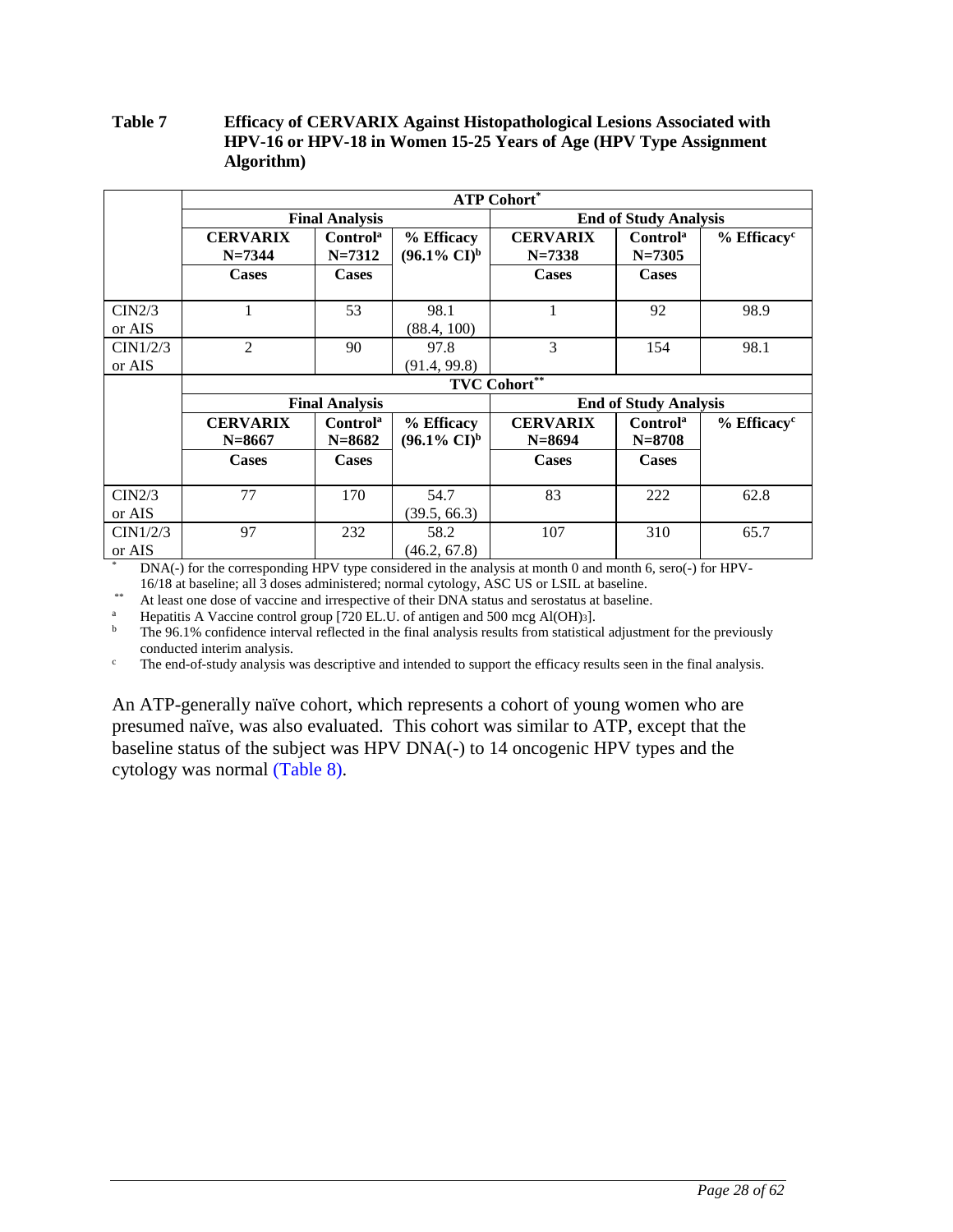#### <span id="page-27-0"></span>**Table 7 Efficacy of CERVARIX Against Histopathological Lesions Associated with HPV-16 or HPV-18 in Women 15-25 Years of Age (HPV Type Assignment Algorithm)**

|          | <b>ATP Cohort*</b> |                       |                                  |                              |                      |                           |  |  |  |
|----------|--------------------|-----------------------|----------------------------------|------------------------------|----------------------|---------------------------|--|--|--|
|          |                    | <b>Final Analysis</b> |                                  | <b>End of Study Analysis</b> |                      |                           |  |  |  |
|          | <b>CERVARIX</b>    | Control <sup>a</sup>  | % Efficacy                       | <b>CERVARIX</b>              | Control <sup>a</sup> | $%$ Efficacy <sup>c</sup> |  |  |  |
|          | $N=7344$           | $N = 7312$            | $(96.1\% \text{ CI})^{\text{b}}$ | $N = 7338$                   | $N = 7305$           |                           |  |  |  |
|          | <b>Cases</b>       | <b>Cases</b>          |                                  | <b>Cases</b>                 | <b>Cases</b>         |                           |  |  |  |
|          |                    |                       |                                  |                              |                      |                           |  |  |  |
| CIN2/3   |                    | 53                    | 98.1                             |                              | 92                   | 98.9                      |  |  |  |
| or AIS   |                    |                       | (88.4, 100)                      |                              |                      |                           |  |  |  |
| CIN1/2/3 | 2                  | 90                    | 97.8                             | 3                            | 154                  | 98.1                      |  |  |  |
| or AIS   |                    |                       | (91.4, 99.8)                     |                              |                      |                           |  |  |  |
|          |                    |                       |                                  | <b>TVC Cohort**</b>          |                      |                           |  |  |  |
|          |                    | <b>Final Analysis</b> |                                  | <b>End of Study Analysis</b> |                      |                           |  |  |  |
|          | <b>CERVARIX</b>    | Control <sup>a</sup>  | % Efficacy                       | <b>CERVARIX</b>              | Control <sup>a</sup> | $%$ Efficacy <sup>c</sup> |  |  |  |
|          | $N = 8667$         | $N = 8682$            | $(96.1\% \text{ CI})^b$          | $N = 8694$                   | $N = 8708$           |                           |  |  |  |
|          | <b>Cases</b>       | <b>Cases</b>          |                                  | <b>Cases</b>                 | <b>Cases</b>         |                           |  |  |  |
|          |                    |                       |                                  |                              |                      |                           |  |  |  |
| CIN2/3   | 77                 | 170                   | 54.7                             | 83                           | 222                  | 62.8                      |  |  |  |
| or AIS   |                    |                       | (39.5, 66.3)                     |                              |                      |                           |  |  |  |
| CIN1/2/3 | 97                 | 232                   | 58.2                             | 107                          | 310                  | 65.7                      |  |  |  |
| or AIS   |                    |                       | (46.2, 67.8)                     |                              |                      |                           |  |  |  |

\* DNA(-) for the corresponding HPV type considered in the analysis at month 0 and month 6, sero(-) for HPV-16/18 at baseline; all 3 doses administered; normal cytology, ASC US or LSIL at baseline.

At least one dose of vaccine and irrespective of their DNA status and serostatus at baseline.

<sup>a</sup> Hepatitis A Vaccine control group [720 EL.U. of antigen and 500 mcg Al(OH)<sub>3</sub>].<br> **b** The 0.6.1% confidence interval reflected in the final englysis results from statistics

<sup>b</sup> The 96.1% confidence interval reflected in the final analysis results from statistical adjustment for the previously conducted interim analysis.

<sup>c</sup> The end-of-study analysis was descriptive and intended to support the efficacy results seen in the final analysis.

An ATP-generally naïve cohort, which represents a cohort of young women who are presumed naïve, was also evaluated. This cohort was similar to ATP, except that the baseline status of the subject was HPV DNA(-) to 14 oncogenic HPV types and the cytology was normal [\(Table 8\)](#page-28-0).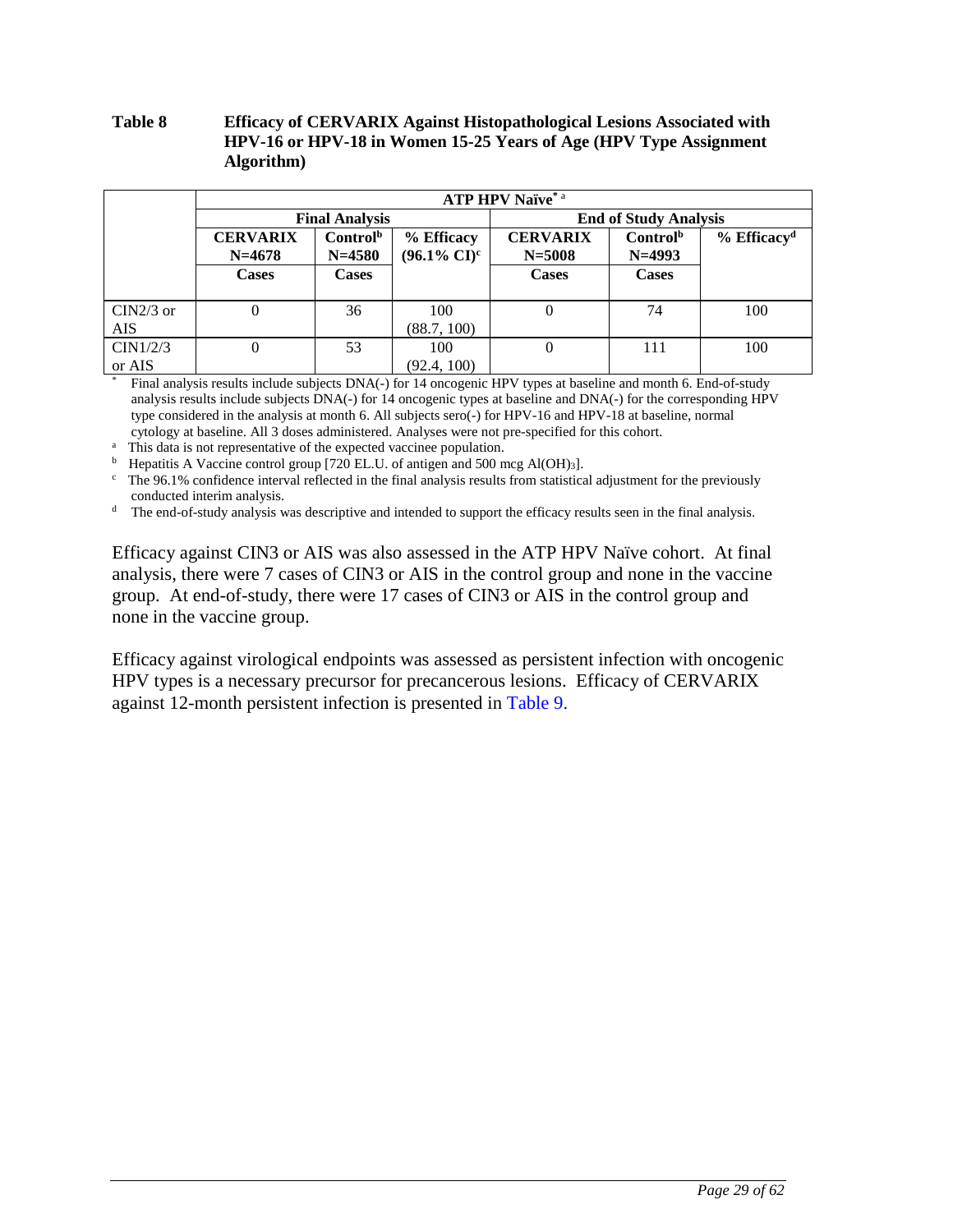### <span id="page-28-0"></span>**Table 8 Efficacy of CERVARIX Against Histopathological Lesions Associated with HPV-16 or HPV-18 in Women 15-25 Years of Age (HPV Type Assignment Algorithm)**

|                           |                               | <b>ATP HPV Naïve*</b> a                                                     |                    |                               |                                  |                           |  |  |  |  |
|---------------------------|-------------------------------|-----------------------------------------------------------------------------|--------------------|-------------------------------|----------------------------------|---------------------------|--|--|--|--|
|                           |                               | <b>Final Analysis</b>                                                       |                    | <b>End of Study Analysis</b>  |                                  |                           |  |  |  |  |
|                           | <b>CERVARIX</b><br>$N = 4678$ | Control <sup>b</sup><br>% Efficacy<br>$(96.1\% \text{ CI})^c$<br>$N = 4580$ |                    | <b>CERVARIX</b><br>$N = 5008$ | Control <sup>b</sup><br>$N=4993$ | $%$ Efficacy <sup>d</sup> |  |  |  |  |
|                           | Cases                         | <b>Cases</b>                                                                |                    | <b>Cases</b>                  | <b>Cases</b>                     |                           |  |  |  |  |
| $CIN2/3$ or<br><b>AIS</b> |                               | 36                                                                          | 100<br>(88.7, 100) |                               | 74                               | 100                       |  |  |  |  |
| CIN1/2/3<br>or AIS        |                               | 53                                                                          | 100<br>(92.4, 100) |                               | 111                              | 100                       |  |  |  |  |

\* Final analysis results include subjects DNA(-) for 14 oncogenic HPV types at baseline and month 6. End-of-study analysis results include subjects DNA(-) for 14 oncogenic types at baseline and DNA(-) for the corresponding HPV type considered in the analysis at month 6. All subjects sero(-) for HPV-16 and HPV-18 at baseline, normal cytology at baseline. All 3 doses administered. Analyses were not pre-specified for this cohort.

<sup>a</sup> This data is not representative of the expected vaccinee population.

<sup>b</sup> Hepatitis A Vaccine control group [720 EL.U. of antigen and 500 mcg Al(OH)<sub>3</sub>].

 $\epsilon$  The 96.1% confidence interval reflected in the final analysis results from statistical adjustment for the previously conducted interim analysis.

<sup>d</sup> The end-of-study analysis was descriptive and intended to support the efficacy results seen in the final analysis.

Efficacy against CIN3 or AIS was also assessed in the ATP HPV Naïve cohort. At final analysis, there were 7 cases of CIN3 or AIS in the control group and none in the vaccine group. At end-of-study, there were 17 cases of CIN3 or AIS in the control group and none in the vaccine group.

Efficacy against virological endpoints was assessed as persistent infection with oncogenic HPV types is a necessary precursor for precancerous lesions. Efficacy of CERVARIX against 12-month persistent infection is presented in [Table 9.](#page-29-0)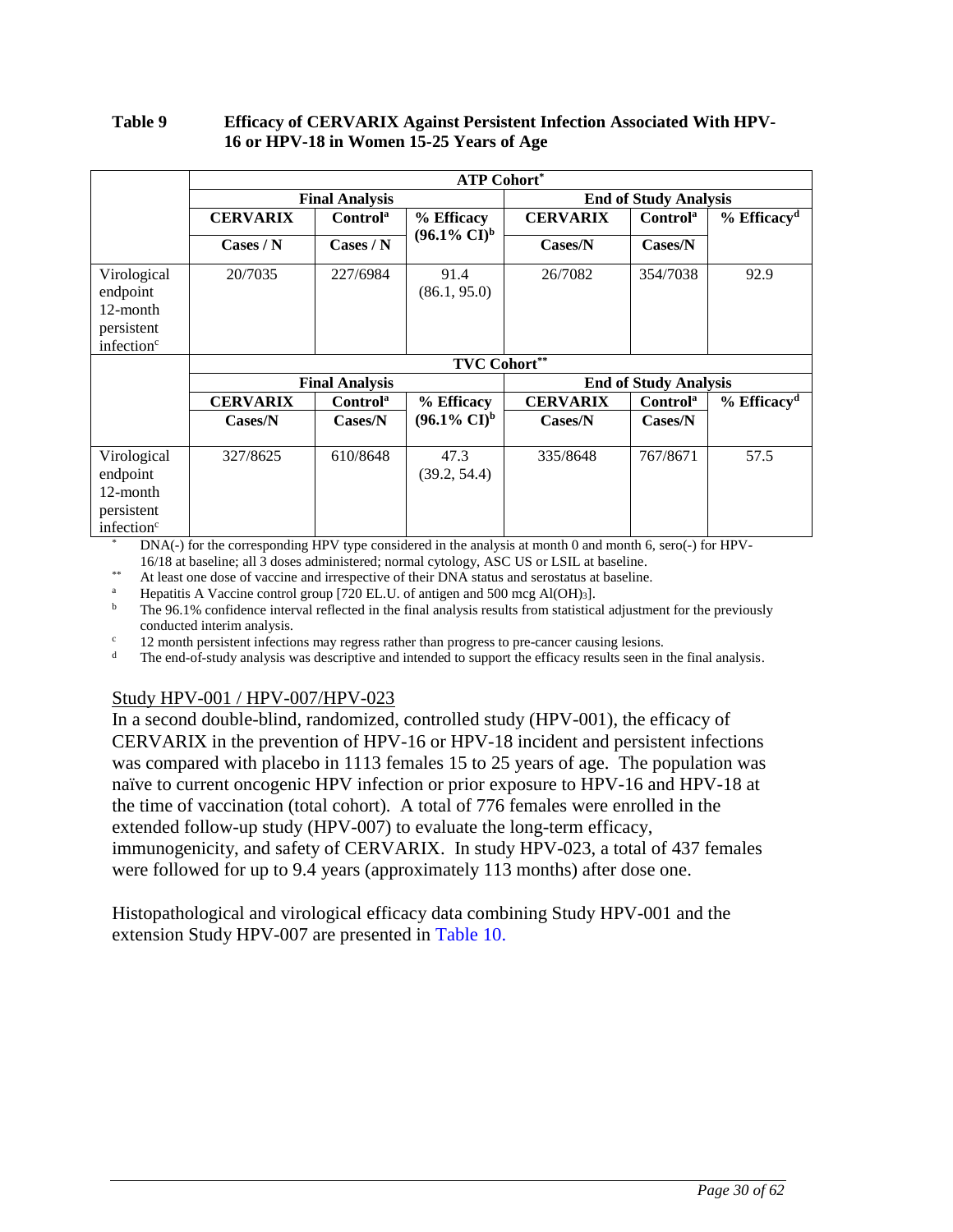#### <span id="page-29-0"></span>**Table 9 Efficacy of CERVARIX Against Persistent Infection Associated With HPV-16 or HPV-18 in Women 15-25 Years of Age**

|                                                                             | <b>ATP Cohort*</b>                                                                                         |                           |                         |                              |                              |                           |  |  |
|-----------------------------------------------------------------------------|------------------------------------------------------------------------------------------------------------|---------------------------|-------------------------|------------------------------|------------------------------|---------------------------|--|--|
|                                                                             |                                                                                                            | <b>Final Analysis</b>     |                         | <b>End of Study Analysis</b> |                              |                           |  |  |
|                                                                             | <b>CERVARIX</b>                                                                                            | Control <sup>a</sup>      | % Efficacy              | <b>CERVARIX</b>              | Control <sup>a</sup>         | $%$ Efficacy <sup>d</sup> |  |  |
|                                                                             | $\text{Cases} / \text{N}$                                                                                  | $\text{Cases} / \text{N}$ | $(96.1\% \text{ CI})^b$ | Cases/N                      | $\text{Cases/N}$             |                           |  |  |
| Virological<br>endpoint<br>12-month<br>persistent<br>infection <sup>c</sup> | 20/7035                                                                                                    | 227/6984                  | 91.4<br>(86.1, 95.0)    | 26/7082                      | 354/7038                     | 92.9                      |  |  |
|                                                                             |                                                                                                            |                           | <b>TVC Cohort**</b>     |                              |                              |                           |  |  |
|                                                                             |                                                                                                            | <b>Final Analysis</b>     |                         |                              | <b>End of Study Analysis</b> |                           |  |  |
|                                                                             | <b>CERVARIX</b>                                                                                            | Control <sup>a</sup>      | % Efficacy              | <b>CERVARIX</b>              | Control <sup>a</sup>         | $%$ Efficacy <sup>d</sup> |  |  |
|                                                                             | Cases/N                                                                                                    | Cases/N                   | $(96.1\% \text{ CI})^b$ | Cases/N                      | Cases/N                      |                           |  |  |
| Virological<br>endpoint<br>12-month                                         | 327/8625                                                                                                   | 610/8648                  | 47.3<br>(39.2, 54.4)    | 335/8648                     | 767/8671                     | 57.5                      |  |  |
| persistent<br>infection <sup>c</sup>                                        | $DM(A)$ for the component in FIDV time considered in the conductor to meet 0 and month 6 agree ( ) for HDV |                           |                         |                              |                              |                           |  |  |

DNA(-) for the corresponding HPV type considered in the analysis at month 0 and month 6, sero(-) for HPV-16/18 at baseline; all 3 doses administered; normal cytology, ASC US or LSIL at baseline.

\*\* At least one dose of vaccine and irrespective of their DNA status and serostatus at baseline.

<sup>a</sup> Hepatitis A Vaccine control group [720 EL.U. of antigen and 500 mcg Al(OH)<sub>3</sub>].<br><sup>b</sup> The 96.1% confidence interval reflected in the final analysis results from statistics The 96.1% confidence interval reflected in the final analysis results from statistical adjustment for the previously conducted interim analysis.

<sup>c</sup> 12 month persistent infections may regress rather than progress to pre-cancer causing lesions.

The end-of-study analysis was descriptive and intended to support the efficacy results seen in the final analysis.

## Study HPV-001 / HPV-007/HPV-023

In a second double-blind, randomized, controlled study (HPV-001), the efficacy of CERVARIX in the prevention of HPV-16 or HPV-18 incident and persistent infections was compared with placebo in 1113 females 15 to 25 years of age. The population was naïve to current oncogenic HPV infection or prior exposure to HPV-16 and HPV-18 at the time of vaccination (total cohort). A total of 776 females were enrolled in the extended follow-up study (HPV-007) to evaluate the long-term efficacy, immunogenicity, and safety of CERVARIX. In study HPV-023, a total of 437 females were followed for up to 9.4 years (approximately 113 months) after dose one.

Histopathological and virological efficacy data combining Study HPV-001 and the extension Study HPV-007 are presented in [Table 10.](#page-30-0)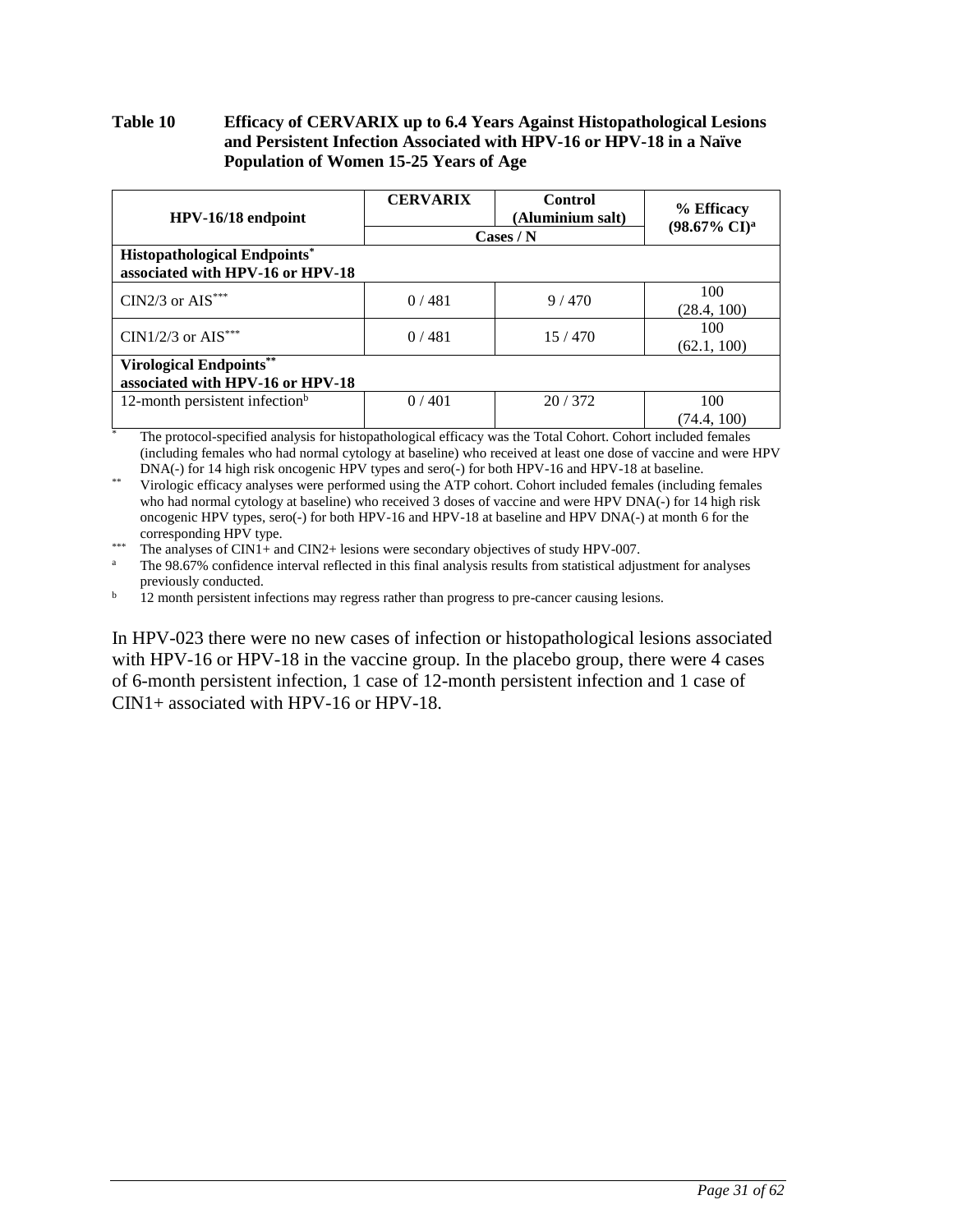### <span id="page-30-0"></span>**Table 10 Efficacy of CERVARIX up to 6.4 Years Against Histopathological Lesions and Persistent Infection Associated with HPV-16 or HPV-18 in a Naïve Population of Women 15-25 Years of Age**

| HPV-16/18 endpoint                                                      | <b>CERVARIX</b> | Control<br>(Aluminium salt)<br>$\text{Cases} / \text{N}$ | % Efficacy<br>$(98.67\% \text{ CI})^{\text{a}}$ |
|-------------------------------------------------------------------------|-----------------|----------------------------------------------------------|-------------------------------------------------|
| <b>Histopathological Endpoints*</b><br>associated with HPV-16 or HPV-18 |                 |                                                          |                                                 |
| CIN2/3 or $AIS^{***}$                                                   | 0/481           | 9/470                                                    | 100<br>(28.4, 100)                              |
| CIN1/2/3 or $AIS***$                                                    | 0/481           | 15/470                                                   | 100<br>(62.1, 100)                              |
| <b>Virological Endpoints**</b><br>associated with HPV-16 or HPV-18      |                 |                                                          |                                                 |
| 12-month persistent infection <sup>b</sup>                              | 0/401           | 20/372                                                   | 100<br>(74.4. 100)                              |

The protocol-specified analysis for histopathological efficacy was the Total Cohort. Cohort included females (including females who had normal cytology at baseline) who received at least one dose of vaccine and were HPV DNA(-) for 14 high risk oncogenic HPV types and sero(-) for both HPV-16 and HPV-18 at baseline.

Virologic efficacy analyses were performed using the ATP cohort. Cohort included females (including females who had normal cytology at baseline) who received 3 doses of vaccine and were HPV DNA(-) for 14 high risk oncogenic HPV types, sero(-) for both HPV-16 and HPV-18 at baseline and HPV DNA(-) at month 6 for the corresponding HPV type.

\*\*\* The analyses of CIN1+ and CIN2+ lesions were secondary objectives of study HPV-007.

The 98.67% confidence interval reflected in this final analysis results from statistical adjustment for analyses previously conducted.

<sup>b</sup> 12 month persistent infections may regress rather than progress to pre-cancer causing lesions.

In HPV-023 there were no new cases of infection or histopathological lesions associated with HPV-16 or HPV-18 in the vaccine group. In the placebo group, there were 4 cases of 6-month persistent infection, 1 case of 12-month persistent infection and 1 case of CIN1+ associated with HPV-16 or HPV-18.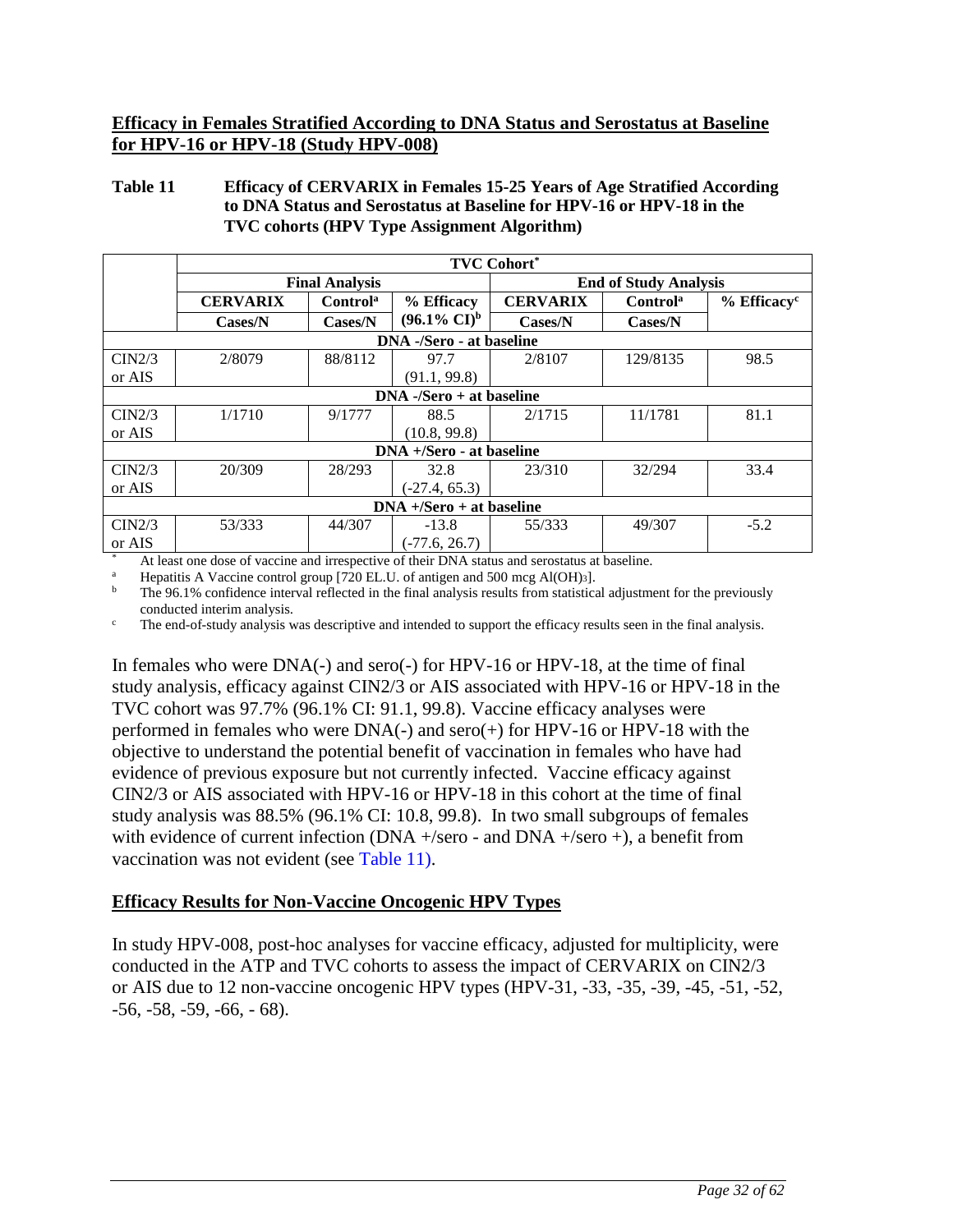### **Efficacy in Females Stratified According to DNA Status and Serostatus at Baseline for HPV-16 or HPV-18 (Study HPV-008)**

### <span id="page-31-0"></span>**Table 11 Efficacy of CERVARIX in Females 15-25 Years of Age Stratified According to DNA Status and Serostatus at Baseline for HPV-16 or HPV-18 in the TVC cohorts (HPV Type Assignment Algorithm)**

|                            | <b>TVC Cohort*</b> |                       |                            |                              |                      |                           |  |  |  |
|----------------------------|--------------------|-----------------------|----------------------------|------------------------------|----------------------|---------------------------|--|--|--|
|                            |                    | <b>Final Analysis</b> |                            | <b>End of Study Analysis</b> |                      |                           |  |  |  |
|                            | <b>CERVARIX</b>    | Control <sup>a</sup>  | % Efficacy                 | <b>CERVARIX</b>              | Control <sup>a</sup> | $%$ Efficacy <sup>c</sup> |  |  |  |
|                            | Cases/N            | Cases/N               | $(96.1\% \text{ CI})^b$    | Cases/N                      | Cases/N              |                           |  |  |  |
|                            |                    |                       | DNA -/Sero - at baseline   |                              |                      |                           |  |  |  |
| CIN2/3                     | 2/8079             | 88/8112               | 97.7                       | 2/8107                       | 129/8135             | 98.5                      |  |  |  |
| or AIS                     |                    |                       | (91.1, 99.8)               |                              |                      |                           |  |  |  |
|                            |                    |                       | $DNA -/Sero + at baseline$ |                              |                      |                           |  |  |  |
| CIN2/3                     | 1/1710             | 9/1777                | 88.5                       | 2/1715                       | 11/1781              | 81.1                      |  |  |  |
| or AIS                     |                    |                       | (10.8, 99.8)               |                              |                      |                           |  |  |  |
|                            |                    |                       | DNA +/Sero - at baseline   |                              |                      |                           |  |  |  |
| CIN2/3                     | 20/309             | 28/293                | 32.8                       | 23/310                       | 32/294               | 33.4                      |  |  |  |
| or AIS                     |                    |                       | $(-27.4, 65.3)$            |                              |                      |                           |  |  |  |
| $DNA +/Sero + at baseline$ |                    |                       |                            |                              |                      |                           |  |  |  |
| CIN2/3                     | 53/333             | 44/307                | $-13.8$                    | 55/333                       | 49/307               | $-5.2$                    |  |  |  |
| or AIS                     |                    |                       | $(-77.6, 26.7)$            |                              |                      |                           |  |  |  |

At least one dose of vaccine and irrespective of their DNA status and serostatus at baseline.

<sup>a</sup> Hepatitis A Vaccine control group [720 EL.U. of antigen and 500 mcg Al(OH)3].<br> **b** The 0.6.1% confidence interval reflected in the final englysis results from statistics

<sup>b</sup> The 96.1% confidence interval reflected in the final analysis results from statistical adjustment for the previously conducted interim analysis.

<sup>c</sup> The end-of-study analysis was descriptive and intended to support the efficacy results seen in the final analysis.

In females who were DNA(-) and sero(-) for HPV-16 or HPV-18, at the time of final study analysis, efficacy against CIN2/3 or AIS associated with HPV-16 or HPV-18 in the TVC cohort was 97.7% (96.1% CI: 91.1, 99.8). Vaccine efficacy analyses were performed in females who were DNA(-) and sero(+) for HPV-16 or HPV-18 with the objective to understand the potential benefit of vaccination in females who have had evidence of previous exposure but not currently infected. Vaccine efficacy against CIN2/3 or AIS associated with HPV-16 or HPV-18 in this cohort at the time of final study analysis was 88.5% (96.1% CI: 10.8, 99.8). In two small subgroups of females with evidence of current infection (DNA +/sero - and DNA +/sero +), a benefit from vaccination was not evident (see [Table 11\)](#page-31-0).

## **Efficacy Results for Non-Vaccine Oncogenic HPV Types**

In study HPV-008, post-hoc analyses for vaccine efficacy, adjusted for multiplicity, were conducted in the ATP and TVC cohorts to assess the impact of CERVARIX on CIN2/3 or AIS due to 12 non-vaccine oncogenic HPV types (HPV-31, -33, -35, -39, -45, -51, -52, -56, -58, -59, -66, - 68).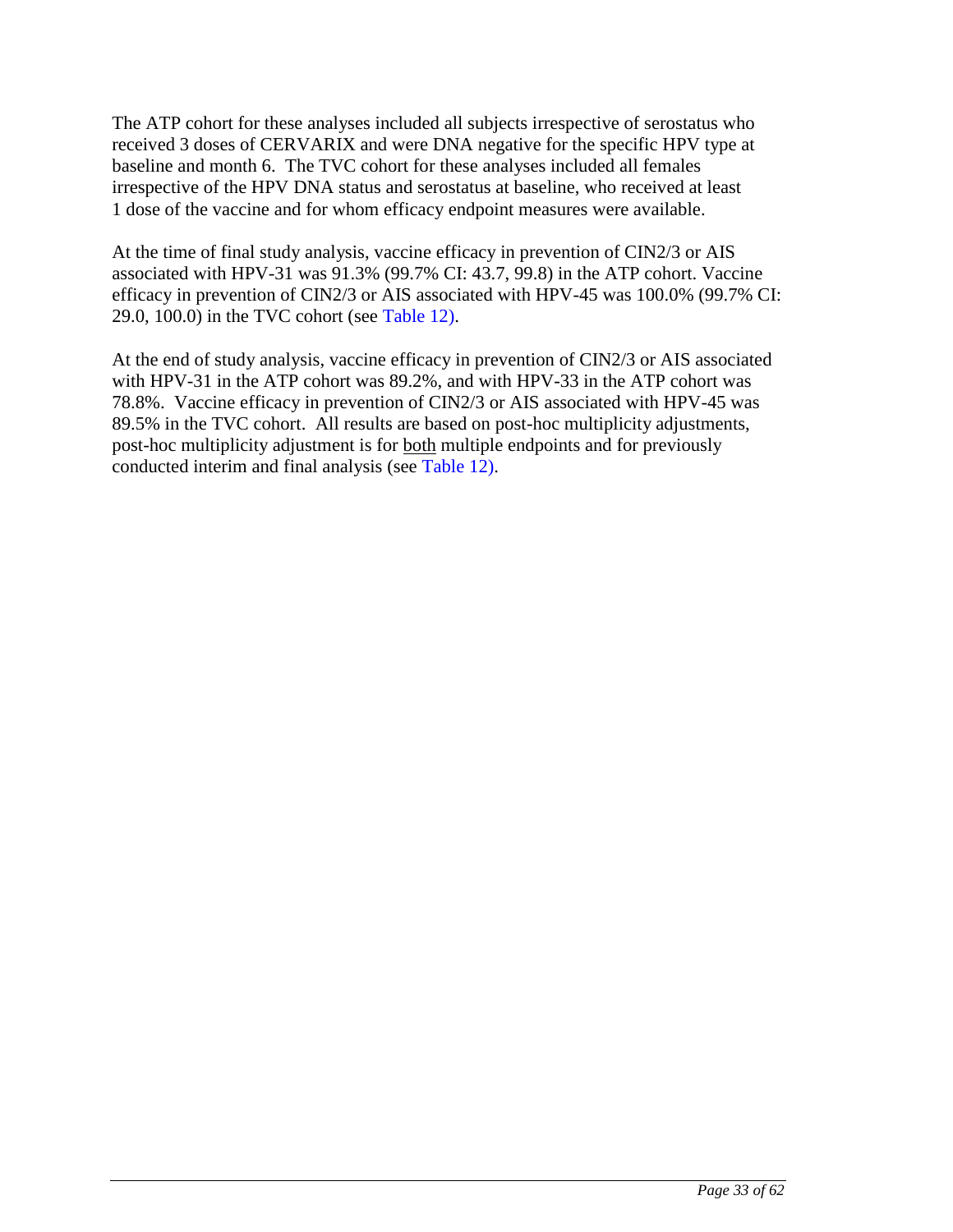The ATP cohort for these analyses included all subjects irrespective of serostatus who received 3 doses of CERVARIX and were DNA negative for the specific HPV type at baseline and month 6. The TVC cohort for these analyses included all females irrespective of the HPV DNA status and serostatus at baseline, who received at least 1 dose of the vaccine and for whom efficacy endpoint measures were available.

At the time of final study analysis, vaccine efficacy in prevention of CIN2/3 or AIS associated with HPV-31 was 91.3% (99.7% CI: 43.7, 99.8) in the ATP cohort. Vaccine efficacy in prevention of CIN2/3 or AIS associated with HPV-45 was 100.0% (99.7% CI: 29.0, 100.0) in the TVC cohort (see [Table 12\)](#page-33-0).

At the end of study analysis, vaccine efficacy in prevention of CIN2/3 or AIS associated with HPV-31 in the ATP cohort was 89.2%, and with HPV-33 in the ATP cohort was 78.8%. Vaccine efficacy in prevention of CIN2/3 or AIS associated with HPV-45 was 89.5% in the TVC cohort. All results are based on post-hoc multiplicity adjustments, post-hoc multiplicity adjustment is for both multiple endpoints and for previously conducted interim and final analysis (see [Table 12\)](#page-33-0).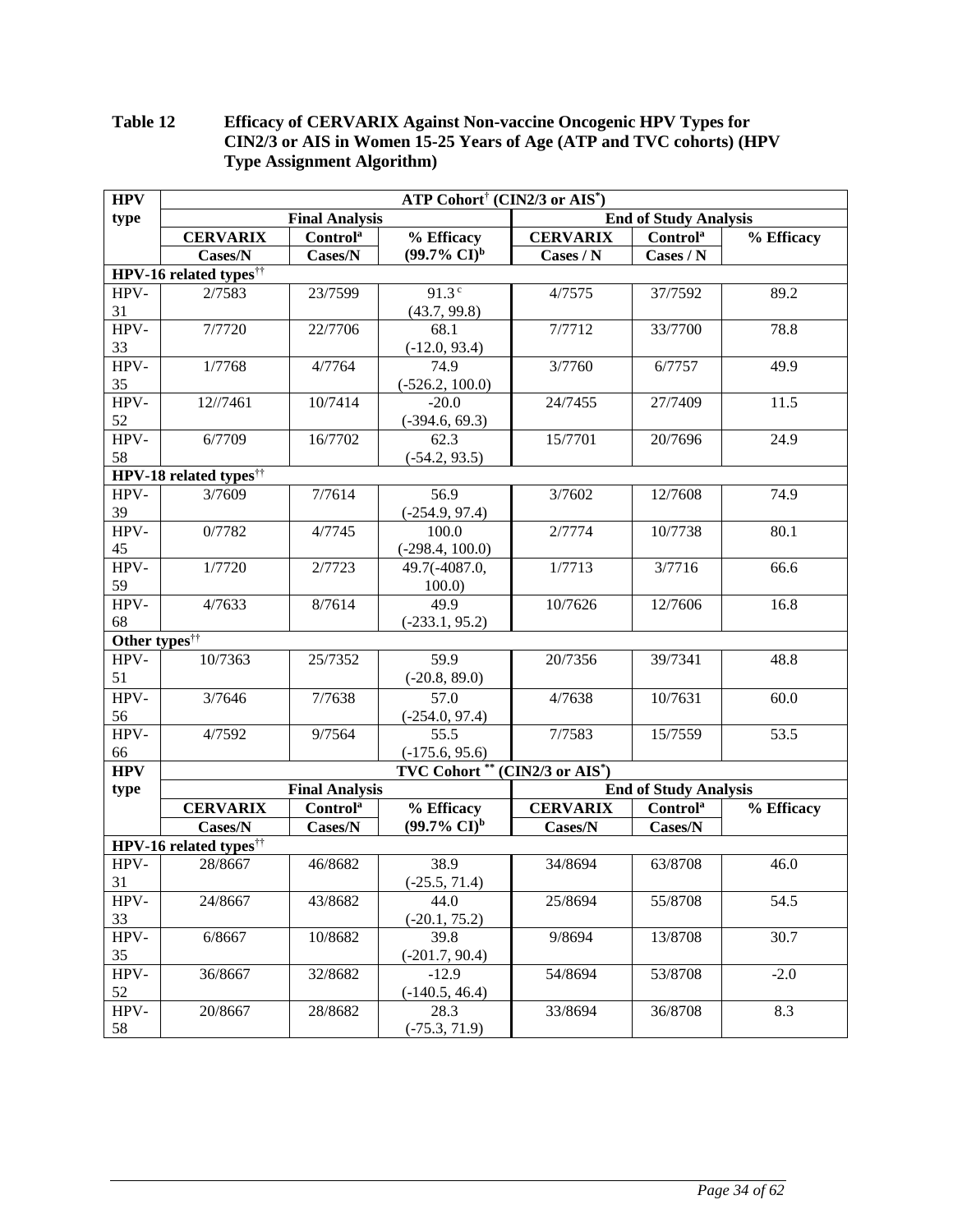#### <span id="page-33-0"></span>**Table 12 Efficacy of CERVARIX Against Non-vaccine Oncogenic HPV Types for CIN2/3 or AIS in Women 15-25 Years of Age (ATP and TVC cohorts) (HPV Type Assignment Algorithm)**

| <b>HPV</b>                | ATP Cohort <sup>†</sup> (CIN2/3 or AIS <sup>*</sup> ) |                       |                         |                       |                              |            |  |  |
|---------------------------|-------------------------------------------------------|-----------------------|-------------------------|-----------------------|------------------------------|------------|--|--|
| type                      |                                                       | <b>Final Analysis</b> |                         |                       | <b>End of Study Analysis</b> |            |  |  |
|                           | <b>CERVARIX</b>                                       | Control <sup>a</sup>  | % Efficacy              | <b>CERVARIX</b>       | <b>Control</b> <sup>a</sup>  | % Efficacy |  |  |
|                           | Cases/N                                               | Cases/N               | $(99.7\% \text{ CI})^b$ | Cases / N             | Cases / N                    |            |  |  |
|                           | HPV-16 related types <sup>††</sup>                    |                       |                         |                       |                              |            |  |  |
| HPV-                      | 2/7583                                                | 23/7599               | 91.3 <sup>c</sup>       | 4/7575                | 37/7592                      | 89.2       |  |  |
| 31                        |                                                       |                       | (43.7, 99.8)            |                       |                              |            |  |  |
| HPV-                      | 7/7720                                                | 22/7706               | 68.1                    | $\frac{1}{7}$ /7712   | 33/7700                      | 78.8       |  |  |
| 33                        |                                                       |                       | $(-12.0, 93.4)$         |                       |                              |            |  |  |
| HPV-                      | 1/7768                                                | 4/7764                | 74.9                    | 3/7760                | 6/7757                       | 49.9       |  |  |
| 35                        |                                                       |                       | $(-526.2, 100.0)$       |                       |                              |            |  |  |
| HPV-                      | 12//7461                                              | 10/7414               | $-20.0$                 | 24/7455               | 27/7409                      | 11.5       |  |  |
| 52                        |                                                       |                       | $(-394.6, 69.3)$        |                       |                              |            |  |  |
| HPV-                      | 6/7709                                                | 16/7702               | $\overline{62.3}$       | 15/7701               | 20/7696                      | 24.9       |  |  |
| 58                        |                                                       |                       | $(-54.2, 93.5)$         |                       |                              |            |  |  |
|                           | HPV-18 related types <sup>††</sup>                    |                       |                         |                       |                              |            |  |  |
| HPV-                      | 3/7609                                                | 7/7614                | 56.9                    | 3/7602                | 12/7608                      | 74.9       |  |  |
| 39                        |                                                       |                       | $(-254.9, 97.4)$        |                       |                              |            |  |  |
| HPV-                      | 0/7782                                                | $\frac{1}{4}$ /7745   | 100.0                   | 2/7774                | 10/7738                      | 80.1       |  |  |
| 45                        |                                                       |                       | $(-298.4, 100.0)$       |                       |                              |            |  |  |
| HPV-                      | 1/7720                                                | 2/7723                | 49.7(-4087.0,           | 1/7713                | 3/7716                       | 66.6       |  |  |
| 59                        |                                                       |                       | 100.0                   |                       |                              |            |  |  |
| HPV-                      | 4/7633                                                | 8/7614                | 49.9                    | 10/7626               | 12/7606                      | 16.8       |  |  |
| 68                        |                                                       |                       | $(-233.1, 95.2)$        |                       |                              |            |  |  |
| Other types <sup>††</sup> |                                                       |                       |                         |                       |                              |            |  |  |
| HPV-                      | 10/7363                                               | 25/7352               | 59.9                    | 20/7356               | 39/7341                      | 48.8       |  |  |
| 51                        |                                                       |                       | $(-20.8, 89.0)$         |                       |                              |            |  |  |
| HPV-                      | 3/7646                                                | 7/7638                | 57.0                    | 4/7638                | 10/7631                      | 60.0       |  |  |
| 56                        |                                                       |                       | $(-254.0, 97.4)$        |                       |                              |            |  |  |
| HPV-                      | 4/7592                                                | 9/7564                | 55.5                    | 7/7583                | 15/7559                      | 53.5       |  |  |
| 66                        |                                                       |                       | $(-175.6, 95.6)$        |                       |                              |            |  |  |
| <b>HPV</b>                |                                                       |                       | <b>TVC Cohort</b> **    | $(CIN2/3$ or $AIS^*)$ |                              |            |  |  |
| type                      |                                                       | <b>Final Analysis</b> |                         |                       | <b>End of Study Analysis</b> |            |  |  |
|                           | <b>CERVARIX</b>                                       | Control <sup>a</sup>  | % Efficacy              | <b>CERVARIX</b>       | <b>Control</b> <sup>a</sup>  | % Efficacy |  |  |
|                           | Cases/N                                               | Cases/N               | $(99.7\% \text{ CI})^b$ | Cases/N               | Cases/N                      |            |  |  |
|                           | HPV-16 related types <sup>††</sup>                    |                       |                         |                       |                              |            |  |  |
| HPV-                      | 28/8667                                               | 46/8682               | 38.9                    | 34/8694               | 63/8708                      | 46.0       |  |  |
| 31                        |                                                       |                       | $(-25.5, 71.4)$         |                       |                              |            |  |  |
| HPV-                      | 24/8667                                               | 43/8682               | 44.0                    | 25/8694               | 55/8708                      | 54.5       |  |  |
| 33                        |                                                       |                       | $(-20.1, 75.2)$         |                       |                              |            |  |  |
| HPV-                      | 6/8667                                                | 10/8682               | 39.8                    | 9/8694                | 13/8708                      | 30.7       |  |  |
| 35                        |                                                       |                       | $(-201.7, 90.4)$        |                       |                              |            |  |  |
| HPV-                      | 36/8667                                               | 32/8682               | $-12.9$                 | 54/8694               | 53/8708                      | $-2.0$     |  |  |
| 52                        |                                                       |                       | $(-140.5, 46.4)$        |                       |                              |            |  |  |
| HPV-                      | 20/8667                                               | 28/8682               | 28.3                    | 33/8694               | 36/8708                      | 8.3        |  |  |
| 58                        |                                                       |                       | $(-75.3, 71.9)$         |                       |                              |            |  |  |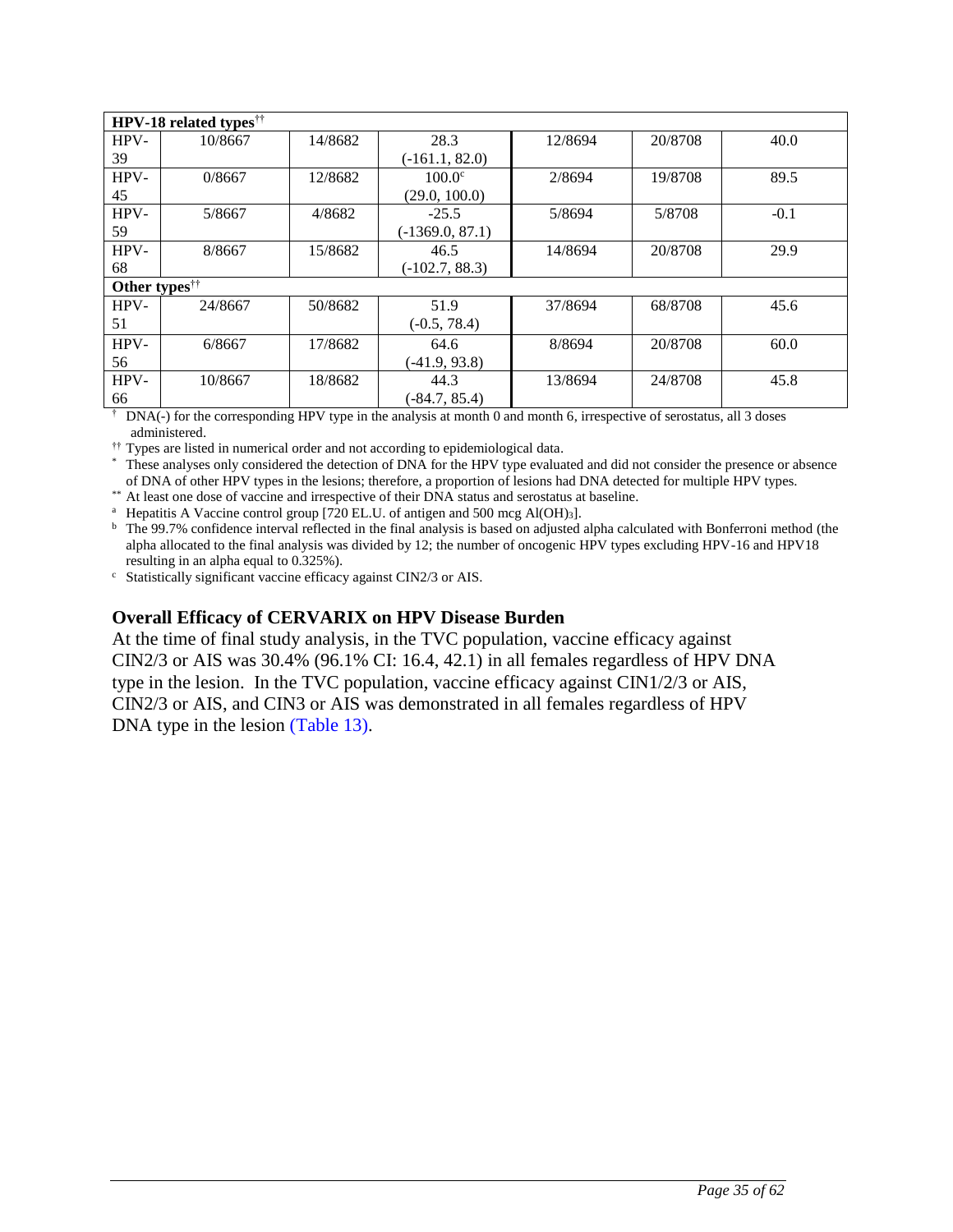|                           | <b>HPV-18 related types<sup>††</sup></b> |         |                   |         |         |        |  |  |  |
|---------------------------|------------------------------------------|---------|-------------------|---------|---------|--------|--|--|--|
| HPV-                      | 10/8667                                  | 14/8682 | 28.3              | 12/8694 | 20/8708 | 40.0   |  |  |  |
| 39                        |                                          |         | $(-161.1, 82.0)$  |         |         |        |  |  |  |
| HPV-                      | 0/8667                                   | 12/8682 | $100.0^{\circ}$   | 2/8694  | 19/8708 | 89.5   |  |  |  |
| 45                        |                                          |         | (29.0, 100.0)     |         |         |        |  |  |  |
| HPV-                      | 5/8667                                   | 4/8682  | $-25.5$           | 5/8694  | 5/8708  | $-0.1$ |  |  |  |
| 59                        |                                          |         | $(-1369.0, 87.1)$ |         |         |        |  |  |  |
| HPV-                      | 8/8667                                   | 15/8682 | 46.5              | 14/8694 | 20/8708 | 29.9   |  |  |  |
| 68                        |                                          |         | $(-102.7, 88.3)$  |         |         |        |  |  |  |
| Other types <sup>††</sup> |                                          |         |                   |         |         |        |  |  |  |
| HPV-                      | 24/8667                                  | 50/8682 | 51.9              | 37/8694 | 68/8708 | 45.6   |  |  |  |
| 51                        |                                          |         | $(-0.5, 78.4)$    |         |         |        |  |  |  |
| HPV-                      | 6/8667                                   | 17/8682 | 64.6              | 8/8694  | 20/8708 | 60.0   |  |  |  |
| 56                        |                                          |         | $(-41.9, 93.8)$   |         |         |        |  |  |  |
| HPV-                      | 10/8667                                  | 18/8682 | 44.3              | 13/8694 | 24/8708 | 45.8   |  |  |  |
| 66                        |                                          |         | $(-84.7, 85.4)$   |         |         |        |  |  |  |

 $\dagger$  DNA(-) for the corresponding HPV type in the analysis at month 0 and month 6, irrespective of serostatus, all 3 doses administered.

<sup>††</sup> Types are listed in numerical order and not according to epidemiological data.

\* These analyses only considered the detection of DNA for the HPV type evaluated and did not consider the presence or absence of DNA of other HPV types in the lesions; therefore, a proportion of lesions had DNA detected for multiple HPV types.

\*\* At least one dose of vaccine and irrespective of their DNA status and serostatus at baseline.

<sup>a</sup> Hepatitis A Vaccine control group [720 EL.U. of antigen and 500 mcg Al(OH)<sub>3</sub>].

<sup>b</sup> The 99.7% confidence interval reflected in the final analysis is based on adjusted alpha calculated with Bonferroni method (the alpha allocated to the final analysis was divided by 12; the number of oncogenic HPV types excluding HPV-16 and HPV18 resulting in an alpha equal to 0.325%).

<sup>c</sup> Statistically significant vaccine efficacy against CIN2/3 or AIS.

### **Overall Efficacy of CERVARIX on HPV Disease Burden**

At the time of final study analysis, in the TVC population, vaccine efficacy against CIN2/3 or AIS was 30.4% (96.1% CI: 16.4, 42.1) in all females regardless of HPV DNA type in the lesion. In the TVC population, vaccine efficacy against CIN1/2/3 or AIS, CIN2/3 or AIS, and CIN3 or AIS was demonstrated in all females regardless of HPV DNA type in the lesion [\(Table 13\)](#page-35-0).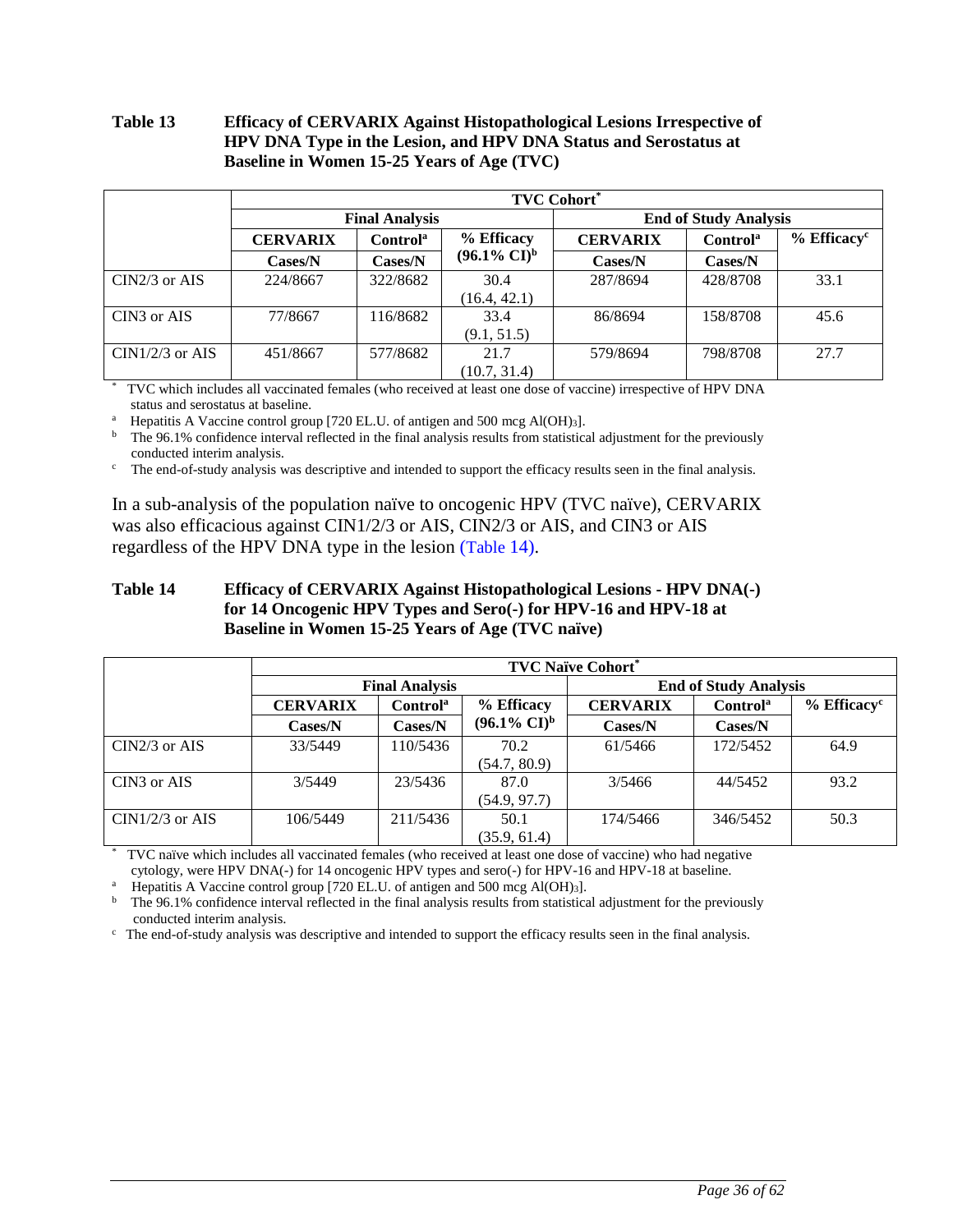#### <span id="page-35-0"></span>**Table 13 Efficacy of CERVARIX Against Histopathological Lesions Irrespective of HPV DNA Type in the Lesion, and HPV DNA Status and Serostatus at Baseline in Women 15-25 Years of Age (TVC)**

|                   | <b>TVC Cohort*</b>                      |                       |                         |                              |                      |                           |  |  |  |
|-------------------|-----------------------------------------|-----------------------|-------------------------|------------------------------|----------------------|---------------------------|--|--|--|
|                   |                                         | <b>Final Analysis</b> |                         | <b>End of Study Analysis</b> |                      |                           |  |  |  |
|                   | <b>CERVARIX</b><br>Control <sup>a</sup> |                       | % Efficacy              | <b>CERVARIX</b>              | Control <sup>a</sup> | $%$ Efficacy <sup>c</sup> |  |  |  |
|                   | $\text{Cases/N}$                        | Cases/N               | $(96.1\% \text{ CI})^b$ | Cases/N                      | Cases/N              |                           |  |  |  |
| $CIN2/3$ or AIS   | 224/8667                                | 322/8682              | 30.4                    | 287/8694                     | 428/8708             | 33.1                      |  |  |  |
|                   |                                         |                       | (16.4, 42.1)            |                              |                      |                           |  |  |  |
| CIN3 or AIS       | 77/8667                                 | 116/8682              | 33.4                    | 86/8694                      | 158/8708             | 45.6                      |  |  |  |
|                   |                                         |                       | (9.1, 51.5)             |                              |                      |                           |  |  |  |
| $CIN1/2/3$ or AIS | 451/8667                                | 577/8682              | 21.7                    | 579/8694                     | 798/8708             | 27.7                      |  |  |  |
|                   |                                         |                       | (10.7, 31.4)            |                              |                      |                           |  |  |  |

\* TVC which includes all vaccinated females (who received at least one dose of vaccine) irrespective of HPV DNA status and serostatus at baseline.

<sup>a</sup> Hepatitis A Vaccine control group [720 EL.U. of antigen and 500 mcg Al(OH)<sub>3</sub>].

 $<sup>b</sup>$  The 96.1% confidence interval reflected in the final analysis results from statistical adjustment for the previously</sup> conducted interim analysis.

 $\epsilon$  The end-of-study analysis was descriptive and intended to support the efficacy results seen in the final analysis.

In a sub-analysis of the population naïve to oncogenic HPV (TVC naïve), CERVARIX was also efficacious against CIN1/2/3 or AIS, CIN2/3 or AIS, and CIN3 or AIS regardless of the HPV DNA type in the lesion ([Table](#page-35-1) 14).

### <span id="page-35-1"></span>**Table 14 Efficacy of CERVARIX Against Histopathological Lesions - HPV DNA(-) for 14 Oncogenic HPV Types and Sero(-) for HPV-16 and HPV-18 at Baseline in Women 15-25 Years of Age (TVC naïve)**

|                   | <b>TVC Naïve Cohort*</b> |                       |                                  |                              |                      |                           |  |  |  |
|-------------------|--------------------------|-----------------------|----------------------------------|------------------------------|----------------------|---------------------------|--|--|--|
|                   |                          | <b>Final Analysis</b> |                                  | <b>End of Study Analysis</b> |                      |                           |  |  |  |
|                   | <b>CERVARIX</b>          | Control <sup>a</sup>  |                                  | <b>CERVARIX</b>              | Control <sup>a</sup> | $%$ Efficacy <sup>c</sup> |  |  |  |
|                   | Cases/N                  | Cases/N               | $(96.1\% \text{ CI})^{\text{b}}$ | Cases/N                      | Cases/N              |                           |  |  |  |
| $CIN2/3$ or AIS   | 33/5449                  | 110/5436              | 70.2<br>(54.7, 80.9)             | 61/5466                      | 172/5452             | 64.9                      |  |  |  |
| CIN3 or AIS       | 3/5449                   | 23/5436               | 87.0<br>(54.9, 97.7)             | 3/5466                       | 44/5452              | 93.2                      |  |  |  |
| $CIN1/2/3$ or AIS | 106/5449                 | 211/5436              | 50.1<br>(35.9, 61.4)             | 174/5466                     | 346/5452             | 50.3                      |  |  |  |

\* TVC naïve which includes all vaccinated females (who received at least one dose of vaccine) who had negative cytology, were HPV DNA(-) for 14 oncogenic HPV types and sero(-) for HPV-16 and HPV-18 at baseline.

<sup>a</sup> Hepatitis A Vaccine control group [720 EL.U. of antigen and 500 mcg Al(OH)<sub>3</sub>].

 $b$  The 96.1% confidence interval reflected in the final analysis results from statistical adjustment for the previously conducted interim analysis.

 $c$  The end-of-study analysis was descriptive and intended to support the efficacy results seen in the final analysis.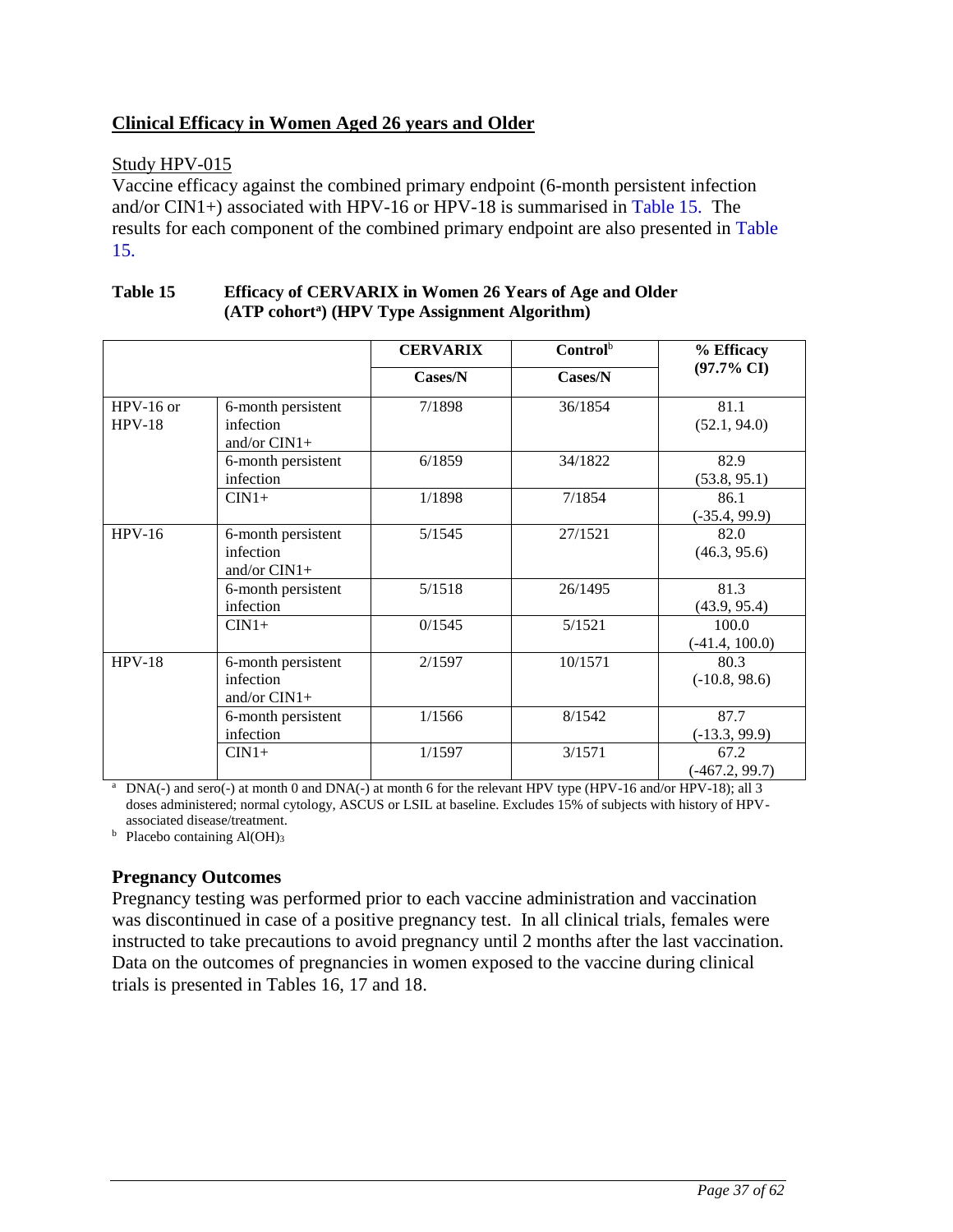## **Clinical Efficacy in Women Aged 26 years and Older**

### Study HPV-015

Vaccine efficacy against the combined primary endpoint (6-month persistent infection and/or CIN1+) associated with HPV-16 or HPV-18 is summarised in [Table 15.](#page-36-0) The results for each component of the combined primary endpoint are also presented in [Table](#page-36-0)  [15.](#page-36-0)

|                         |                                                   | <b>CERVARIX</b> | $Control^b$ | % Efficacy                |
|-------------------------|---------------------------------------------------|-----------------|-------------|---------------------------|
|                         |                                                   | Cases/N         | Cases/N     | $(97.7\% \text{ CI})$     |
| $HPV-16$ or<br>$HPV-18$ | 6-month persistent<br>infection<br>and/or $CIN1+$ | 7/1898          | 36/1854     | 81.1<br>(52.1, 94.0)      |
|                         | 6-month persistent<br>infection                   | 6/1859          | 34/1822     | 82.9<br>(53.8, 95.1)      |
|                         | $CIN1+$                                           | 1/1898          | 7/1854      | 86.1<br>$(-35.4, 99.9)$   |
| $HPV-16$                | 6-month persistent<br>infection<br>and/or $CIN1+$ | 5/1545          | 27/1521     | 82.0<br>(46.3, 95.6)      |
|                         | 6-month persistent<br>infection                   | 5/1518          | 26/1495     | 81.3<br>(43.9, 95.4)      |
|                         | $CIN1+$                                           | 0/1545          | 5/1521      | 100.0<br>$(-41.4, 100.0)$ |
| $HPV-18$                | 6-month persistent<br>infection<br>and/or $CIN1+$ | 2/1597          | 10/1571     | 80.3<br>$(-10.8, 98.6)$   |
|                         | 6-month persistent<br>infection                   | 1/1566          | 8/1542      | 87.7<br>$(-13.3, 99.9)$   |
|                         | $CIN1+$                                           | 1/1597          | 3/1571      | 67.2<br>$(-467.2, 99.7)$  |

### <span id="page-36-0"></span>**Table 15 Efficacy of CERVARIX in Women 26 Years of Age and Older (ATP cohort<sup>a</sup> ) (HPV Type Assignment Algorithm)**

<sup>a</sup> DNA(-) and sero(-) at month 0 and DNA(-) at month 6 for the relevant HPV type (HPV-16 and/or HPV-18); all 3 doses administered; normal cytology, ASCUS or LSIL at baseline. Excludes 15% of subjects with history of HPVassociated disease/treatment.

 $<sup>b</sup>$  Placebo containing Al(OH)<sub>3</sub></sup>

## **Pregnancy Outcomes**

Pregnancy testing was performed prior to each vaccine administration and vaccination was discontinued in case of a positive pregnancy test. In all clinical trials, females were instructed to take precautions to avoid pregnancy until 2 months after the last vaccination. Data on the outcomes of pregnancies in women exposed to the vaccine during clinical trials is presented in Tables 16, 17 and 18.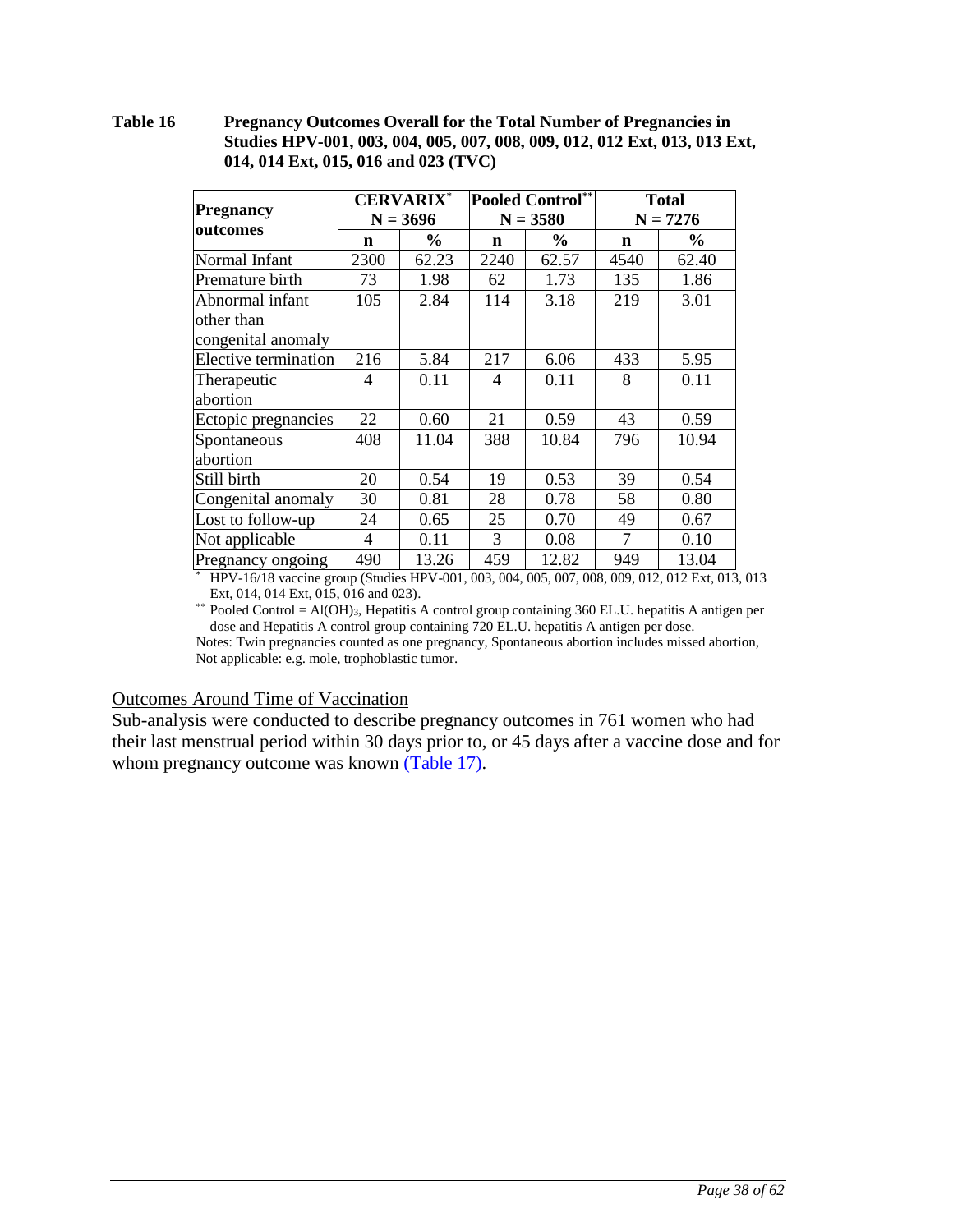#### **Table 16 Pregnancy Outcomes Overall for the Total Number of Pregnancies in Studies HPV-001, 003, 004, 005, 007, 008, 009, 012, 012 Ext, 013, 013 Ext, 014, 014 Ext, 015, 016 and 023 (TVC)**

|                      | <b>CERVARIX*</b> |            |      | <b>Pooled Control</b> ** | <b>Total</b> |       |
|----------------------|------------------|------------|------|--------------------------|--------------|-------|
| Pregnancy            |                  | $N = 3696$ |      | $N = 3580$               | $N = 7276$   |       |
| outcomes             | n                | $\%$       | n    | $\%$                     | n            | $\%$  |
| Normal Infant        | 2300             | 62.23      | 2240 | 62.57                    | 4540         | 62.40 |
| Premature birth      | 73               | 1.98       | 62   | 1.73                     | 135          | 1.86  |
| Abnormal infant      | 105              | 2.84       | 114  | 3.18                     | 219          | 3.01  |
| other than           |                  |            |      |                          |              |       |
| congenital anomaly   |                  |            |      |                          |              |       |
| Elective termination | 216              | 5.84       | 217  | 6.06                     | 433          | 5.95  |
| Therapeutic          | 4                | 0.11       | 4    | 0.11                     | 8            | 0.11  |
| abortion             |                  |            |      |                          |              |       |
| Ectopic pregnancies  | 22               | 0.60       | 21   | 0.59                     | 43           | 0.59  |
| Spontaneous          | 408              | 11.04      | 388  | 10.84                    | 796          | 10.94 |
| abortion             |                  |            |      |                          |              |       |
| Still birth          | 20               | 0.54       | 19   | 0.53                     | 39           | 0.54  |
| Congenital anomaly   | 30               | 0.81       | 28   | 0.78                     | 58           | 0.80  |
| Lost to follow-up    | 24               | 0.65       | 25   | 0.70                     | 49           | 0.67  |
| Not applicable       | 4                | 0.11       | 3    | 0.08                     | 7            | 0.10  |
| Pregnancy ongoing    | 490              | 13.26      | 459  | 12.82                    | 949          | 13.04 |

\* HPV-16/18 vaccine group (Studies HPV-001, 003, 004, 005, 007, 008, 009, 012, 012 Ext, 013, 013 Ext, 014, 014 Ext, 015, 016 and 023).

\*\* Pooled Control = Al(OH)3, Hepatitis A control group containing 360 EL.U. hepatitis A antigen per dose and Hepatitis A control group containing 720 EL.U. hepatitis A antigen per dose. Notes: Twin pregnancies counted as one pregnancy, Spontaneous abortion includes missed abortion, Not applicable: e.g. mole, trophoblastic tumor.

#### Outcomes Around Time of Vaccination

Sub-analysis were conducted to describe pregnancy outcomes in 761 women who had their last menstrual period within 30 days prior to, or 45 days after a vaccine dose and for whom pregnancy outcome was known [\(Table 17\)](#page-38-0).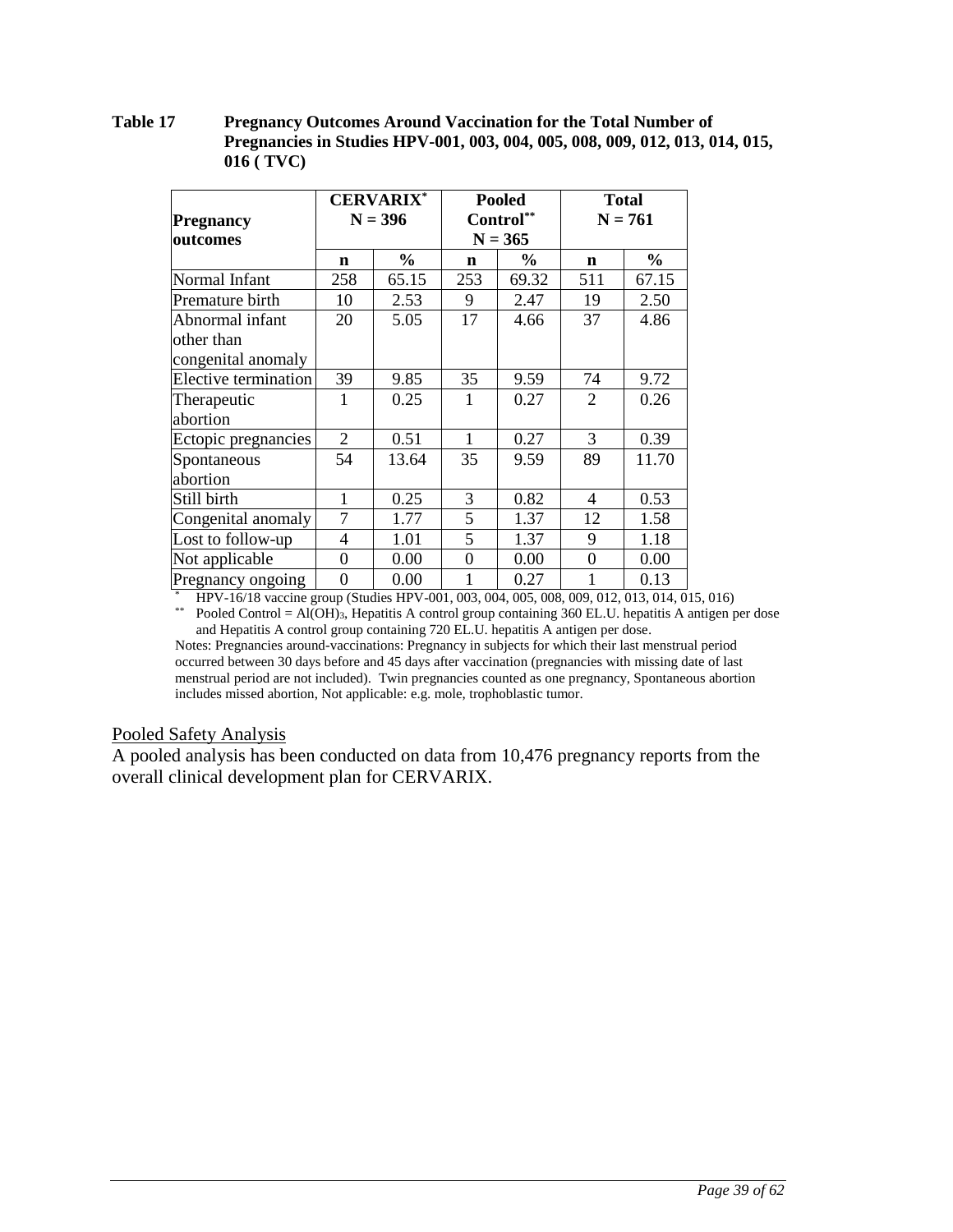#### <span id="page-38-0"></span>**Table 17 Pregnancy Outcomes Around Vaccination for the Total Number of Pregnancies in Studies HPV-001, 003, 004, 005, 008, 009, 012, 013, 014, 015, 016 ( TVC)**

|                      | <b>CERVARIX*</b><br>$N = 396$ |               |           | <b>Pooled</b> |           | <b>Total</b>  |  |
|----------------------|-------------------------------|---------------|-----------|---------------|-----------|---------------|--|
| <b>Pregnancy</b>     |                               |               | Control** |               | $N = 761$ |               |  |
| outcomes             |                               |               |           | $N = 365$     |           |               |  |
|                      | $\mathbf n$                   | $\frac{0}{0}$ | n         | $\%$          | n         | $\frac{1}{2}$ |  |
| Normal Infant        | 258                           | 65.15         | 253       | 69.32         | 511       | 67.15         |  |
| Premature birth      | 10                            | 2.53          | 9         | 2.47          | 19        | 2.50          |  |
| Abnormal infant      | 20                            | 5.05          | 17        | 4.66          | 37        | 4.86          |  |
| other than           |                               |               |           |               |           |               |  |
| congenital anomaly   |                               |               |           |               |           |               |  |
| Elective termination | 39                            | 9.85          | 35        | 9.59          | 74        | 9.72          |  |
| Therapeutic          | 1                             | 0.25          | 1         | 0.27          | 2         | 0.26          |  |
| abortion             |                               |               |           |               |           |               |  |
| Ectopic pregnancies  | 2                             | 0.51          | 1         | 0.27          | 3         | 0.39          |  |
| Spontaneous          | 54                            | 13.64         | 35        | 9.59          | 89        | 11.70         |  |
| abortion             |                               |               |           |               |           |               |  |
| Still birth          | 1                             | 0.25          | 3         | 0.82          | 4         | 0.53          |  |
| Congenital anomaly   | 7                             | 1.77          | 5         | 1.37          | 12        | 1.58          |  |
| Lost to follow-up    | 4                             | 1.01          | 5         | 1.37          | 9         | 1.18          |  |
| Not applicable       | $\theta$                      | 0.00          | $\Omega$  | 0.00          | $\Omega$  | 0.00          |  |
| Pregnancy ongoing    | $\theta$                      | 0.00          |           | 0.27          |           | 0.13          |  |

\* HPV-16/18 vaccine group (Studies HPV-001, 003, 004, 005, 008, 009, 012, 013, 014, 015, 016)

\*\* Pooled Control = Al(OH)<sub>3</sub>, Hepatitis A control group containing 360 EL.U. hepatitis A antigen per dose and Hepatitis A control group containing 720 EL.U. hepatitis A antigen per dose.

Notes: Pregnancies around-vaccinations: Pregnancy in subjects for which their last menstrual period occurred between 30 days before and 45 days after vaccination (pregnancies with missing date of last menstrual period are not included). Twin pregnancies counted as one pregnancy, Spontaneous abortion includes missed abortion, Not applicable: e.g. mole, trophoblastic tumor.

#### Pooled Safety Analysis

A pooled analysis has been conducted on data from 10,476 pregnancy reports from the overall clinical development plan for CERVARIX.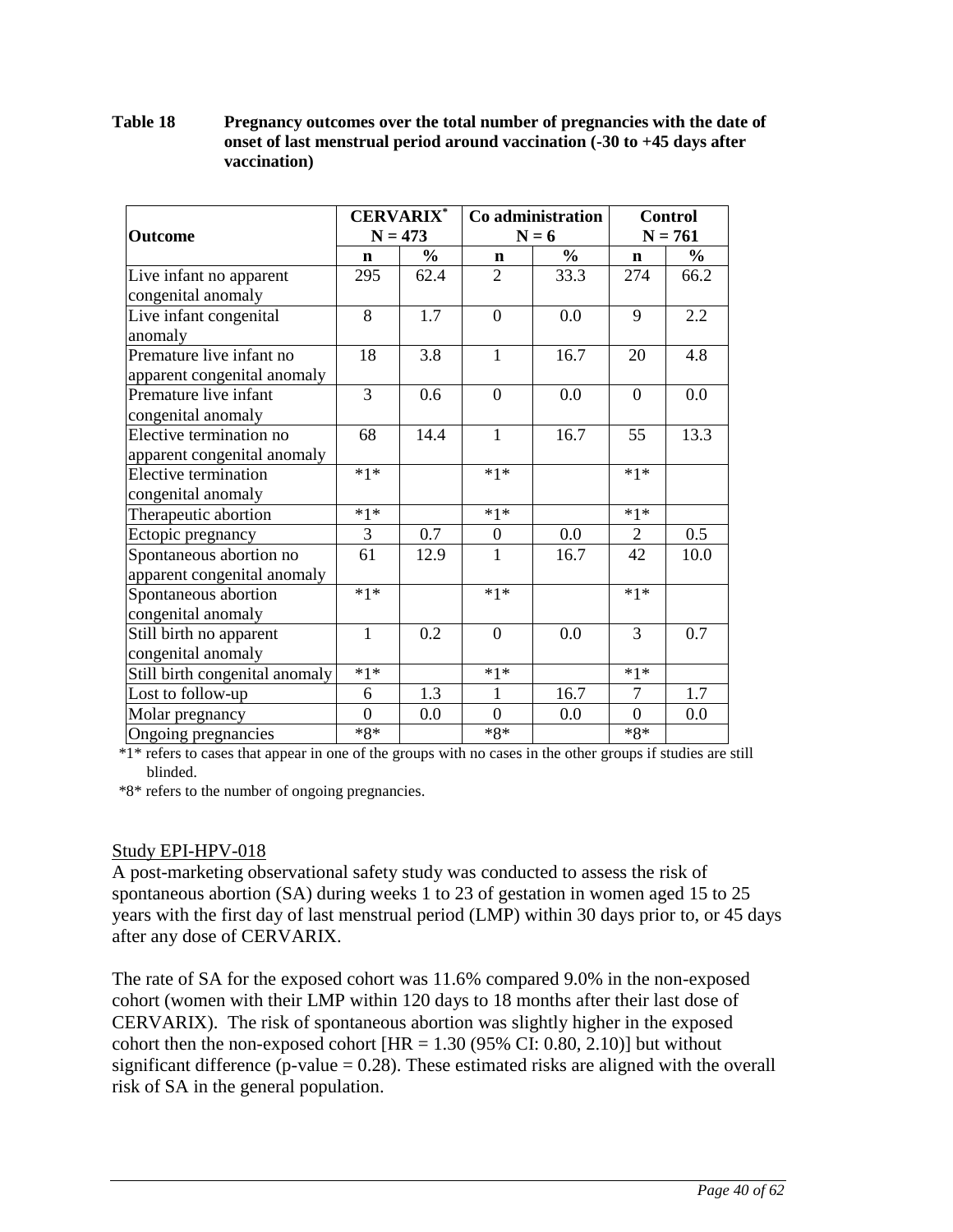### **Table 18 Pregnancy outcomes over the total number of pregnancies with the date of onset of last menstrual period around vaccination (-30 to +45 days after vaccination)**

| <b>Outcome</b>                              | <b>CERVARIX*</b><br>$N = 473$ |               | Co administration<br>$N = 6$ |                | <b>Control</b><br>$N = 761$ |      |
|---------------------------------------------|-------------------------------|---------------|------------------------------|----------------|-----------------------------|------|
|                                             | $\mathbf n$                   | $\frac{0}{0}$ | $\mathbf n$                  | $\frac{6}{10}$ | $\mathbf n$                 | $\%$ |
| Live infant no apparent                     | 295                           | 62.4          | $\overline{2}$               | 33.3           | 274                         | 66.2 |
| congenital anomaly                          |                               |               |                              |                |                             |      |
| Live infant congenital<br>anomaly           | 8                             | 1.7           | $\theta$                     | 0.0            | 9                           | 2.2  |
| Premature live infant no                    | 18                            | 3.8           | $\mathbf{1}$                 | 16.7           | 20                          | 4.8  |
| apparent congenital anomaly                 |                               |               |                              |                |                             |      |
| Premature live infant<br>congenital anomaly | $\overline{3}$                | 0.6           | $\theta$                     | 0.0            | $\Omega$                    | 0.0  |
| Elective termination no                     | 68                            | 14.4          | $\mathbf{1}$                 | 16.7           | 55                          | 13.3 |
| apparent congenital anomaly                 |                               |               |                              |                |                             |      |
| Elective termination                        | $*1*$                         |               | $*1*$                        |                | $*1*$                       |      |
| congenital anomaly                          |                               |               |                              |                |                             |      |
| Therapeutic abortion                        | $*1*$                         |               | $*1*$                        |                | $*1*$                       |      |
| Ectopic pregnancy                           | 3                             | 0.7           | $\boldsymbol{0}$             | 0.0            | $\overline{2}$              | 0.5  |
| Spontaneous abortion no                     | 61                            | 12.9          | 1                            | 16.7           | 42                          | 10.0 |
| apparent congenital anomaly                 |                               |               |                              |                |                             |      |
| Spontaneous abortion                        | $*1*$                         |               | $*1*$                        |                | $*1*$                       |      |
| congenital anomaly                          |                               |               |                              |                |                             |      |
| Still birth no apparent                     | $\mathbf{1}$                  | 0.2           | $\boldsymbol{0}$             | 0.0            | 3                           | 0.7  |
| congenital anomaly                          |                               |               |                              |                |                             |      |
| Still birth congenital anomaly              | $*1*$                         |               | $*1*$                        |                | $*1*$                       |      |
| Lost to follow-up                           | 6                             | 1.3           | 1                            | 16.7           | 7                           | 1.7  |
| Molar pregnancy                             | $\overline{0}$                | 0.0           | $\boldsymbol{0}$             | 0.0            | $\theta$                    | 0.0  |
| Ongoing pregnancies                         | $*8*$                         |               | $*8*$                        |                | $*8*$                       |      |

\*1\* refers to cases that appear in one of the groups with no cases in the other groups if studies are still blinded.

\*8\* refers to the number of ongoing pregnancies.

## Study EPI-HPV-018

A post-marketing observational safety study was conducted to assess the risk of spontaneous abortion (SA) during weeks 1 to 23 of gestation in women aged 15 to 25 years with the first day of last menstrual period (LMP) within 30 days prior to, or 45 days after any dose of CERVARIX.

The rate of SA for the exposed cohort was 11.6% compared 9.0% in the non-exposed cohort (women with their LMP within 120 days to 18 months after their last dose of CERVARIX). The risk of spontaneous abortion was slightly higher in the exposed cohort then the non-exposed cohort  $[HR = 1.30 (95\% CI: 0.80, 2.10)]$  but without significant difference ( $p$ -value = 0.28). These estimated risks are aligned with the overall risk of SA in the general population.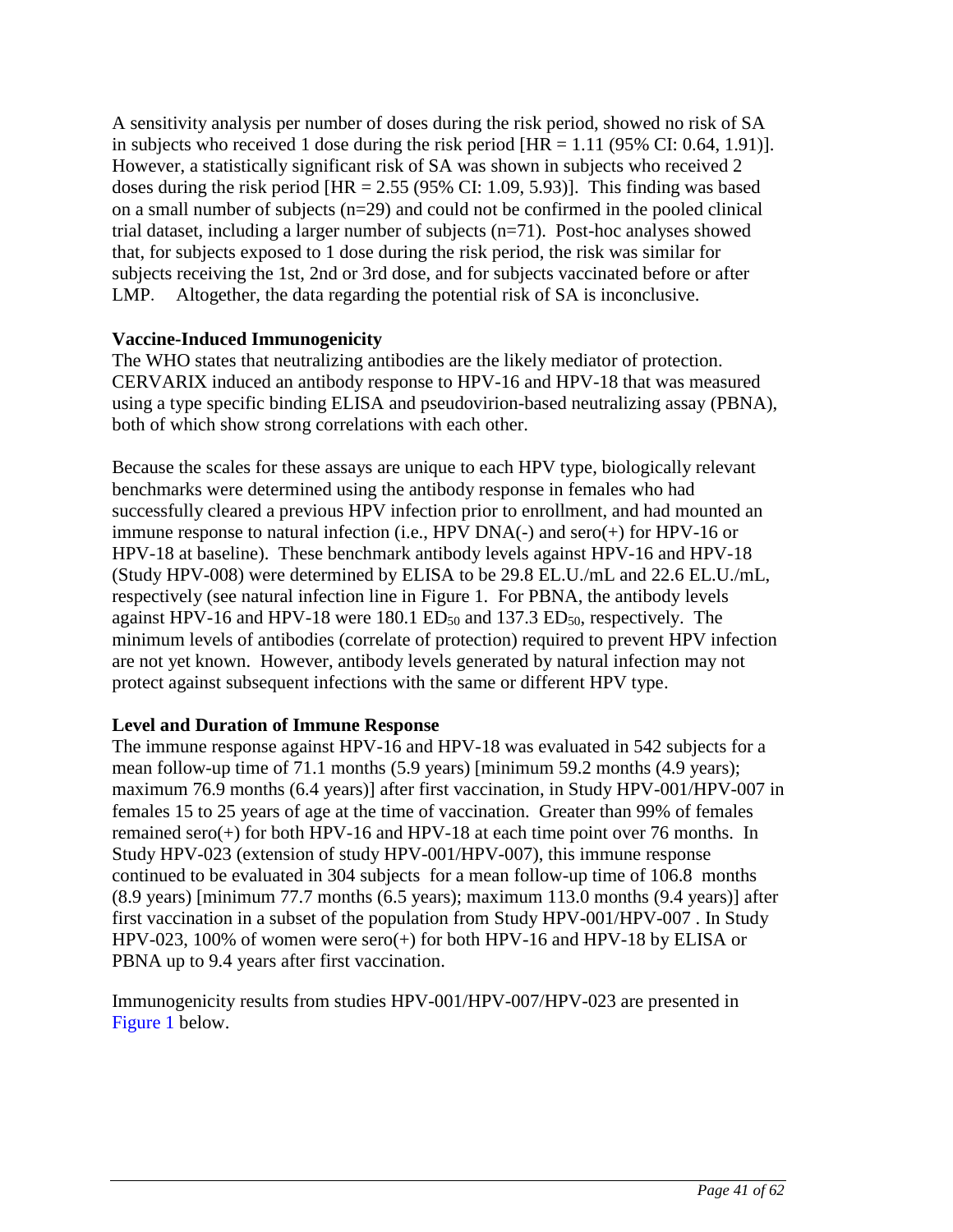A sensitivity analysis per number of doses during the risk period, showed no risk of SA in subjects who received 1 dose during the risk period  $[HR = 1.11 (95\% CI: 0.64, 1.91)].$ However, a statistically significant risk of SA was shown in subjects who received 2 doses during the risk period  $[HR = 2.55 (95\% CI: 1.09, 5.93)]$ . This finding was based on a small number of subjects (n=29) and could not be confirmed in the pooled clinical trial dataset, including a larger number of subjects (n=71). Post-hoc analyses showed that, for subjects exposed to 1 dose during the risk period, the risk was similar for subjects receiving the 1st, 2nd or 3rd dose, and for subjects vaccinated before or after LMP. Altogether, the data regarding the potential risk of SA is inconclusive.

## **Vaccine-Induced Immunogenicity**

The WHO states that neutralizing antibodies are the likely mediator of protection. CERVARIX induced an antibody response to HPV-16 and HPV-18 that was measured using a type specific binding ELISA and pseudovirion-based neutralizing assay (PBNA), both of which show strong correlations with each other.

Because the scales for these assays are unique to each HPV type, biologically relevant benchmarks were determined using the antibody response in females who had successfully cleared a previous HPV infection prior to enrollment, and had mounted an immune response to natural infection (i.e., HPV DNA(-) and sero(+) for HPV-16 or HPV-18 at baseline). These benchmark antibody levels against HPV-16 and HPV-18 (Study HPV-008) were determined by ELISA to be 29.8 EL.U./mL and 22.6 EL.U./mL, respectively (see natural infection line in Figure 1. For PBNA, the antibody levels against HPV-16 and HPV-18 were  $180.1$  ED<sub>50</sub> and  $137.3$  ED<sub>50</sub>, respectively. The minimum levels of antibodies (correlate of protection) required to prevent HPV infection are not yet known. However, antibody levels generated by natural infection may not protect against subsequent infections with the same or different HPV type.

## **Level and Duration of Immune Response**

The immune response against HPV-16 and HPV-18 was evaluated in 542 subjects for a mean follow-up time of 71.1 months (5.9 years) [minimum 59.2 months (4.9 years); maximum 76.9 months (6.4 years)] after first vaccination, in Study HPV-001/HPV-007 in females 15 to 25 years of age at the time of vaccination. Greater than 99% of females remained sero(+) for both HPV-16 and HPV-18 at each time point over 76 months. In Study HPV-023 (extension of study HPV-001/HPV-007), this immune response continued to be evaluated in 304 subjects for a mean follow-up time of 106.8 months (8.9 years) [minimum 77.7 months (6.5 years); maximum 113.0 months (9.4 years)] after first vaccination in a subset of the population from Study HPV-001/HPV-007 . In Study HPV-023, 100% of women were sero(+) for both HPV-16 and HPV-18 by ELISA or PBNA up to 9.4 years after first vaccination.

Immunogenicity results from studies HPV-001/HPV-007/HPV-023 are presented in [Figure 1](#page-41-0) below.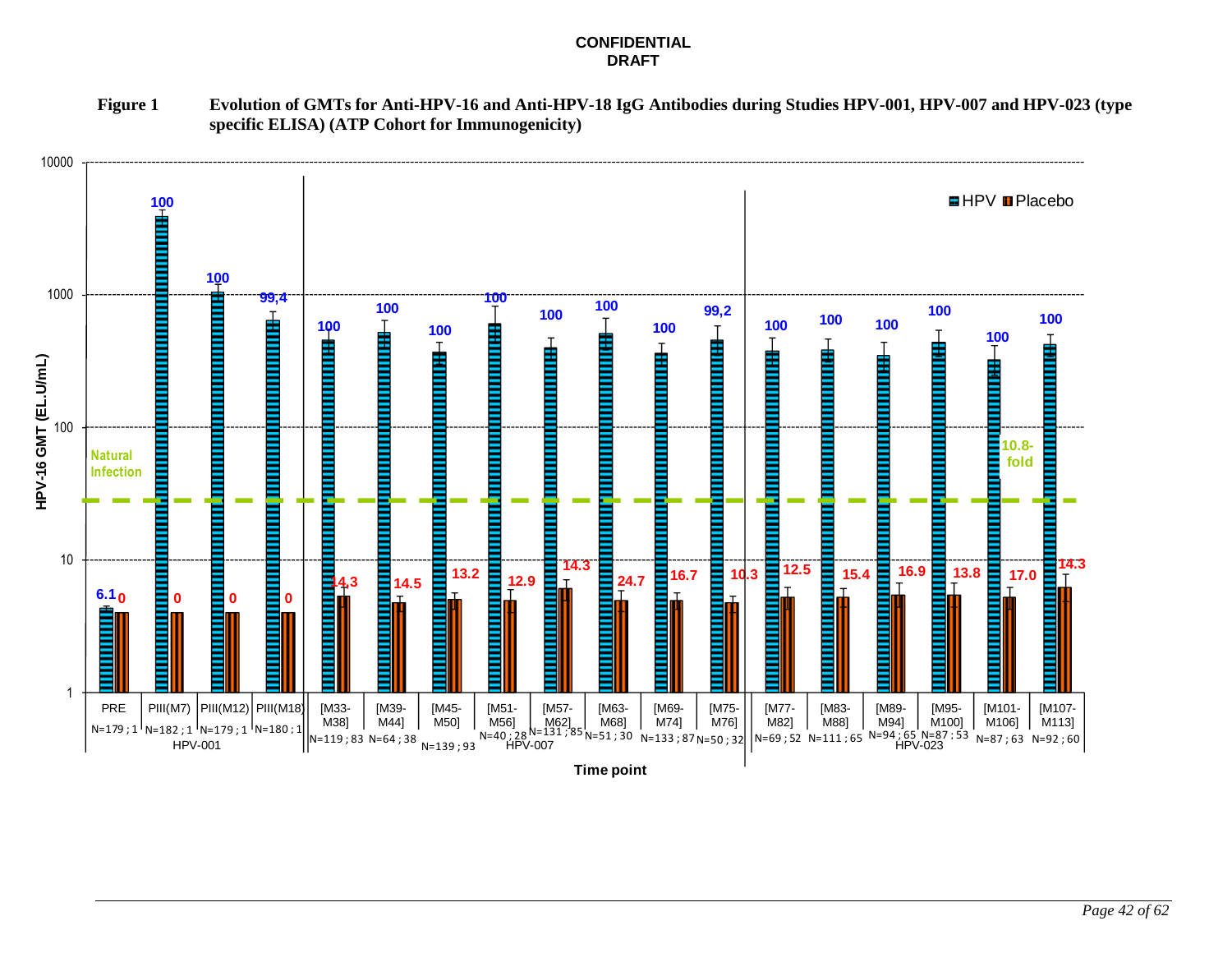#### **CONFIDENTIAL DRAFT**

**Figure 1 Evolution of GMTs for Anti-HPV-16 and Anti-HPV-18 IgG Antibodies during Studies HPV-001, HPV-007 and HPV-023 (type specific ELISA) (ATP Cohort for Immunogenicity)**

<span id="page-41-0"></span>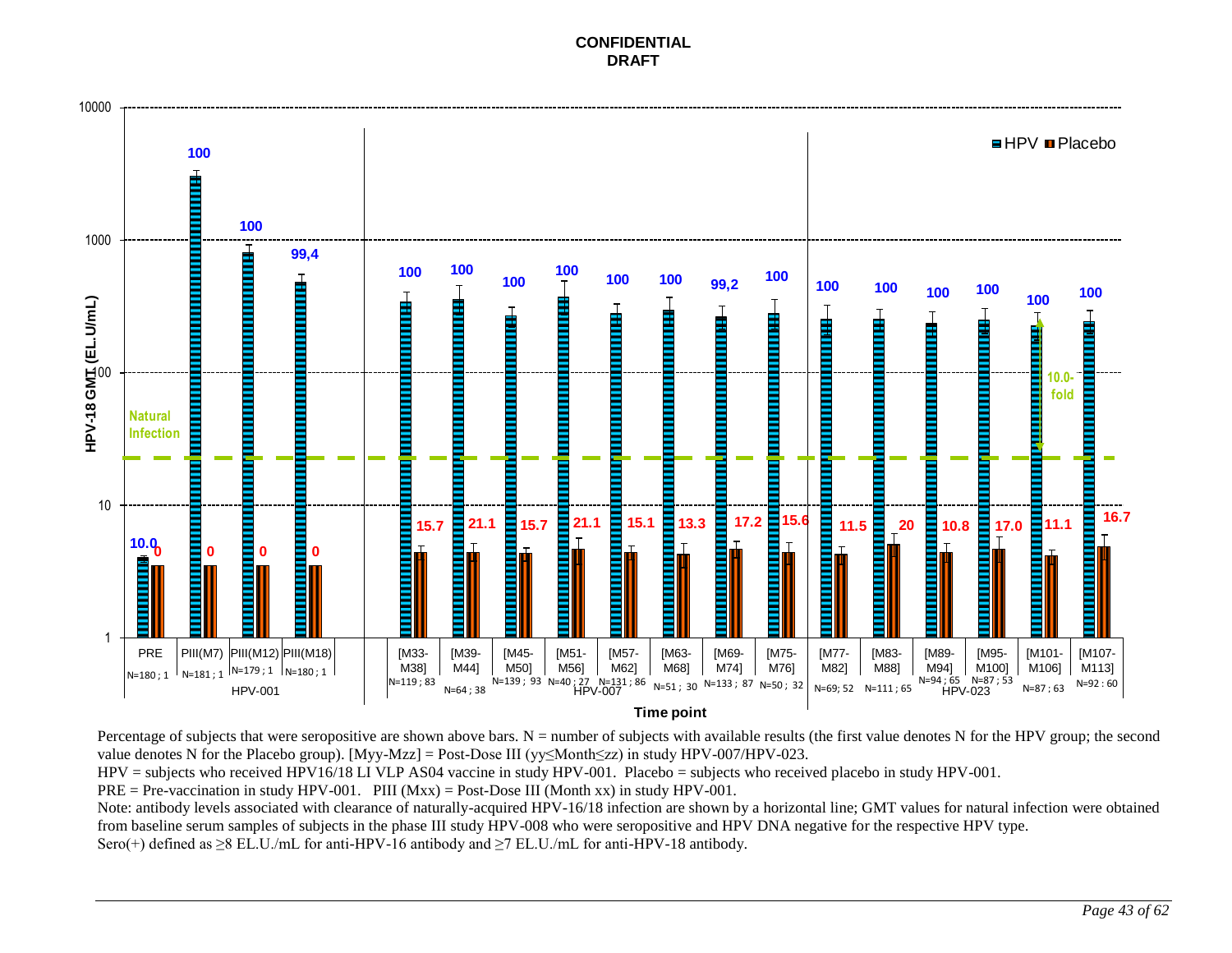**CONFIDENTIAL DRAFT**



Percentage of subjects that were seropositive are shown above bars.  $N =$  number of subjects with available results (the first value denotes N for the HPV group; the second value denotes N for the Placebo group). [Myy-Mzz] = Post-Dose III (yy≤Month≤zz) in study HPV-007/HPV-023.

HPV = subjects who received HPV16/18 LI VLP AS04 vaccine in study HPV-001. Placebo = subjects who received placebo in study HPV-001.

 $PRE = Pre-vaccination in study HPV-001.$  PIII  $(Mxx) = Post-Does III$  (Month xx) in study HPV-001.

Note: antibody levels associated with clearance of naturally-acquired HPV-16/18 infection are shown by a horizontal line; GMT values for natural infection were obtained from baseline serum samples of subjects in the phase III study HPV-008 who were seropositive and HPV DNA negative for the respective HPV type. Sero(+) defined as  $\geq$ 8 EL.U./mL for anti-HPV-16 antibody and  $\geq$ 7 EL.U./mL for anti-HPV-18 antibody.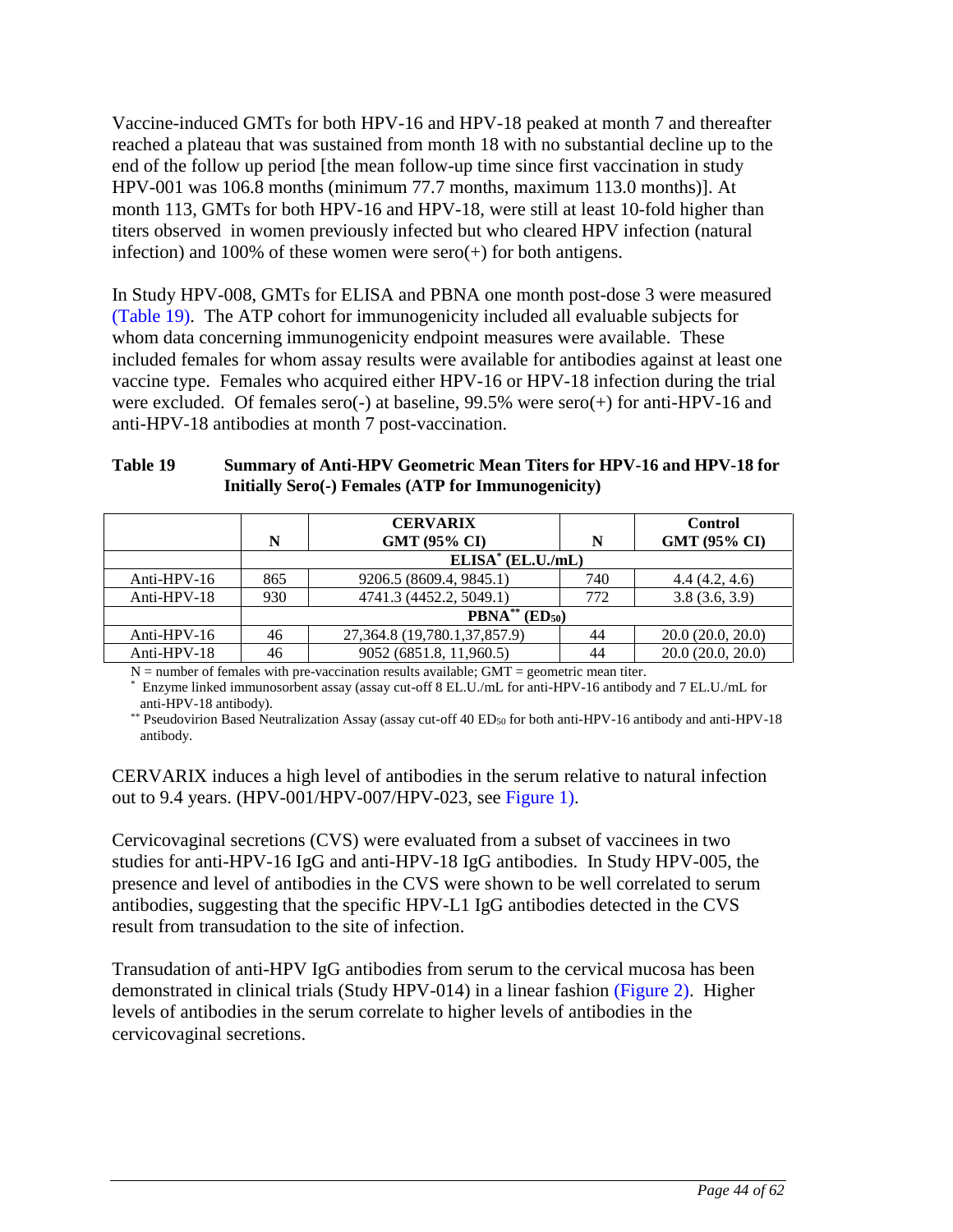Vaccine-induced GMTs for both HPV-16 and HPV-18 peaked at month 7 and thereafter reached a plateau that was sustained from month 18 with no substantial decline up to the end of the follow up period [the mean follow-up time since first vaccination in study HPV-001 was 106.8 months (minimum 77.7 months, maximum 113.0 months)]. At month 113, GMTs for both HPV-16 and HPV-18, were still at least 10-fold higher than titers observed in women previously infected but who cleared HPV infection (natural infection) and 100% of these women were  $sero(+)$  for both antigens.

In Study HPV-008, GMTs for ELISA and PBNA one month post-dose 3 were measured [\(Table 19\)](#page-43-0). The ATP cohort for immunogenicity included all evaluable subjects for whom data concerning immunogenicity endpoint measures were available. These included females for whom assay results were available for antibodies against at least one vaccine type. Females who acquired either HPV-16 or HPV-18 infection during the trial were excluded. Of females sero(-) at baseline, 99.5% were sero(+) for anti-HPV-16 and anti-HPV-18 antibodies at month 7 post-vaccination.

### <span id="page-43-0"></span>**Table 19 Summary of Anti-HPV Geometric Mean Titers for HPV-16 and HPV-18 for Initially Sero(-) Females (ATP for Immunogenicity)**

|                | N   | <b>CERVARIX</b><br><b>GMT (95% CI)</b> | N   | <b>Control</b><br>GMT (95% CI) |  |
|----------------|-----|----------------------------------------|-----|--------------------------------|--|
|                |     | $ELISA* (EL.U./mL)$                    |     |                                |  |
| Anti-HPV- $16$ | 865 | 9206.5 (8609.4, 9845.1)                | 740 | 4.4(4.2, 4.6)                  |  |
| Anti-HPV-18    | 930 | 4741.3 (4452.2, 5049.1)                | 772 | 3.8(3.6, 3.9)                  |  |
|                |     | $\text{PBNA}^{**}(\text{ED}_{50})$     |     |                                |  |
| Anti-HPV-16    | 46  | 27, 364.8 (19, 780.1, 37, 857.9)       | 44  | 20.0(20.0, 20.0)               |  |
| Anti-HPV-18    | 46  | 9052 (6851.8, 11,960.5)                | 44  | 20.0(20.0, 20.0)               |  |

 $N =$  number of females with pre-vaccination results available;  $GMT =$  geometric mean titer.

\* Enzyme linked immunosorbent assay (assay cut-off 8 EL.U./mL for anti-HPV-16 antibody and 7 EL.U./mL for anti-HPV-18 antibody).

\*\* Pseudovirion Based Neutralization Assay (assay cut-off 40 ED<sub>50</sub> for both anti-HPV-16 antibody and anti-HPV-18 antibody.

CERVARIX induces a high level of antibodies in the serum relative to natural infection out to 9.4 years. (HPV-001/HPV-007/HPV-023, see [Figure 1\)](#page-41-0).

Cervicovaginal secretions (CVS) were evaluated from a subset of vaccinees in two studies for anti-HPV-16 IgG and anti-HPV-18 IgG antibodies. In Study HPV-005, the presence and level of antibodies in the CVS were shown to be well correlated to serum antibodies, suggesting that the specific HPV-L1 IgG antibodies detected in the CVS result from transudation to the site of infection.

Transudation of anti-HPV IgG antibodies from serum to the cervical mucosa has been demonstrated in clinical trials (Study HPV-014) in a linear fashion [\(Figure 2\)](#page-44-0). Higher levels of antibodies in the serum correlate to higher levels of antibodies in the cervicovaginal secretions.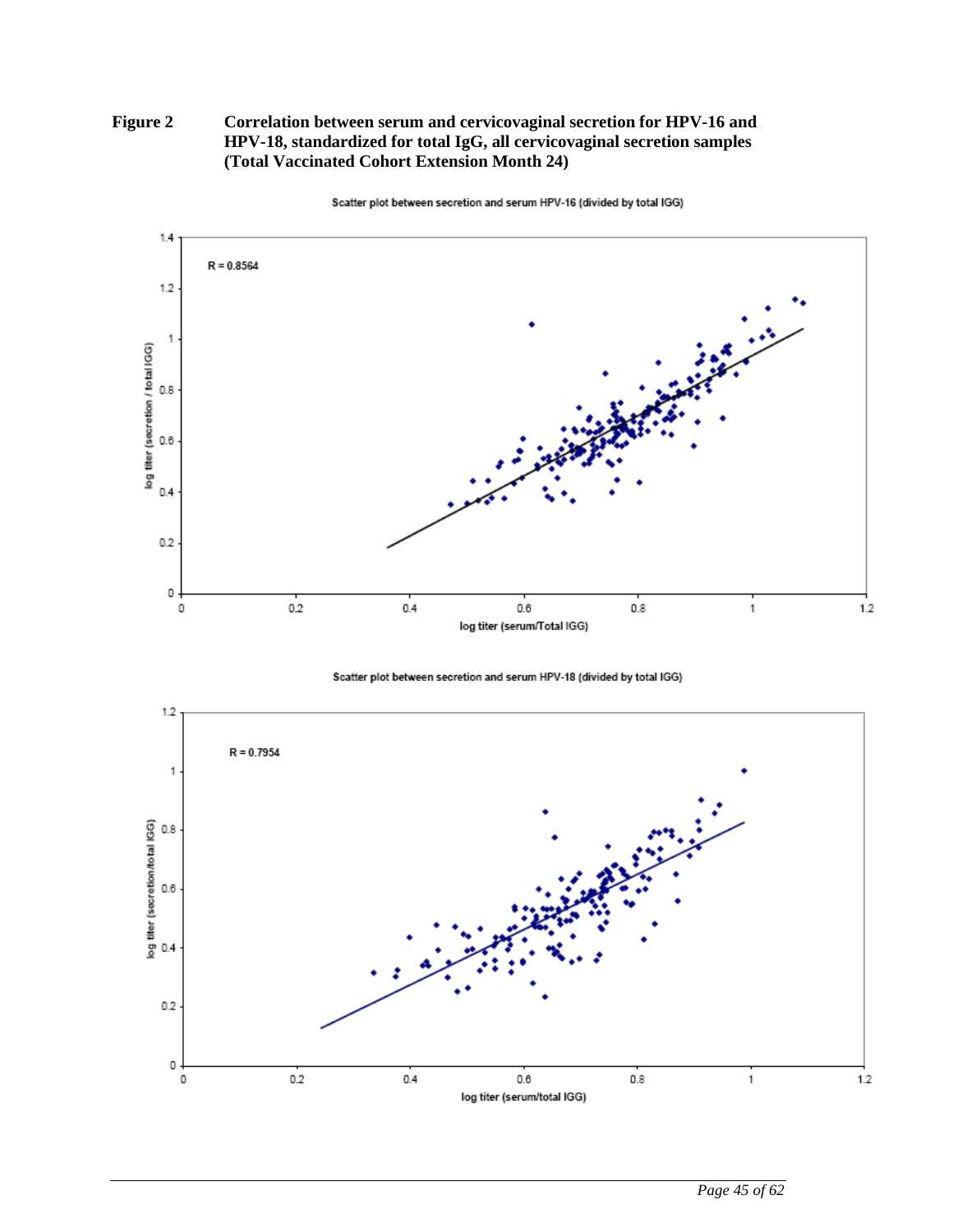### <span id="page-44-0"></span>**Figure 2 Correlation between serum and cervicovaginal secretion for HPV-16 and HPV-18, standardized for total IgG, all cervicovaginal secretion samples (Total Vaccinated Cohort Extension Month 24)**



Scatter plot between secretion and serum HPV-16 (divided by total IGG)

Scatter plot between secretion and serum HPV-18 (divided by total IGG)

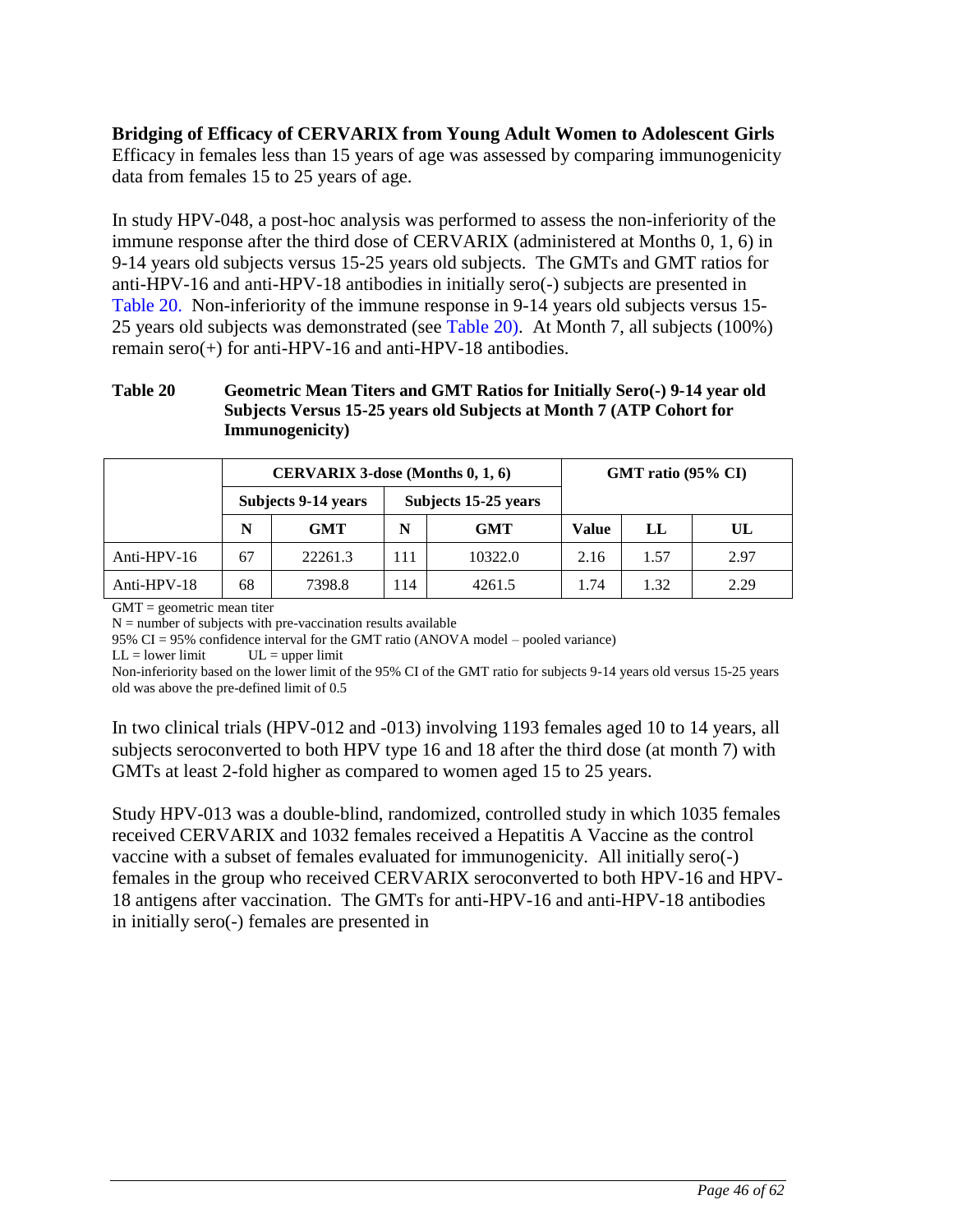## **Bridging of Efficacy of CERVARIX from Young Adult Women to Adolescent Girls**

Efficacy in females less than 15 years of age was assessed by comparing immunogenicity data from females 15 to 25 years of age.

In study HPV-048, a post-hoc analysis was performed to assess the non-inferiority of the immune response after the third dose of CERVARIX (administered at Months 0, 1, 6) in 9-14 years old subjects versus 15-25 years old subjects. The GMTs and GMT ratios for anti-HPV-16 and anti-HPV-18 antibodies in initially sero(-) subjects are presented in [Table 20.](#page-45-0) Non-inferiority of the immune response in 9-14 years old subjects versus 15- 25 years old subjects was demonstrated (see [Table 20\)](#page-45-0). At Month 7, all subjects (100%) remain sero(+) for anti-HPV-16 and anti-HPV-18 antibodies.

### <span id="page-45-0"></span>**Table 20 Geometric Mean Titers and GMT Ratios for Initially Sero(-) 9-14 year old Subjects Versus 15-25 years old Subjects at Month 7 (ATP Cohort for Immunogenicity)**

| CERVARIX 3-dose (Months 0, 1, 6) |                     |         |     |                      | GMT ratio (95% CI) |      |      |  |
|----------------------------------|---------------------|---------|-----|----------------------|--------------------|------|------|--|
|                                  | Subjects 9-14 years |         |     | Subjects 15-25 years |                    |      |      |  |
|                                  | N<br><b>GMT</b>     |         | N   | GMT                  | <b>Value</b>       | LL   | UL   |  |
| Anti-HPV- $16$                   | 67                  | 22261.3 | 111 | 10322.0              | 2.16               | 1.57 | 2.97 |  |
| Anti-HPV-18                      | 68                  | 7398.8  | 114 | 4261.5               | 1.74               | 1.32 | 2.29 |  |

 $GMT =$  geometric mean titer

 $N =$  number of subjects with pre-vaccination results available

95% CI = 95% confidence interval for the GMT ratio (ANOVA model – pooled variance)

 $LL =$  lower limit  $UL =$  upper limit

Non-inferiority based on the lower limit of the 95% CI of the GMT ratio for subjects 9-14 years old versus 15-25 years old was above the pre-defined limit of 0.5

In two clinical trials (HPV-012 and -013) involving 1193 females aged 10 to 14 years, all subjects seroconverted to both HPV type 16 and 18 after the third dose (at month 7) with GMTs at least 2-fold higher as compared to women aged 15 to 25 years.

Study HPV-013 was a double-blind, randomized, controlled study in which 1035 females received CERVARIX and 1032 females received a Hepatitis A Vaccine as the control vaccine with a subset of females evaluated for immunogenicity. All initially sero(-) females in the group who received CERVARIX seroconverted to both HPV-16 and HPV-18 antigens after vaccination. The GMTs for anti-HPV-16 and anti-HPV-18 antibodies in initially sero(-) females are presented in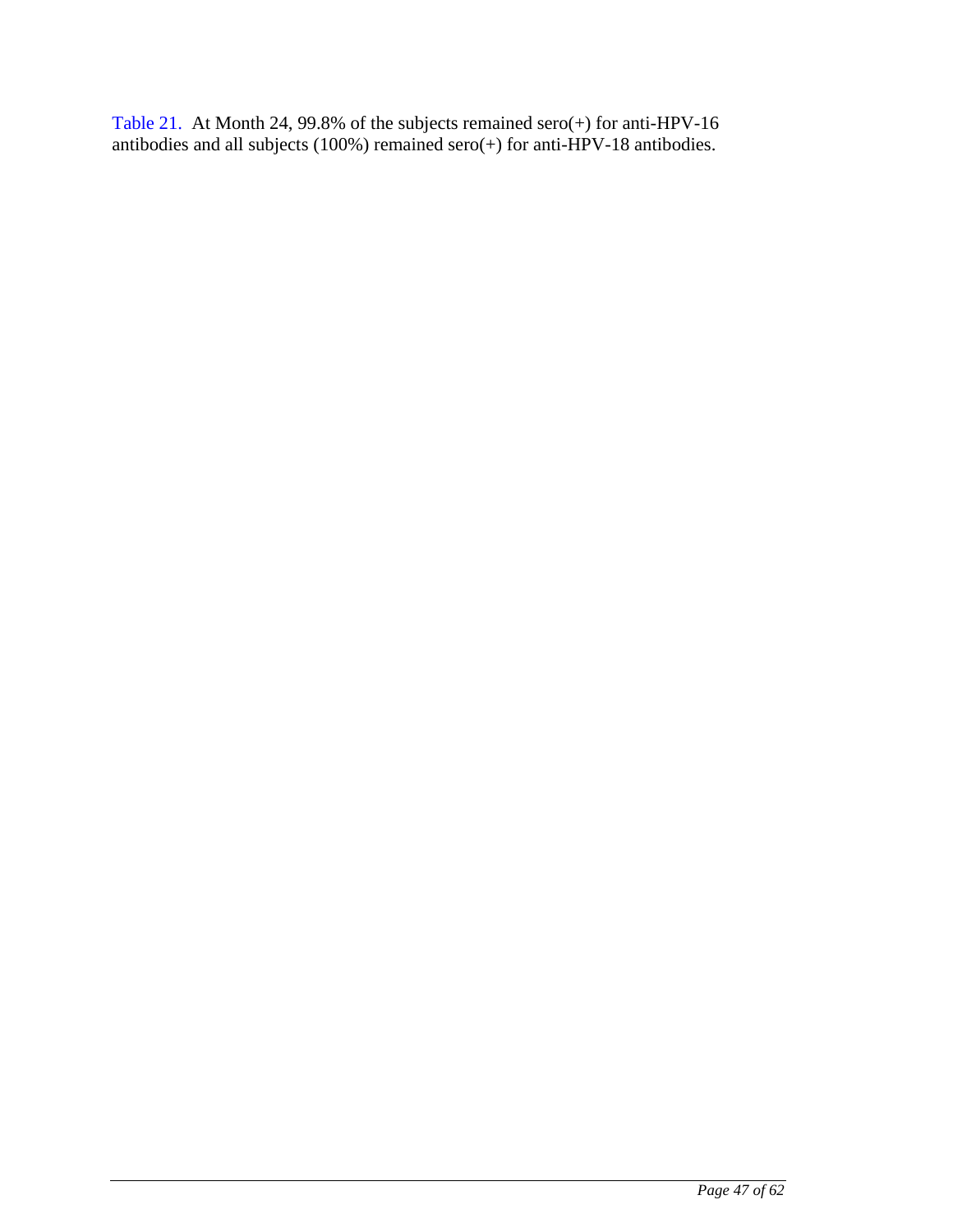<span id="page-46-0"></span>[Table](#page-46-0) 21. At Month 24, 99.8% of the subjects remained sero(+) for anti-HPV-16 antibodies and all subjects (100%) remained sero(+) for anti-HPV-18 antibodies.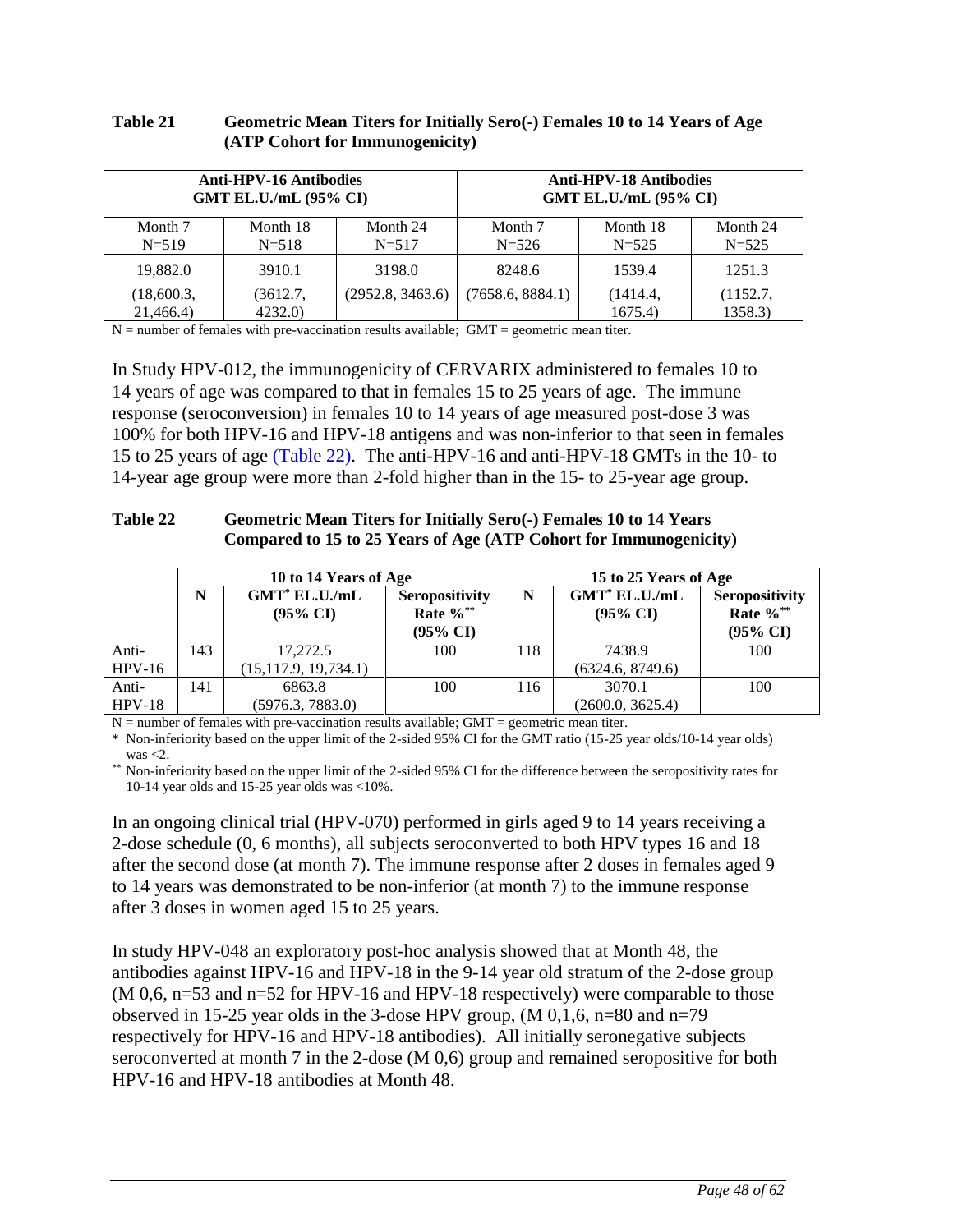| <b>Anti-HPV-16 Antibodies</b> |                    |                  | <b>Anti-HPV-18 Antibodies</b> |                     |                     |  |
|-------------------------------|--------------------|------------------|-------------------------------|---------------------|---------------------|--|
| <b>GMT EL.U./mL (95% CI)</b>  |                    |                  | <b>GMT EL.U./mL (95% CI)</b>  |                     |                     |  |
| Month 7                       | Month 18           | Month 24         | Month 7                       | Month 18            | Month 24            |  |
| $N = 519$                     | $N = 518$          | $N = 517$        | $N = 526$                     | $N = 525$           | $N = 525$           |  |
| 19,882.0                      | 3910.1             | 3198.0           | 8248.6                        | 1539.4              | 1251.3              |  |
| (18,600.3,<br>21,466.4)       | (3612.7,<br>4232.0 | (2952.8, 3463.6) | (7658.6, 8884.1)              | (1414.4,<br>1675.4) | (1152.7,<br>1358.3) |  |

### **Table 21 Geometric Mean Titers for Initially Sero(-) Females 10 to 14 Years of Age (ATP Cohort for Immunogenicity)**

 $N =$  number of females with pre-vaccination results available; GMT = geometric mean titer.

In Study HPV-012, the immunogenicity of CERVARIX administered to females 10 to 14 years of age was compared to that in females 15 to 25 years of age. The immune response (seroconversion) in females 10 to 14 years of age measured post-dose 3 was 100% for both HPV-16 and HPV-18 antigens and was non-inferior to that seen in females 15 to 25 years of age [\(Table 22\)](#page-47-0). The anti-HPV-16 and anti-HPV-18 GMTs in the 10- to 14-year age group were more than 2-fold higher than in the 15- to 25-year age group.

#### <span id="page-47-0"></span>**Table 22 Geometric Mean Titers for Initially Sero(-) Females 10 to 14 Years Compared to 15 to 25 Years of Age (ATP Cohort for Immunogenicity)**

|                   |     | 10 to 14 Years of Age                   |                                                   | 15 to 25 Years of Age |                                         |                                                       |  |
|-------------------|-----|-----------------------------------------|---------------------------------------------------|-----------------------|-----------------------------------------|-------------------------------------------------------|--|
|                   | N   | $GMT^*$ EL.U./mL<br>$(95\% \text{ CI})$ | <b>Seropositivity</b><br>Rate $\%$ **<br>(95% CI) | N                     | $GMT^*$ EL.U./mL<br>$(95\% \text{ CI})$ | Seropositivity<br>Rate $\%$ **<br>$(95\% \text{ CI})$ |  |
| Anti-<br>$HPV-16$ | 143 | 17.272.5<br>(15, 117.9, 19, 734.1)      | 100                                               | 118                   | 7438.9<br>(6324.6, 8749.6)              | 100                                                   |  |
| Anti-<br>$HPV-18$ | 141 | 6863.8<br>(5976.3, 7883.0)              | 100                                               | 116                   | 3070.1<br>(2600.0, 3625.4)              | 100                                                   |  |

 $N =$  number of females with pre-vaccination results available; GMT = geometric mean titer.

\* Non-inferiority based on the upper limit of the 2-sided 95% CI for the GMT ratio (15-25 year olds/10-14 year olds) was  $<$ 2.

\*\* Non-inferiority based on the upper limit of the 2-sided 95% CI for the difference between the seropositivity rates for 10-14 year olds and 15-25 year olds was <10%.

In an ongoing clinical trial (HPV-070) performed in girls aged 9 to 14 years receiving a 2-dose schedule (0, 6 months), all subjects seroconverted to both HPV types 16 and 18 after the second dose (at month 7). The immune response after 2 doses in females aged 9 to 14 years was demonstrated to be non-inferior (at month 7) to the immune response after 3 doses in women aged 15 to 25 years.

In study HPV-048 an exploratory post-hoc analysis showed that at Month 48, the antibodies against HPV-16 and HPV-18 in the 9-14 year old stratum of the 2-dose group (M 0,6, n=53 and n=52 for HPV-16 and HPV-18 respectively) were comparable to those observed in 15-25 year olds in the 3-dose HPV group,  $(M\ 0,1,6, n=80)$  and  $n=79$ respectively for HPV-16 and HPV-18 antibodies). All initially seronegative subjects seroconverted at month 7 in the 2-dose (M 0,6) group and remained seropositive for both HPV-16 and HPV-18 antibodies at Month 48.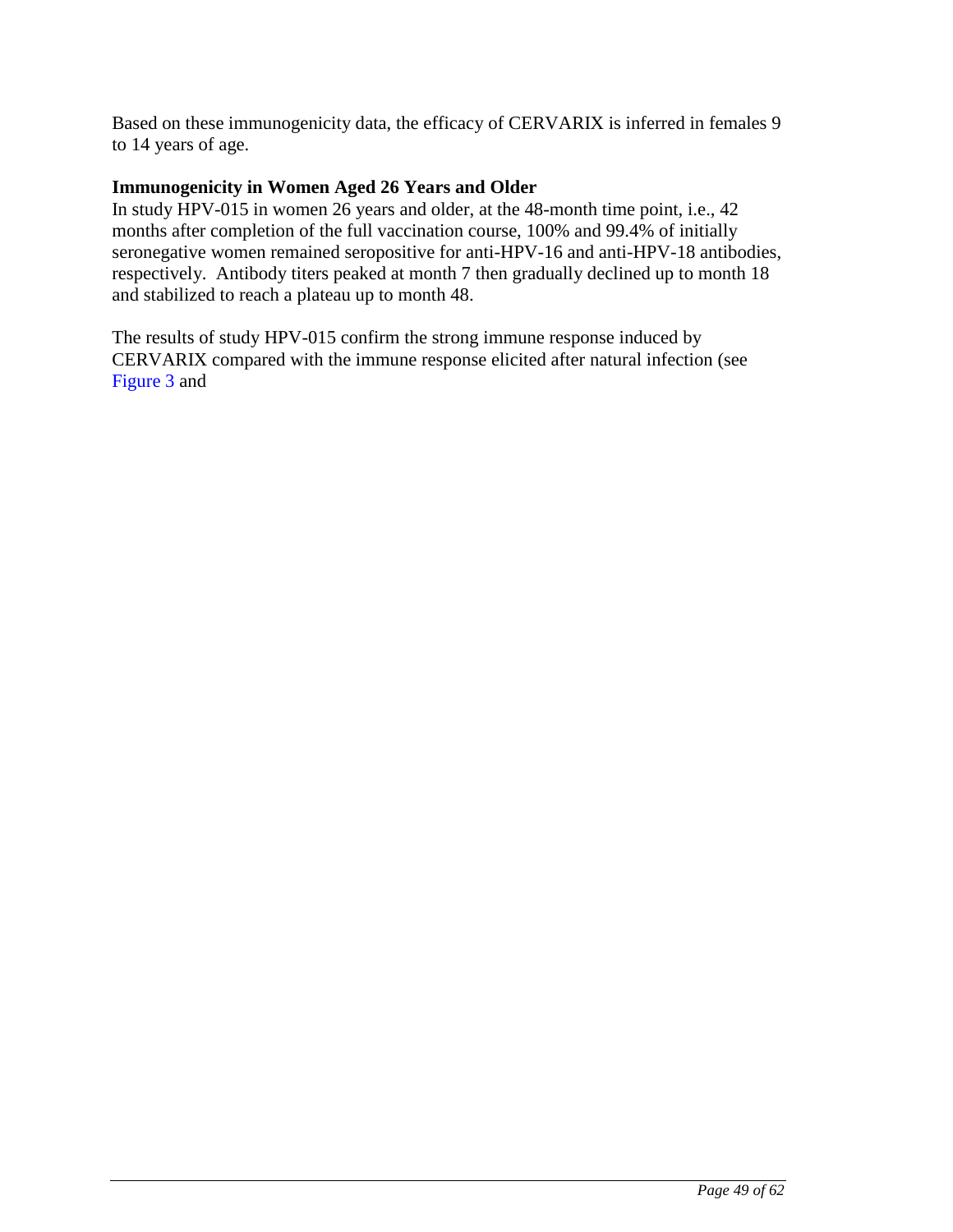Based on these immunogenicity data, the efficacy of CERVARIX is inferred in females 9 to 14 years of age.

### **Immunogenicity in Women Aged 26 Years and Older**

In study HPV-015 in women 26 years and older, at the 48-month time point, i.e., 42 months after completion of the full vaccination course, 100% and 99.4% of initially seronegative women remained seropositive for anti-HPV-16 and anti-HPV-18 antibodies, respectively. Antibody titers peaked at month 7 then gradually declined up to month 18 and stabilized to reach a plateau up to month 48.

The results of study HPV-015 confirm the strong immune response induced by CERVARIX compared with the immune response elicited after natural infection (see [Figure](#page-49-0) 3 and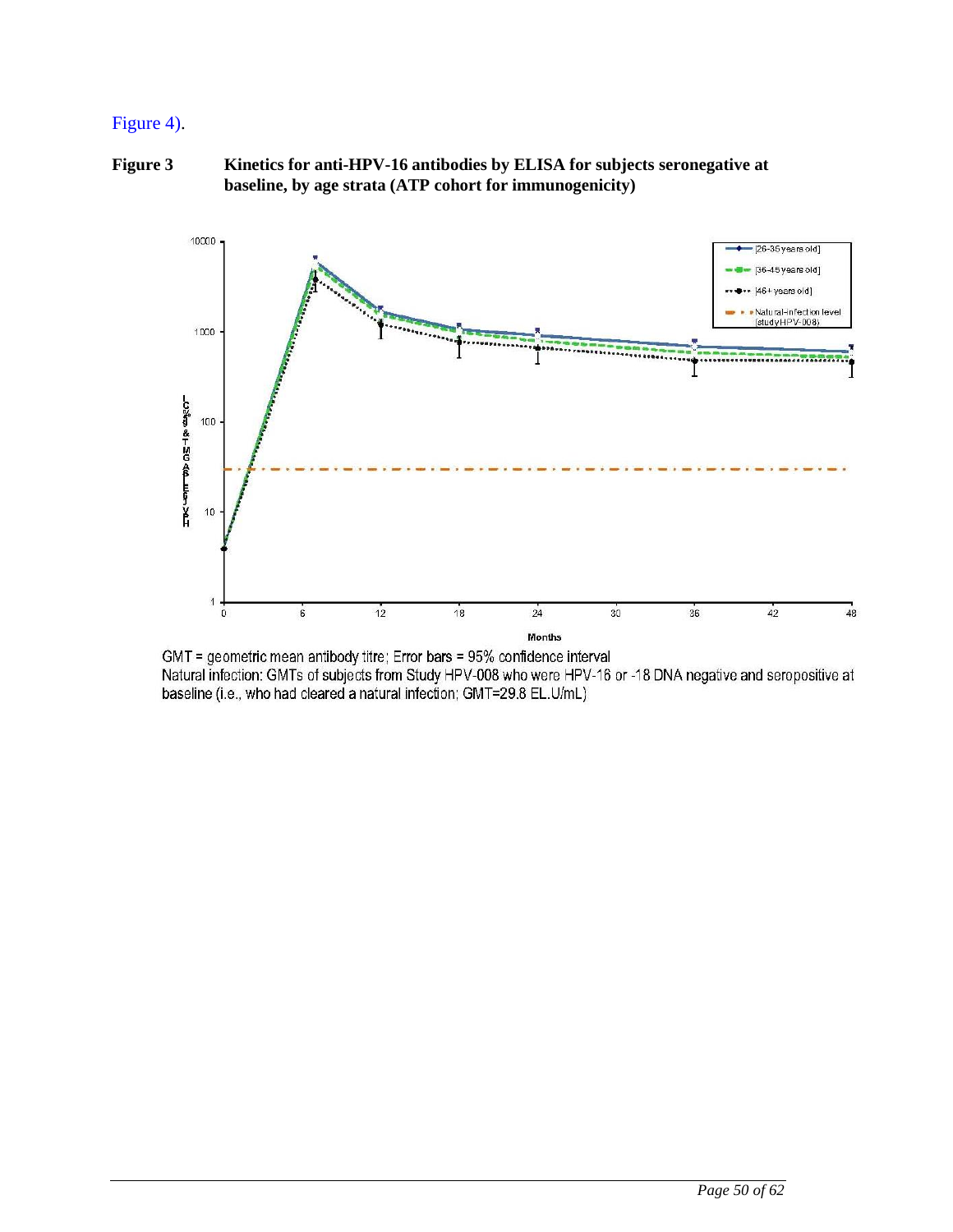## [Figure 4\)](#page-49-1).

<span id="page-49-0"></span>**Figure 3 Kinetics for anti-HPV-16 antibodies by ELISA for subjects seronegative at baseline, by age strata (ATP cohort for immunogenicity)**



<span id="page-49-1"></span>GMT = geometric mean antibody titre; Error bars = 95% confidence interval Natural infection: GMTs of subjects from Study HPV-008 who were HPV-16 or -18 DNA negative and seropositive at baseline (i.e., who had cleared a natural infection; GMT=29.8 EL.U/mL)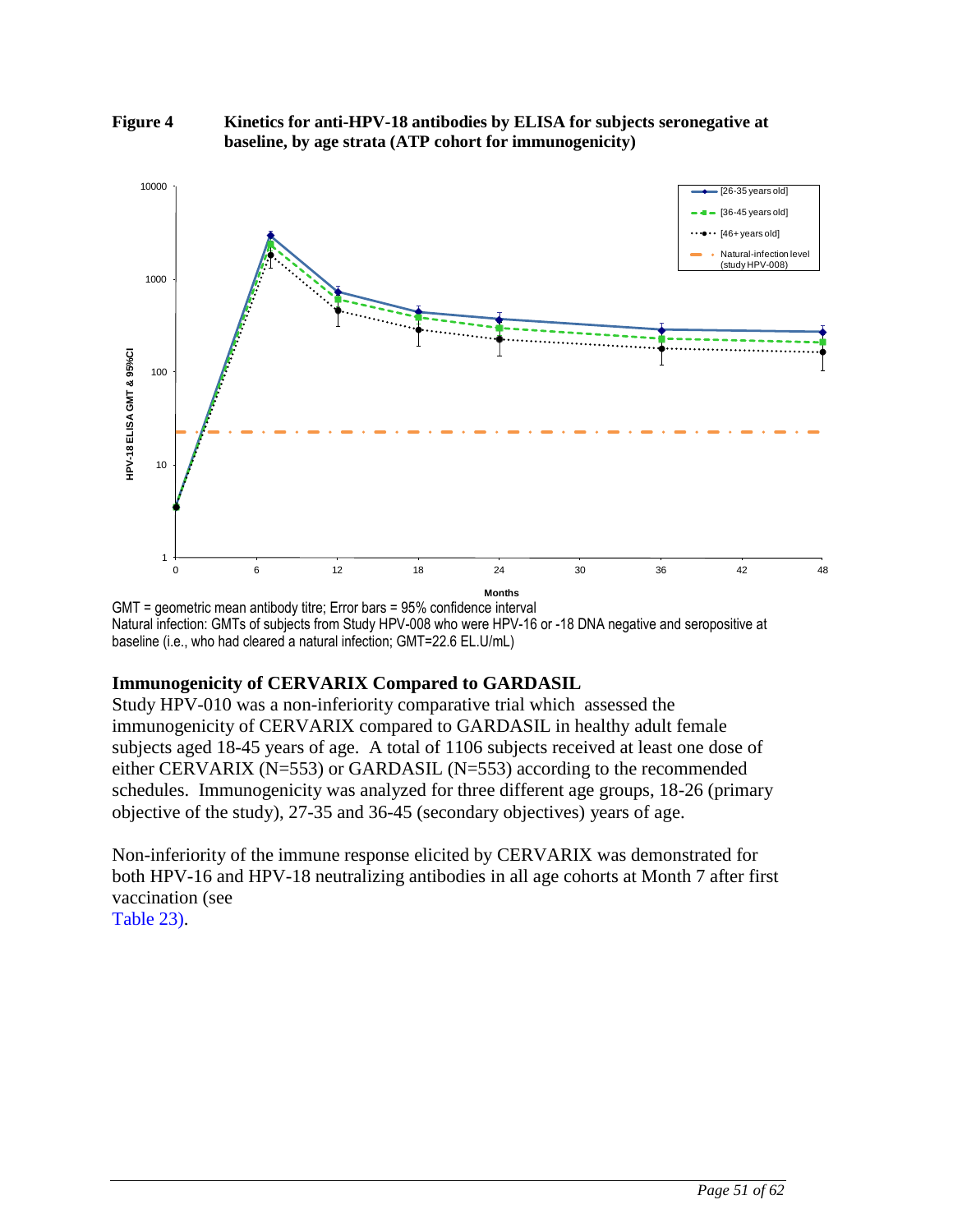<span id="page-50-0"></span>**Figure 4 Kinetics for anti-HPV-18 antibodies by ELISA for subjects seronegative at baseline, by age strata (ATP cohort for immunogenicity)**



GMT = geometric mean antibody titre; Error bars = 95% confidence interval Natural infection: GMTs of subjects from Study HPV-008 who were HPV-16 or -18 DNA negative and seropositive at baseline (i.e., who had cleared a natural infection; GMT=22.6 EL.U/mL)

## **Immunogenicity of CERVARIX Compared to GARDASIL**

Study HPV-010 was a non-inferiority comparative trial which assessed the immunogenicity of CERVARIX compared to GARDASIL in healthy adult female subjects aged 18-45 years of age. A total of 1106 subjects received at least one dose of either CERVARIX (N=553) or GARDASIL (N=553) according to the recommended schedules. Immunogenicity was analyzed for three different age groups, 18-26 (primary objective of the study), 27-35 and 36-45 (secondary objectives) years of age.

<span id="page-50-1"></span>Non-inferiority of the immune response elicited by CERVARIX was demonstrated for both HPV-16 and HPV-18 neutralizing antibodies in all age cohorts at Month 7 after first vaccination (see [Table 23\)](#page-50-1).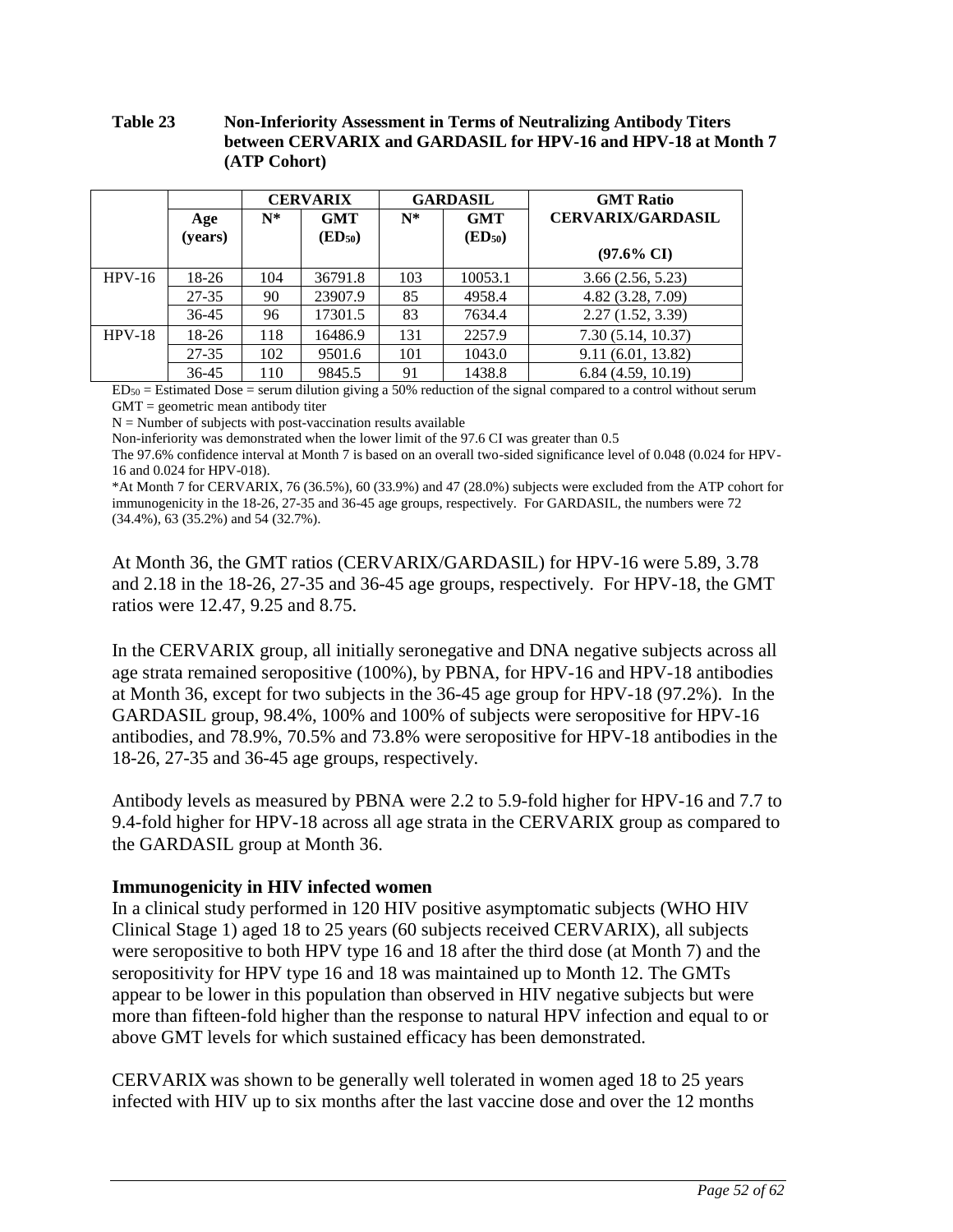#### **Table 23 Non-Inferiority Assessment in Terms of Neutralizing Antibody Titers between CERVARIX and GARDASIL for HPV-16 and HPV-18 at Month 7 (ATP Cohort)**

|          |           | <b>CERVARIX</b> |                     | <b>GARDASIL</b> |                     | <b>GMT Ratio</b>         |
|----------|-----------|-----------------|---------------------|-----------------|---------------------|--------------------------|
|          | Age       | $N^*$           | <b>GMT</b>          | $N^*$           | <b>GMT</b>          | <b>CERVARIX/GARDASIL</b> |
|          | (years)   |                 | (ED <sub>50</sub> ) |                 | (ED <sub>50</sub> ) |                          |
|          |           |                 |                     |                 |                     | $(97.6\% \text{ CI})$    |
| $HPV-16$ | 18-26     | 104             | 36791.8             | 103             | 10053.1             | 3.66(2.56, 5.23)         |
|          | 27-35     | 90              | 23907.9             | 85              | 4958.4              | 4.82(3.28, 7.09)         |
|          | 36-45     | 96              | 17301.5             | 83              | 7634.4              | 2.27(1.52, 3.39)         |
| $HPV-18$ | $18-26$   | 118             | 16486.9             | 131             | 2257.9              | 7.30(5.14, 10.37)        |
|          | $27 - 35$ | 102             | 9501.6              | 101             | 1043.0              | 9.11(6.01, 13.82)        |
|          | 36-45     | 110             | 9845.5              | 91              | 1438.8              | 6.84(4.59, 10.19)        |

 $ED<sub>50</sub> = Estimated Does = serum dilution giving a 50% reduction of the signal compared to a control without serum.$  $GMT =$  geometric mean antibody titer

 $N =$  Number of subjects with post-vaccination results available

Non-inferiority was demonstrated when the lower limit of the 97.6 CI was greater than 0.5

The 97.6% confidence interval at Month 7 is based on an overall two-sided significance level of 0.048 (0.024 for HPV-16 and 0.024 for HPV-018).

\*At Month 7 for CERVARIX, 76 (36.5%), 60 (33.9%) and 47 (28.0%) subjects were excluded from the ATP cohort for immunogenicity in the 18-26, 27-35 and 36-45 age groups, respectively. For GARDASIL, the numbers were 72 (34.4%), 63 (35.2%) and 54 (32.7%).

At Month 36, the GMT ratios (CERVARIX/GARDASIL) for HPV-16 were 5.89, 3.78 and 2.18 in the 18-26, 27-35 and 36-45 age groups, respectively. For HPV-18, the GMT ratios were 12.47, 9.25 and 8.75.

In the CERVARIX group, all initially seronegative and DNA negative subjects across all age strata remained seropositive (100%), by PBNA, for HPV-16 and HPV-18 antibodies at Month 36, except for two subjects in the 36-45 age group for HPV-18 (97.2%). In the GARDASIL group, 98.4%, 100% and 100% of subjects were seropositive for HPV-16 antibodies, and 78.9%, 70.5% and 73.8% were seropositive for HPV-18 antibodies in the 18-26, 27-35 and 36-45 age groups, respectively.

Antibody levels as measured by PBNA were 2.2 to 5.9-fold higher for HPV-16 and 7.7 to 9.4-fold higher for HPV-18 across all age strata in the CERVARIX group as compared to the GARDASIL group at Month 36.

#### **Immunogenicity in HIV infected women**

In a clinical study performed in 120 HIV positive asymptomatic subjects (WHO HIV Clinical Stage 1) aged 18 to 25 years (60 subjects received CERVARIX), all subjects were seropositive to both HPV type 16 and 18 after the third dose (at Month 7) and the seropositivity for HPV type 16 and 18 was maintained up to Month 12. The GMTs appear to be lower in this population than observed in HIV negative subjects but were more than fifteen-fold higher than the response to natural HPV infection and equal to or above GMT levels for which sustained efficacy has been demonstrated.

CERVARIX was shown to be generally well tolerated in women aged 18 to 25 years infected with HIV up to six months after the last vaccine dose and over the 12 months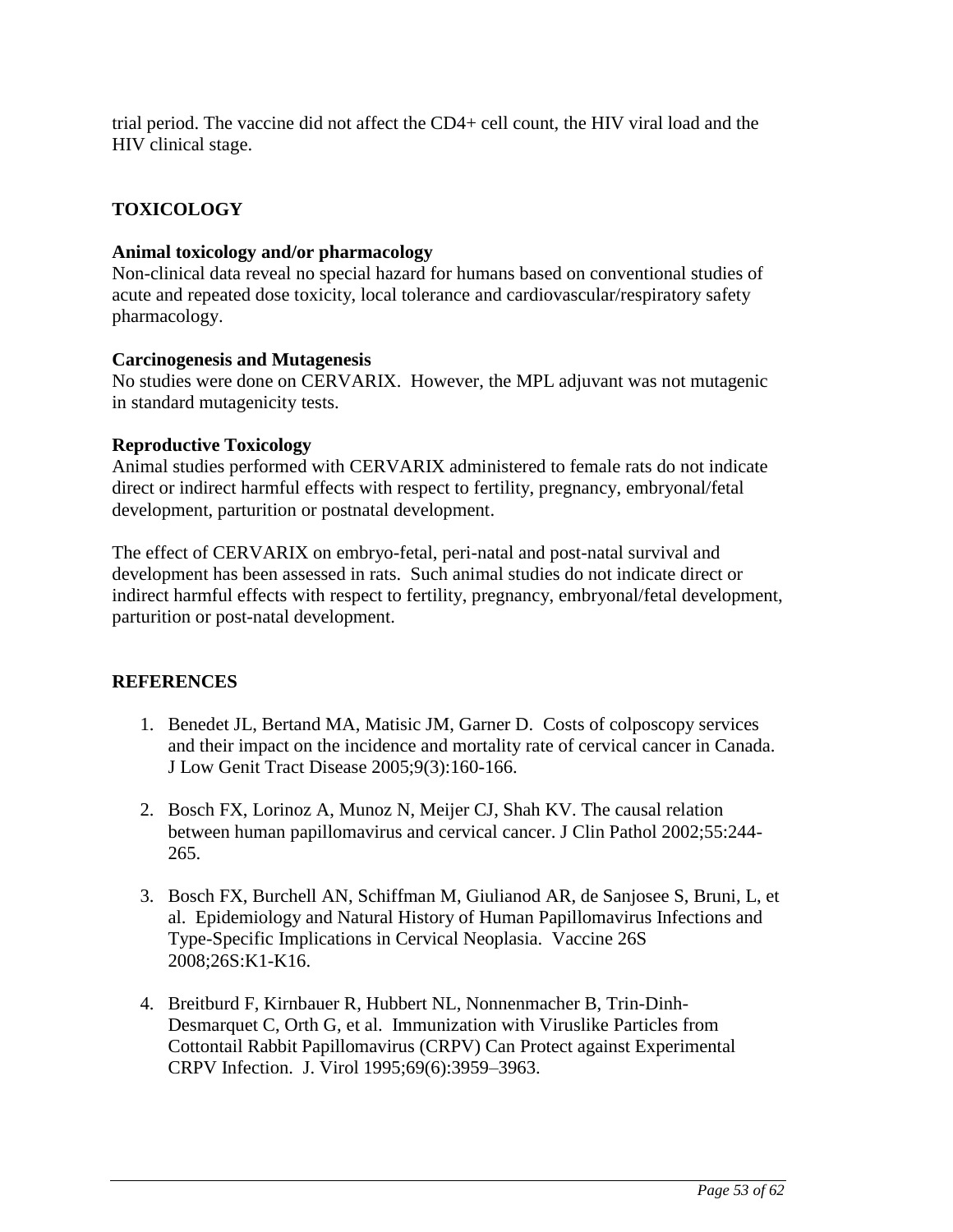trial period. The vaccine did not affect the CD4+ cell count, the HIV viral load and the HIV clinical stage.

## **TOXICOLOGY**

### **Animal toxicology and/or pharmacology**

Non-clinical data reveal no special hazard for humans based on conventional studies of acute and repeated dose toxicity, local tolerance and cardiovascular/respiratory safety pharmacology.

### **Carcinogenesis and Mutagenesis**

No studies were done on CERVARIX. However, the MPL adjuvant was not mutagenic in standard mutagenicity tests.

### **Reproductive Toxicology**

Animal studies performed with CERVARIX administered to female rats do not indicate direct or indirect harmful effects with respect to fertility, pregnancy, embryonal/fetal development, parturition or postnatal development.

The effect of CERVARIX on embryo-fetal, peri-natal and post-natal survival and development has been assessed in rats. Such animal studies do not indicate direct or indirect harmful effects with respect to fertility, pregnancy, embryonal/fetal development, parturition or post-natal development.

### **REFERENCES**

- 1. Benedet JL, Bertand MA, Matisic JM, Garner D. Costs of colposcopy services and their impact on the incidence and mortality rate of cervical cancer in Canada. J Low Genit Tract Disease 2005;9(3):160-166.
- 2. Bosch FX, Lorinoz A, Munoz N, Meijer CJ, Shah KV. The causal relation between human papillomavirus and cervical cancer. J Clin Pathol 2002;55:244- 265.
- 3. Bosch FX, Burchell AN, Schiffman M, Giulianod AR, de Sanjosee S, Bruni, L, et al. Epidemiology and Natural History of Human Papillomavirus Infections and Type-Specific Implications in Cervical Neoplasia. Vaccine 26S 2008;26S:K1-K16.
- 4. Breitburd F, Kirnbauer R, Hubbert NL, Nonnenmacher B, Trin-Dinh-Desmarquet C, Orth G, et al. Immunization with Viruslike Particles from Cottontail Rabbit Papillomavirus (CRPV) Can Protect against Experimental CRPV Infection. J. Virol 1995;69(6):3959–3963.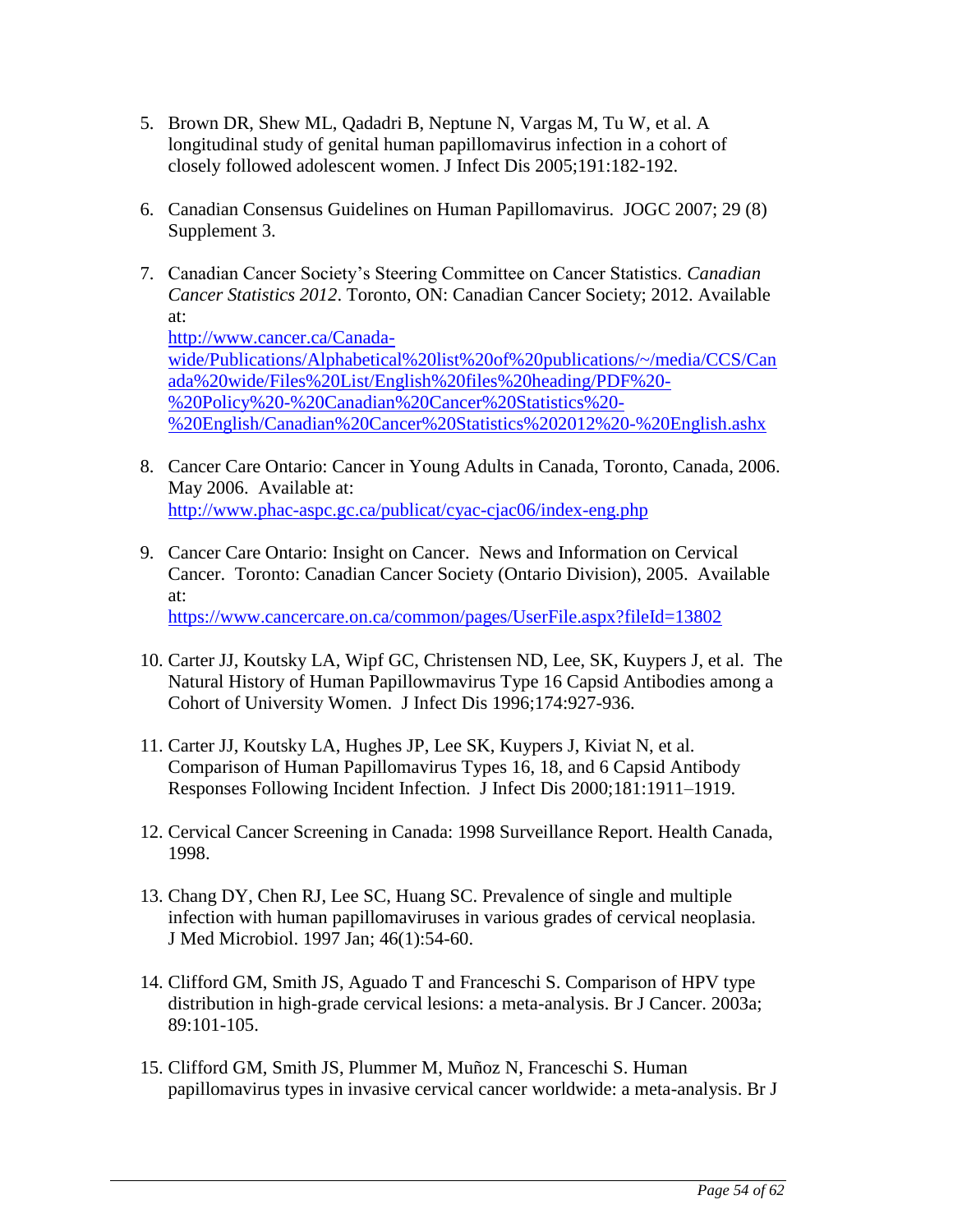- 5. Brown DR, Shew ML, Qadadri B, Neptune N, Vargas M, Tu W, et al. A longitudinal study of genital human papillomavirus infection in a cohort of closely followed adolescent women. J Infect Dis 2005;191:182-192.
- 6. Canadian Consensus Guidelines on Human Papillomavirus. JOGC 2007; 29 (8) Supplement 3.
- 7. Canadian Cancer Society's Steering Committee on Cancer Statistics. *Canadian Cancer Statistics 2012*. Toronto, ON: Canadian Cancer Society; 2012. Available at: http://www.cancer.ca/Canadawide/Publications/Alphabetical%20list%20of%20publications/~/media/CCS/Can ada%20wide/Files%20List/English%20files%20heading/PDF%20- %20Policy%20-%20Canadian%20Cancer%20Statistics%20- %20English/Canadian%20Cancer%20Statistics%202012%20-%20English.ashx
- 8. Cancer Care Ontario: Cancer in Young Adults in Canada, Toronto, Canada, 2006. May 2006. Available at: <http://www.phac-aspc.gc.ca/publicat/cyac-cjac06/index-eng.php>
- 9. Cancer Care Ontario: Insight on Cancer. News and Information on Cervical Cancer. Toronto: Canadian Cancer Society (Ontario Division), 2005. Available at: <https://www.cancercare.on.ca/common/pages/UserFile.aspx?fileId=13802>
- 10. Carter JJ, Koutsky LA, Wipf GC, Christensen ND, Lee, SK, Kuypers J, et al. The Natural History of Human Papillowmavirus Type 16 Capsid Antibodies among a Cohort of University Women. J Infect Dis 1996;174:927-936.
- 11. Carter JJ, Koutsky LA, Hughes JP, Lee SK, Kuypers J, Kiviat N, et al. Comparison of Human Papillomavirus Types 16, 18, and 6 Capsid Antibody Responses Following Incident Infection. J Infect Dis 2000;181:1911–1919.
- 12. Cervical Cancer Screening in Canada: 1998 Surveillance Report. Health Canada, 1998.
- 13. Chang DY, Chen RJ, Lee SC, Huang SC. Prevalence of single and multiple infection with human papillomaviruses in various grades of cervical neoplasia. J Med Microbiol. 1997 Jan; 46(1):54-60.
- 14. Clifford GM, Smith JS, Aguado T and Franceschi S. Comparison of HPV type distribution in high-grade cervical lesions: a meta-analysis. Br J Cancer. 2003a; 89:101-105.
- 15. Clifford GM, Smith JS, Plummer M, Muñoz N, Franceschi S. Human papillomavirus types in invasive cervical cancer worldwide: a meta-analysis. Br J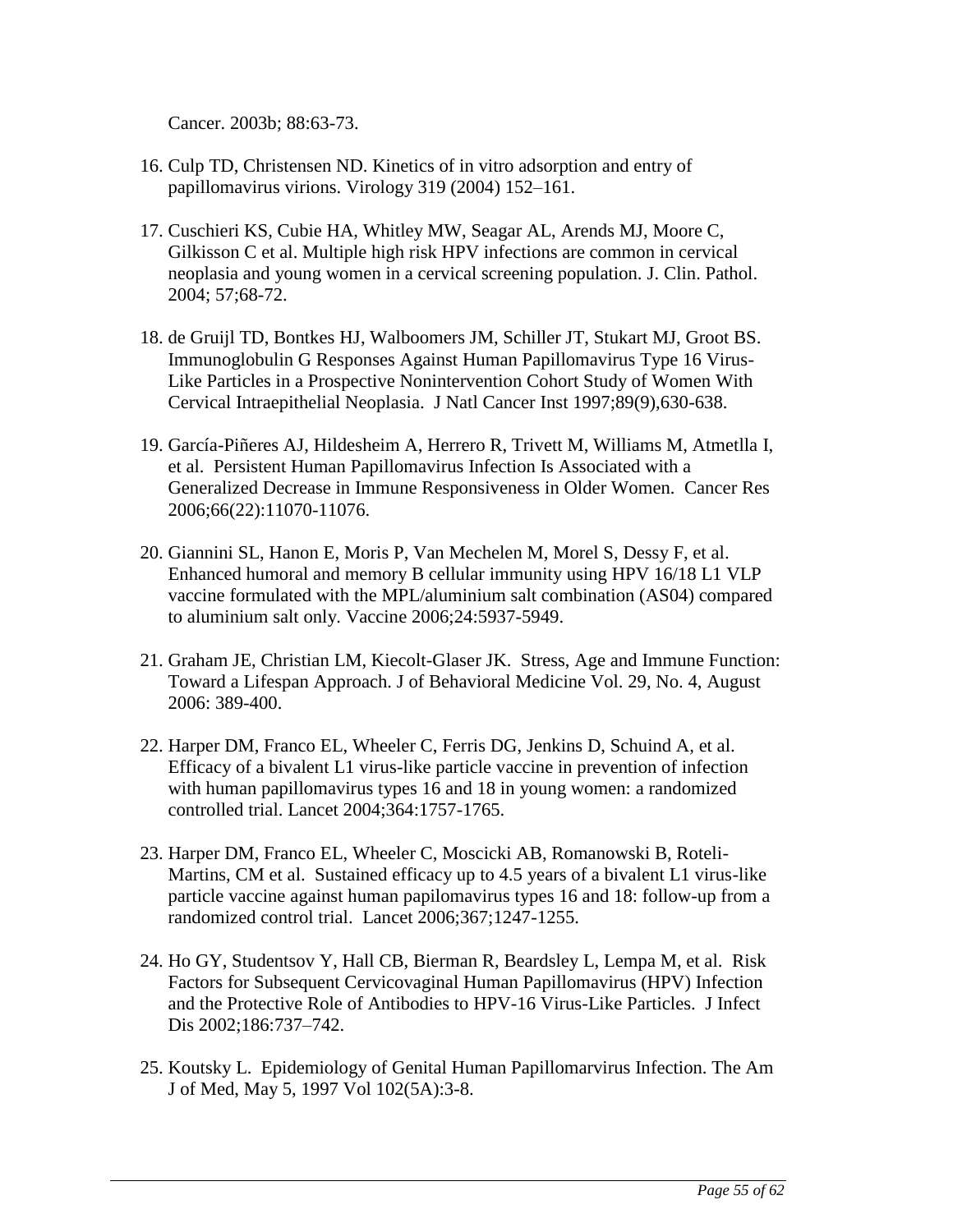Cancer. 2003b; 88:63-73.

- 16. Culp TD, Christensen ND. Kinetics of in vitro adsorption and entry of papillomavirus virions. Virology 319 (2004) 152–161.
- 17. Cuschieri KS, Cubie HA, Whitley MW, Seagar AL, Arends MJ, Moore C, Gilkisson C et al. Multiple high risk HPV infections are common in cervical neoplasia and young women in a cervical screening population. J. Clin. Pathol. 2004; 57;68-72.
- 18. de Gruijl TD, Bontkes HJ, Walboomers JM, Schiller JT, Stukart MJ, Groot BS. Immunoglobulin G Responses Against Human Papillomavirus Type 16 Virus-Like Particles in a Prospective Nonintervention Cohort Study of Women With Cervical Intraepithelial Neoplasia. J Natl Cancer Inst 1997;89(9),630-638.
- 19. García-Piñeres AJ, Hildesheim A, Herrero R, Trivett M, Williams M, Atmetlla I, et al. Persistent Human Papillomavirus Infection Is Associated with a Generalized Decrease in Immune Responsiveness in Older Women. Cancer Res 2006;66(22):11070-11076.
- 20. Giannini SL, Hanon E, Moris P, Van Mechelen M, Morel S, Dessy F, et al. Enhanced humoral and memory B cellular immunity using HPV 16/18 L1 VLP vaccine formulated with the MPL/aluminium salt combination (AS04) compared to aluminium salt only. Vaccine 2006;24:5937-5949.
- 21. Graham JE, Christian LM, Kiecolt-Glaser JK. Stress, Age and Immune Function: Toward a Lifespan Approach. J of Behavioral Medicine Vol. 29, No. 4, August 2006: 389-400.
- 22. Harper DM, Franco EL, Wheeler C, Ferris DG, Jenkins D, Schuind A, et al. Efficacy of a bivalent L1 virus-like particle vaccine in prevention of infection with human papillomavirus types 16 and 18 in young women: a randomized controlled trial. Lancet 2004;364:1757-1765.
- 23. Harper DM, Franco EL, Wheeler C, Moscicki AB, Romanowski B, Roteli-Martins, CM et al. Sustained efficacy up to 4.5 years of a bivalent L1 virus-like particle vaccine against human papilomavirus types 16 and 18: follow-up from a randomized control trial. Lancet 2006;367;1247-1255.
- 24. Ho GY, Studentsov Y, Hall CB, Bierman R, Beardsley L, Lempa M, et al. Risk Factors for Subsequent Cervicovaginal Human Papillomavirus (HPV) Infection and the Protective Role of Antibodies to HPV-16 Virus-Like Particles. J Infect Dis 2002;186:737–742.
- 25. Koutsky L. Epidemiology of Genital Human Papillomarvirus Infection. The Am J of Med, May 5, 1997 Vol 102(5A):3-8.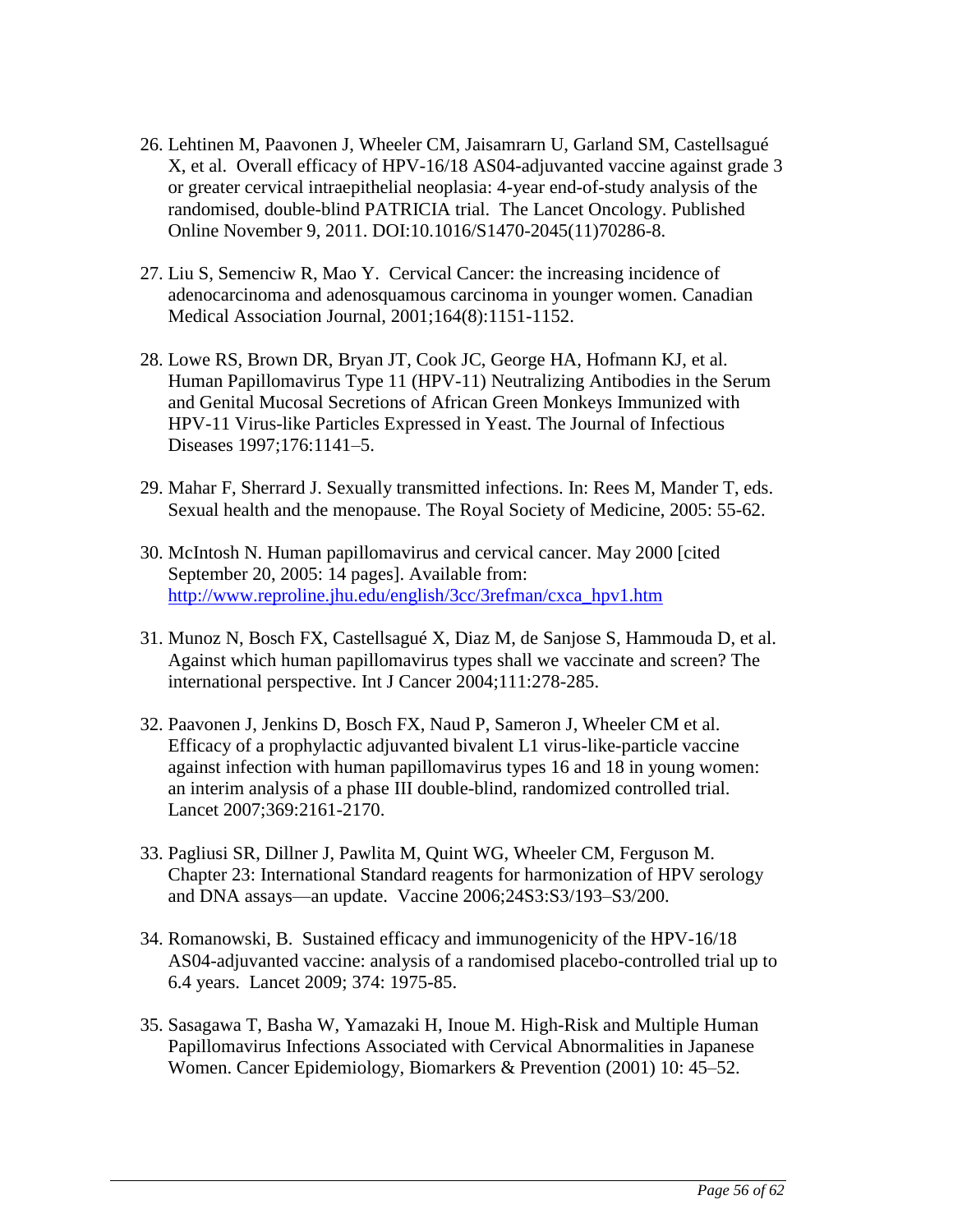- 26. Lehtinen M, Paavonen J, Wheeler CM, Jaisamrarn U, Garland SM, Castellsagué X, et al. Overall efficacy of HPV-16/18 AS04-adjuvanted vaccine against grade 3 or greater cervical intraepithelial neoplasia: 4-year end-of-study analysis of the randomised, double-blind PATRICIA trial. The Lancet Oncology. Published Online November 9, 2011. DOI:10.1016/S1470-2045(11)70286-8.
- 27. Liu S, Semenciw R, Mao Y. Cervical Cancer: the increasing incidence of adenocarcinoma and adenosquamous carcinoma in younger women. Canadian Medical Association Journal, 2001;164(8):1151-1152.
- 28. Lowe RS, Brown DR, Bryan JT, Cook JC, George HA, Hofmann KJ, et al. Human Papillomavirus Type 11 (HPV-11) Neutralizing Antibodies in the Serum and Genital Mucosal Secretions of African Green Monkeys Immunized with HPV-11 Virus-like Particles Expressed in Yeast. The Journal of Infectious Diseases 1997;176:1141–5.
- 29. Mahar F, Sherrard J. Sexually transmitted infections. In: Rees M, Mander T, eds. Sexual health and the menopause. The Royal Society of Medicine, 2005: 55-62.
- 30. McIntosh N. Human papillomavirus and cervical cancer. May 2000 [cited September 20, 2005: 14 pages]. Available from: [http://www.reproline.jhu.edu/english/3cc/3refman/cxca\\_hpv1.htm](http://www.reproline.jhu.edu/english/3cc/3refman/cxca_hpv1.htm)
- 31. Munoz N, Bosch FX, Castellsagué X, Diaz M, de Sanjose S, Hammouda D, et al. Against which human papillomavirus types shall we vaccinate and screen? The international perspective. Int J Cancer 2004;111:278-285.
- 32. Paavonen J, Jenkins D, Bosch FX, Naud P, Sameron J, Wheeler CM et al. Efficacy of a prophylactic adjuvanted bivalent L1 virus-like-particle vaccine against infection with human papillomavirus types 16 and 18 in young women: an interim analysis of a phase III double-blind, randomized controlled trial. Lancet 2007;369:2161-2170.
- 33. Pagliusi SR, Dillner J, Pawlita M, Quint WG, Wheeler CM, Ferguson M. Chapter 23: International Standard reagents for harmonization of HPV serology and DNA assays—an update. Vaccine 2006;24S3:S3/193–S3/200.
- 34. Romanowski, B. Sustained efficacy and immunogenicity of the HPV-16/18 AS04-adjuvanted vaccine: analysis of a randomised placebo-controlled trial up to 6.4 years. Lancet 2009; 374: 1975-85.
- 35. Sasagawa T, Basha W, Yamazaki H, Inoue M. High-Risk and Multiple Human Papillomavirus Infections Associated with Cervical Abnormalities in Japanese Women. Cancer Epidemiology, Biomarkers & Prevention (2001) 10: 45–52.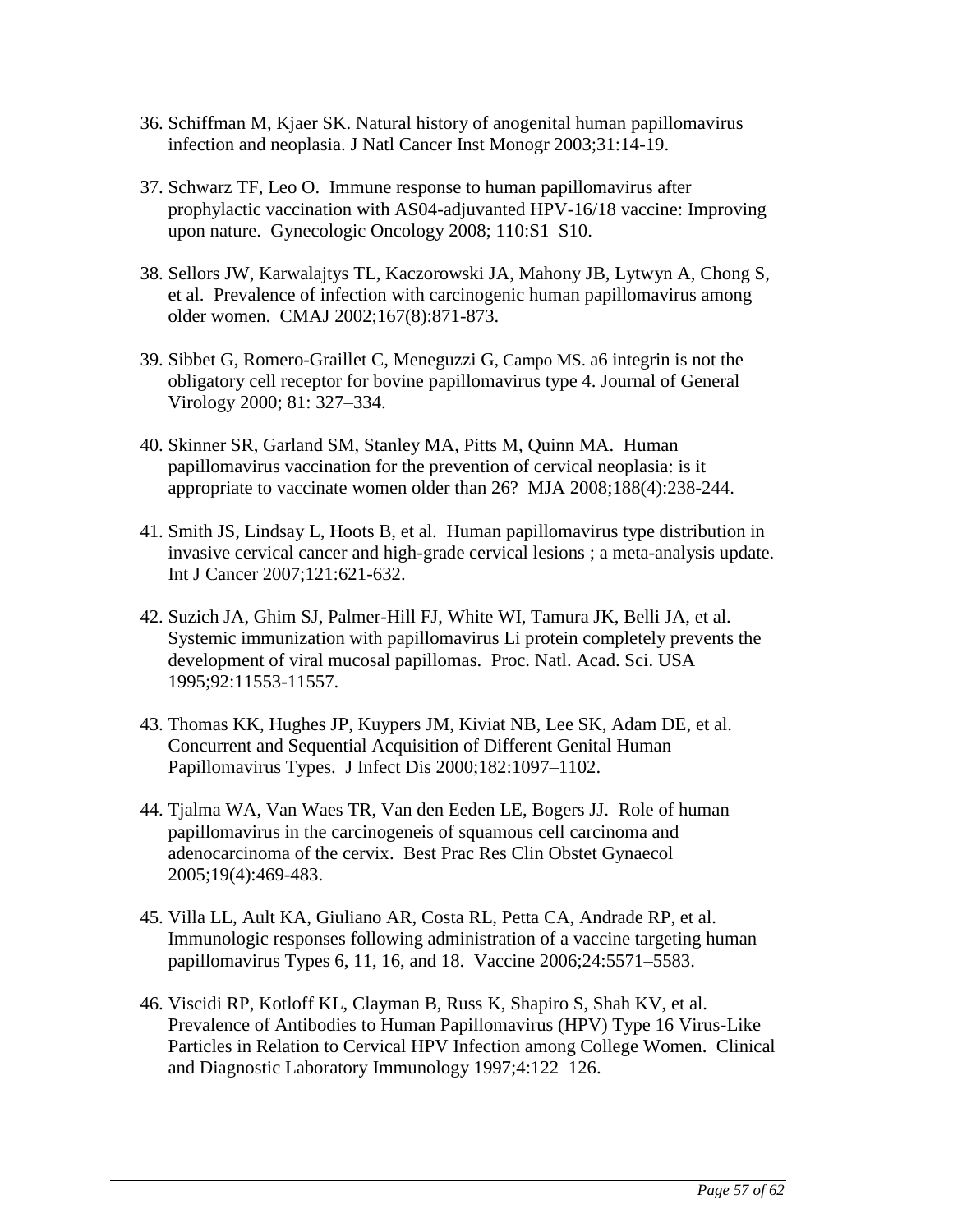- <span id="page-56-0"></span>36. Schiffman M, Kjaer SK. Natural history of anogenital human papillomavirus infection and neoplasia. J Natl Cancer Inst Monogr 2003;31:14-19.
- 37. Schwarz TF, Leo O. Immune response to human papillomavirus after prophylactic vaccination with AS04-adjuvanted HPV-16/18 vaccine: Improving upon nature. Gynecologic Oncology 2008; 110:S1–S10.
- 38. Sellors JW, Karwalajtys TL, Kaczorowski JA, Mahony JB, Lytwyn A, Chong S, et al. Prevalence of infection with carcinogenic human papillomavirus among older women. CMAJ 2002;167(8):871-873.
- 39. Sibbet G, Romero-Graillet C, Meneguzzi G, Campo MS. a6 integrin is not the obligatory cell receptor for bovine papillomavirus type 4. Journal of General Virology 2000; 81: 327–334.
- 40. Skinner SR, Garland SM, Stanley MA, Pitts M, Quinn MA. Human papillomavirus vaccination for the prevention of cervical neoplasia: is it appropriate to vaccinate women older than 26? MJA 2008;188(4):238-244.
- 41. Smith JS, Lindsay L, Hoots B, et al. Human papillomavirus type distribution in invasive cervical cancer and high-grade cervical lesions ; a meta-analysis update. Int J Cancer 2007;121:621-632.
- 42. Suzich JA, Ghim SJ, Palmer-Hill FJ, White WI, Tamura JK, Belli JA, et al. Systemic immunization with papillomavirus Li protein completely prevents the development of viral mucosal papillomas. Proc. Natl. Acad. Sci. USA 1995;92:11553-11557.
- 43. Thomas KK, Hughes JP, Kuypers JM, Kiviat NB, Lee SK, Adam DE, et al. Concurrent and Sequential Acquisition of Different Genital Human Papillomavirus Types. J Infect Dis 2000;182:1097–1102.
- 44. Tjalma WA, Van Waes TR, Van den Eeden LE, Bogers JJ. Role of human papillomavirus in the carcinogeneis of squamous cell carcinoma and adenocarcinoma of the cervix. Best Prac Res Clin Obstet Gynaecol 2005;19(4):469-483.
- 45. Villa LL, Ault KA, Giuliano AR, Costa RL, Petta CA, Andrade RP, et al. Immunologic responses following administration of a vaccine targeting human papillomavirus Types 6, 11, 16, and 18. Vaccine 2006;24:5571–5583.
- 46. Viscidi RP, Kotloff KL, Clayman B, Russ K, Shapiro S, Shah KV, et al. Prevalence of Antibodies to Human Papillomavirus (HPV) Type 16 Virus-Like Particles in Relation to Cervical HPV Infection among College Women. Clinical and Diagnostic Laboratory Immunology 1997;4:122–126.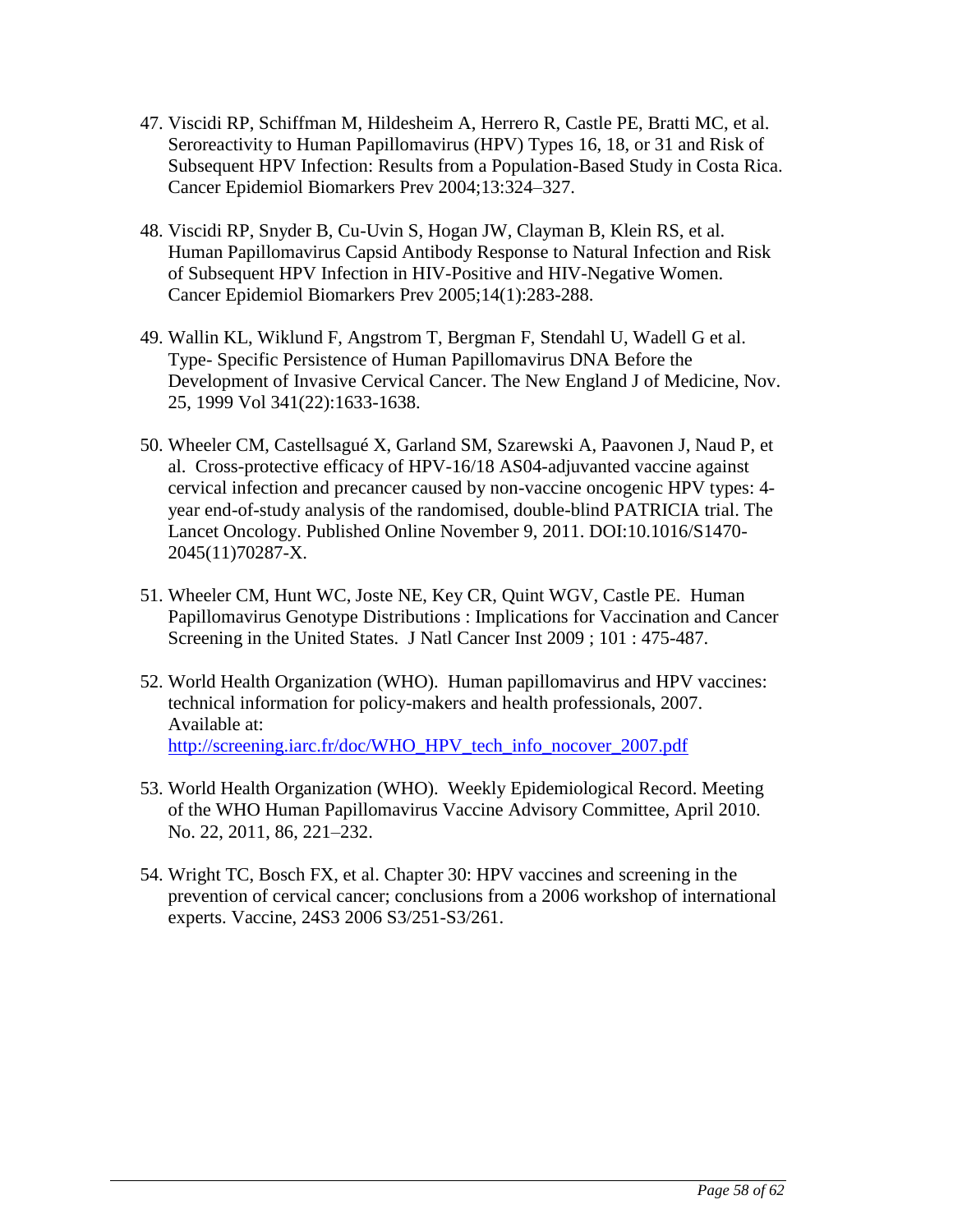- 47. Viscidi RP, Schiffman M, Hildesheim A, Herrero R, Castle PE, Bratti MC, et al. Seroreactivity to Human Papillomavirus (HPV) Types 16, 18, or 31 and Risk of Subsequent HPV Infection: Results from a Population-Based Study in Costa Rica. Cancer Epidemiol Biomarkers Prev 2004;13:324–327.
- 48. Viscidi RP, Snyder B, Cu-Uvin S, Hogan JW, Clayman B, Klein RS, et al. Human Papillomavirus Capsid Antibody Response to Natural Infection and Risk of Subsequent HPV Infection in HIV-Positive and HIV-Negative Women. Cancer Epidemiol Biomarkers Prev 2005;14(1):283-288.
- 49. Wallin KL, Wiklund F, Angstrom T, Bergman F, Stendahl U, Wadell G et al. Type- Specific Persistence of Human Papillomavirus DNA Before the Development of Invasive Cervical Cancer. The New England J of Medicine, Nov. 25, 1999 Vol 341(22):1633-1638.
- 50. Wheeler CM, Castellsagué X, Garland SM, Szarewski A, Paavonen J, Naud P, et al. Cross-protective efficacy of HPV-16/18 AS04-adjuvanted vaccine against cervical infection and precancer caused by non-vaccine oncogenic HPV types: 4 year end-of-study analysis of the randomised, double-blind PATRICIA trial. The Lancet Oncology. Published Online November 9, 2011. DOI:10.1016/S1470- 2045(11)70287-X.
- 51. Wheeler CM, Hunt WC, Joste NE, Key CR, Quint WGV, Castle PE. Human Papillomavirus Genotype Distributions : Implications for Vaccination and Cancer Screening in the United States. J Natl Cancer Inst 2009 ; 101 : 475-487.
- 52. World Health Organization (WHO). Human papillomavirus and HPV vaccines: technical information for policy-makers and health professionals, 2007. Available at: [http://screening.iarc.fr/doc/WHO\\_HPV\\_tech\\_info\\_nocover\\_2007.pdf](http://screening.iarc.fr/doc/WHO_HPV_tech_info_nocover_2007.pdf)
- 53. World Health Organization (WHO). Weekly Epidemiological Record. Meeting of the WHO Human Papillomavirus Vaccine Advisory Committee, April 2010. No. 22, 2011, 86, 221–232.
- 54. Wright TC, Bosch FX, et al. Chapter 30: HPV vaccines and screening in the prevention of cervical cancer; conclusions from a 2006 workshop of international experts. Vaccine, 24S3 2006 S3/251-S3/261.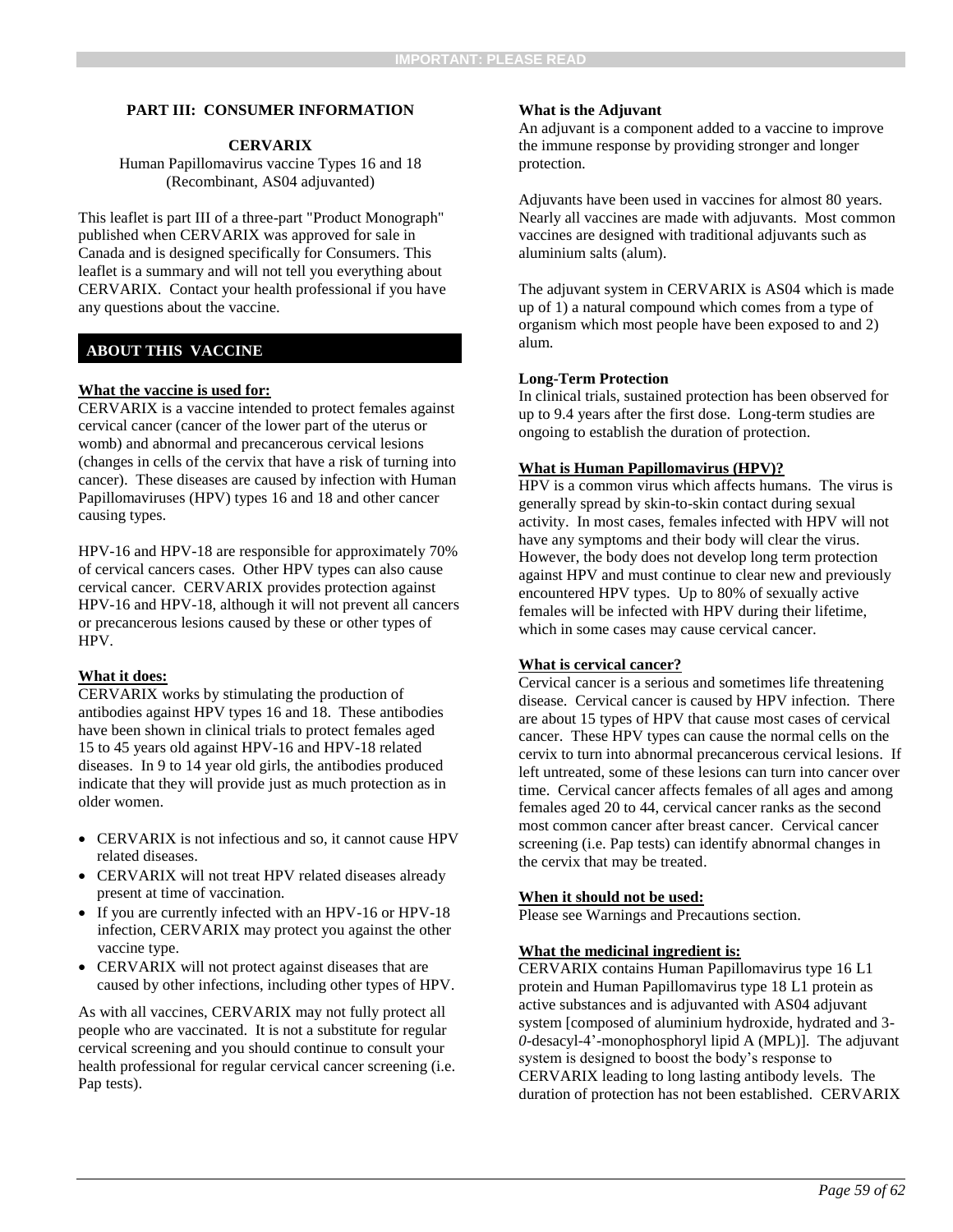#### **PART III: CONSUMER INFORMATION**

#### **CERVARIX**

Human Papillomavirus vaccine Types 16 and 18 (Recombinant, AS04 adjuvanted)

This leaflet is part III of a three-part "Product Monograph" published when CERVARIX was approved for sale in Canada and is designed specifically for Consumers. This leaflet is a summary and will not tell you everything about CERVARIX. Contact your health professional if you have any questions about the vaccine.

#### **ABOUT THIS VACCINE**

#### **What the vaccine is used for:**

CERVARIX is a vaccine intended to protect females against cervical cancer (cancer of the lower part of the uterus or womb) and abnormal and precancerous cervical lesions (changes in cells of the cervix that have a risk of turning into cancer). These diseases are caused by infection with Human Papillomaviruses (HPV) types 16 and 18 and other cancer causing types.

HPV-16 and HPV-18 are responsible for approximately 70% of cervical cancers cases. Other HPV types can also cause cervical cancer. CERVARIX provides protection against HPV-16 and HPV-18, although it will not prevent all cancers or precancerous lesions caused by these or other types of HPV.

#### **What it does:**

CERVARIX works by stimulating the production of antibodies against HPV types 16 and 18. These antibodies have been shown in clinical trials to protect females aged 15 to 45 years old against HPV-16 and HPV-18 related diseases. In 9 to 14 year old girls, the antibodies produced indicate that they will provide just as much protection as in older women.

- CERVARIX is not infectious and so, it cannot cause HPV related diseases.
- CERVARIX will not treat HPV related diseases already present at time of vaccination.
- If you are currently infected with an HPV-16 or HPV-18 infection, CERVARIX may protect you against the other vaccine type.
- CERVARIX will not protect against diseases that are caused by other infections, including other types of HPV.

As with all vaccines, CERVARIX may not fully protect all people who are vaccinated. It is not a substitute for regular cervical screening and you should continue to consult your health professional for regular cervical cancer screening (i.e. Pap tests).

#### **What is the Adjuvant**

An adjuvant is a component added to a vaccine to improve the immune response by providing stronger and longer protection.

Adjuvants have been used in vaccines for almost 80 years. Nearly all vaccines are made with adjuvants. Most common vaccines are designed with traditional adjuvants such as aluminium salts (alum).

The adjuvant system in CERVARIX is AS04 which is made up of 1) a natural compound which comes from a type of organism which most people have been exposed to and 2) alum.

#### **Long-Term Protection**

In clinical trials, sustained protection has been observed for up to 9.4 years after the first dose. Long-term studies are ongoing to establish the duration of protection.

#### **What is Human Papillomavirus (HPV)?**

HPV is a common virus which affects humans. The virus is generally spread by skin-to-skin contact during sexual activity. In most cases, females infected with HPV will not have any symptoms and their body will clear the virus. However, the body does not develop long term protection against HPV and must continue to clear new and previously encountered HPV types. Up to 80% of sexually active females will be infected with HPV during their lifetime, which in some cases may cause cervical cancer.

#### **What is cervical cancer?**

Cervical cancer is a serious and sometimes life threatening disease. Cervical cancer is caused by HPV infection. There are about 15 types of HPV that cause most cases of cervical cancer. These HPV types can cause the normal cells on the cervix to turn into abnormal precancerous cervical lesions. If left untreated, some of these lesions can turn into cancer over time. Cervical cancer affects females of all ages and among females aged 20 to 44, cervical cancer ranks as the second most common cancer after breast cancer. Cervical cancer screening (i.e. Pap tests) can identify abnormal changes in the cervix that may be treated.

#### **When it should not be used:**

Please see Warnings and Precautions section.

#### **What the medicinal ingredient is:**

CERVARIX contains Human Papillomavirus type 16 L1 protein and Human Papillomavirus type 18 L1 protein as active substances and is adjuvanted with AS04 adjuvant system [composed of aluminium hydroxide, hydrated and 3- *0-*desacyl-4'-monophosphoryl lipid A (MPL)]. The adjuvant system is designed to boost the body's response to CERVARIX leading to long lasting antibody levels. The duration of protection has not been established. CERVARIX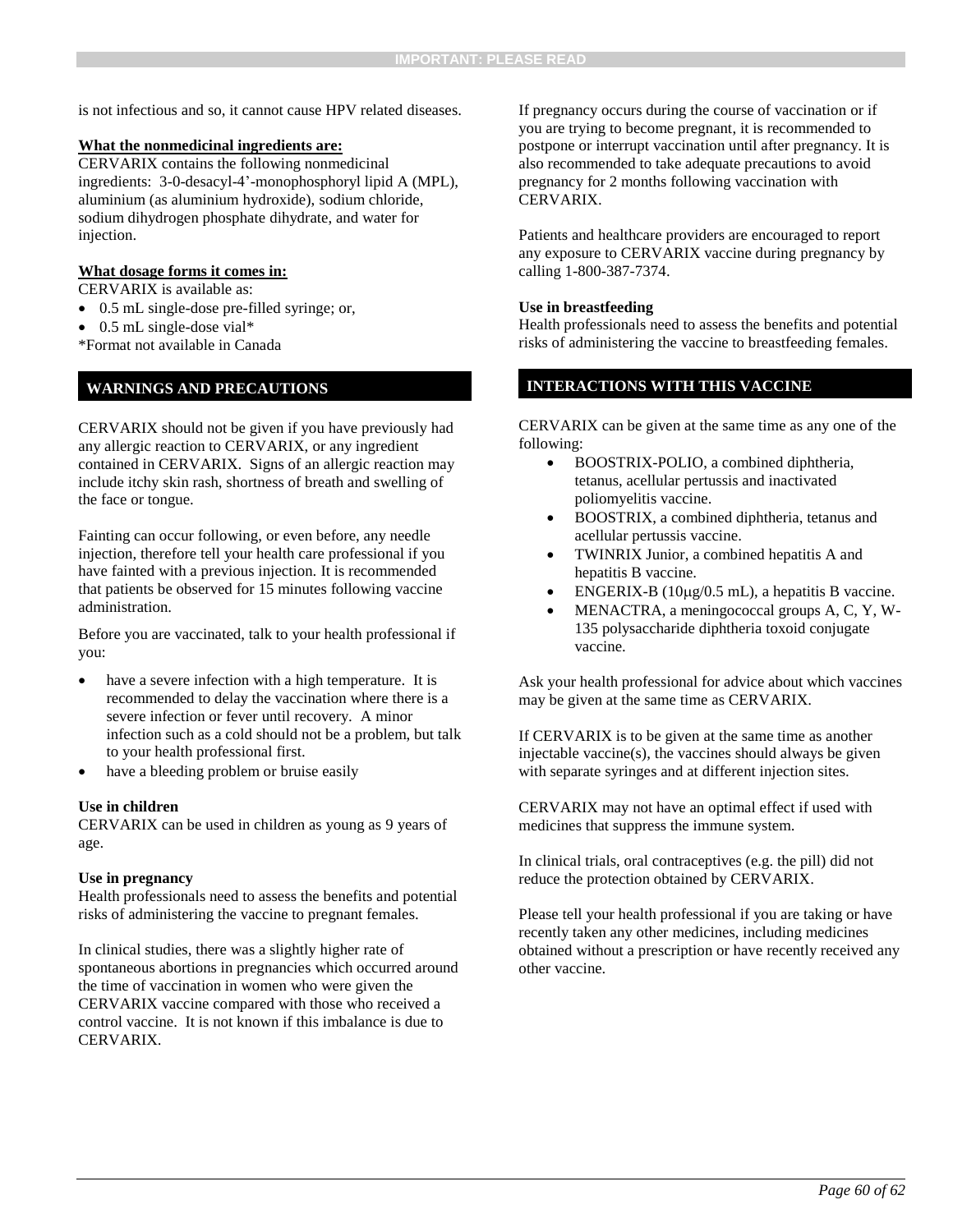is not infectious and so, it cannot cause HPV related diseases.

#### **What the nonmedicinal ingredients are:**

CERVARIX contains the following nonmedicinal ingredients: 3-0-desacyl-4'-monophosphoryl lipid A (MPL), aluminium (as aluminium hydroxide), sodium chloride, sodium dihydrogen phosphate dihydrate, and water for injection.

#### **What dosage forms it comes in:**

CERVARIX is available as:

- 0.5 mL single-dose pre-filled syringe; or,
- 0.5 mL single-dose vial\*

\*Format not available in Canada

### **WARNINGS AND PRECAUTIONS**

CERVARIX should not be given if you have previously had any allergic reaction to CERVARIX, or any ingredient contained in CERVARIX. Signs of an allergic reaction may include itchy skin rash, shortness of breath and swelling of the face or tongue.

Fainting can occur following, or even before, any needle injection, therefore tell your health care professional if you have fainted with a previous injection. It is recommended that patients be observed for 15 minutes following vaccine administration.

Before you are vaccinated, talk to your health professional if you:

- have a severe infection with a high temperature. It is recommended to delay the vaccination where there is a severe infection or fever until recovery. A minor infection such as a cold should not be a problem, but talk to your health professional first.
- have a bleeding problem or bruise easily

#### **Use in children**

CERVARIX can be used in children as young as 9 years of age.

#### **Use in pregnancy**

Health professionals need to assess the benefits and potential risks of administering the vaccine to pregnant females.

In clinical studies, there was a slightly higher rate of spontaneous abortions in pregnancies which occurred around the time of vaccination in women who were given the CERVARIX vaccine compared with those who received a control vaccine. It is not known if this imbalance is due to CERVARIX.

If pregnancy occurs during the course of vaccination or if you are trying to become pregnant, it is recommended to postpone or interrupt vaccination until after pregnancy. It is also recommended to take adequate precautions to avoid pregnancy for 2 months following vaccination with CERVARIX.

Patients and healthcare providers are encouraged to report any exposure to CERVARIX vaccine during pregnancy by calling 1-800-387-7374.

#### **Use in breastfeeding**

Health professionals need to assess the benefits and potential risks of administering the vaccine to breastfeeding females.

#### **INTERACTIONS WITH THIS VACCINE**

CERVARIX can be given at the same time as any one of the following:

- BOOSTRIX-POLIO, a combined diphtheria, tetanus, acellular pertussis and inactivated poliomyelitis vaccine.
- BOOSTRIX, a combined diphtheria, tetanus and acellular pertussis vaccine.
- TWINRIX Junior, a combined hepatitis A and hepatitis B vaccine.
- ENGERIX-B  $(10\mu g/0.5 \text{ mL})$ , a hepatitis B vaccine.
- MENACTRA, a meningococcal groups A, C, Y, W-135 polysaccharide diphtheria toxoid conjugate vaccine.

Ask your health professional for advice about which vaccines may be given at the same time as CERVARIX.

If CERVARIX is to be given at the same time as another injectable vaccine(s), the vaccines should always be given with separate syringes and at different injection sites.

CERVARIX may not have an optimal effect if used with medicines that suppress the immune system.

In clinical trials, oral contraceptives (e.g. the pill) did not reduce the protection obtained by CERVARIX.

Please tell your health professional if you are taking or have recently taken any other medicines, including medicines obtained without a prescription or have recently received any other vaccine.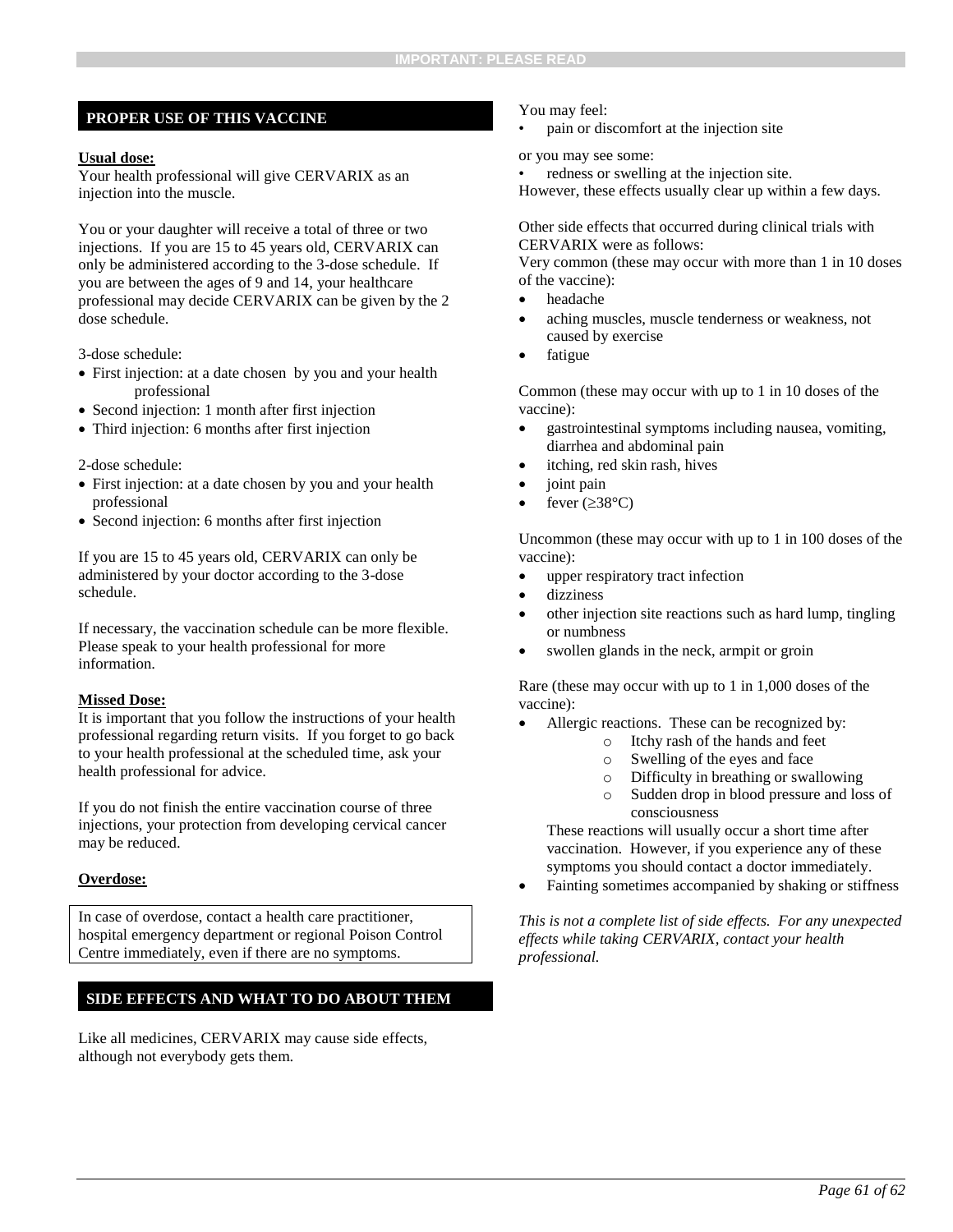#### **PROPER USE OF THIS VACCINE**

#### **Usual dose:**

Your health professional will give CERVARIX as an injection into the muscle.

You or your daughter will receive a total of three or two injections. If you are 15 to 45 years old, CERVARIX can only be administered according to the 3-dose schedule. If you are between the ages of 9 and 14, your healthcare professional may decide CERVARIX can be given by the 2 dose schedule.

3-dose schedule:

- First injection: at a date chosen by you and your health professional
- Second injection: 1 month after first injection
- Third injection: 6 months after first injection

#### 2-dose schedule:

- First injection: at a date chosen by you and your health professional
- Second injection: 6 months after first injection

If you are 15 to 45 years old, CERVARIX can only be administered by your doctor according to the 3-dose schedule.

If necessary, the vaccination schedule can be more flexible. Please speak to your health professional for more information.

#### **Missed Dose:**

It is important that you follow the instructions of your health professional regarding return visits. If you forget to go back to your health professional at the scheduled time, ask your health professional for advice.

If you do not finish the entire vaccination course of three injections, your protection from developing cervical cancer may be reduced.

#### **Overdose:**

In case of overdose, contact a health care practitioner, hospital emergency department or regional Poison Control Centre immediately, even if there are no symptoms.

#### **SIDE EFFECTS AND WHAT TO DO ABOUT THEM**

Like all medicines, CERVARIX may cause side effects, although not everybody gets them.

#### You may feel:

• pain or discomfort at the injection site

or you may see some:

• redness or swelling at the injection site.

However, these effects usually clear up within a few days.

Other side effects that occurred during clinical trials with CERVARIX were as follows:

Very common (these may occur with more than 1 in 10 doses of the vaccine):

- headache
- aching muscles, muscle tenderness or weakness, not caused by exercise
- fatigue

Common (these may occur with up to 1 in 10 doses of the vaccine):

- gastrointestinal symptoms including nausea, vomiting, diarrhea and abdominal pain
- itching, red skin rash, hives
- joint pain
- fever  $(\geq 38^{\circ}C)$

Uncommon (these may occur with up to 1 in 100 doses of the vaccine):

- upper respiratory tract infection
- dizziness
- other injection site reactions such as hard lump, tingling or numbness
- swollen glands in the neck, armpit or groin

Rare (these may occur with up to 1 in 1,000 doses of the vaccine):

- Allergic reactions. These can be recognized by:
	- o Itchy rash of the hands and feet
	- o Swelling of the eyes and face
	- o Difficulty in breathing or swallowing
	- o Sudden drop in blood pressure and loss of consciousness

These reactions will usually occur a short time after vaccination. However, if you experience any of these symptoms you should contact a doctor immediately.

Fainting sometimes accompanied by shaking or stiffness

*This is not a complete list of side effects. For any unexpected effects while taking CERVARIX, contact your health professional.*